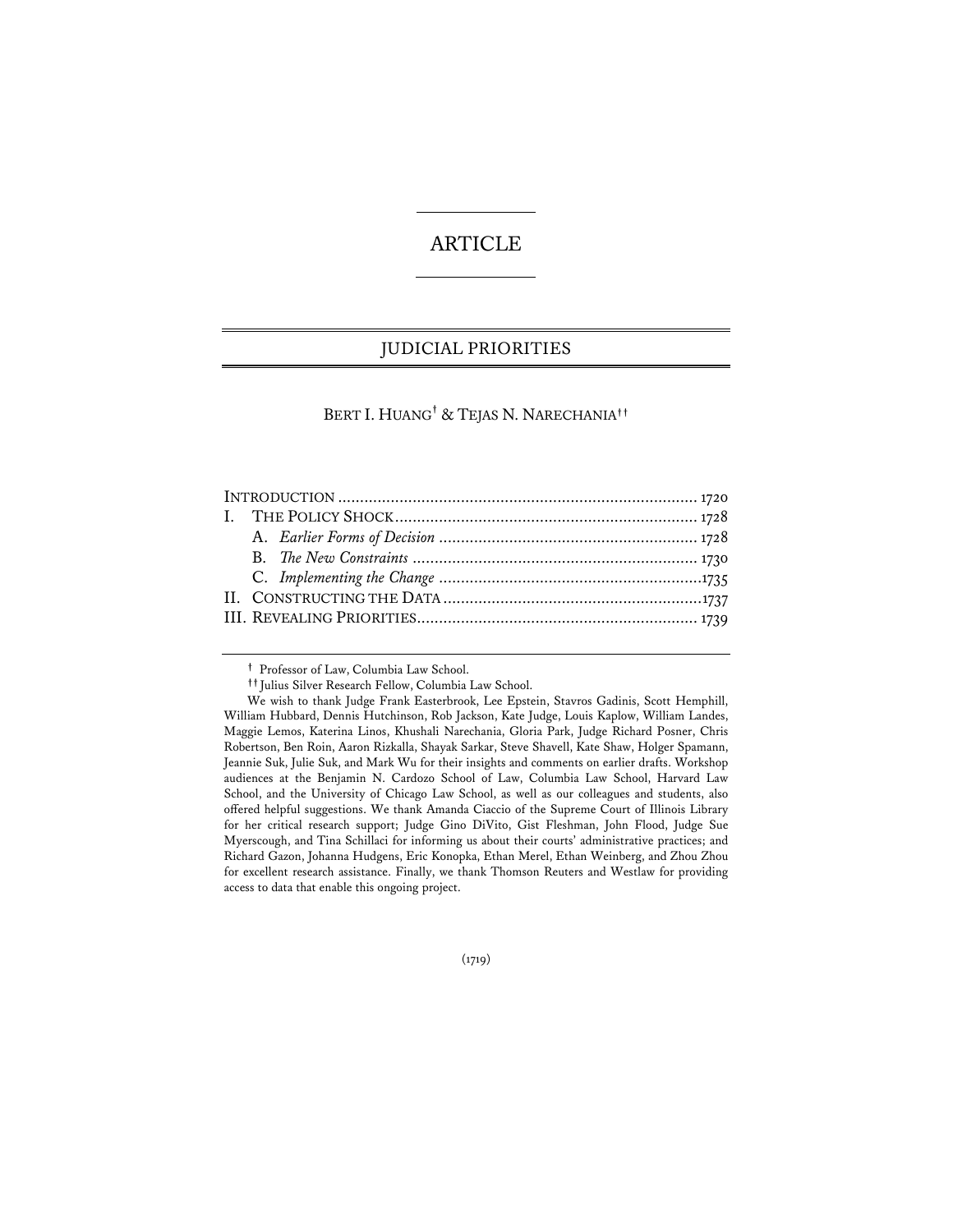# ARTICLE

## JUDICIAL PRIORITIES

## BERT I. HUANG**†** & TEJAS N. NARECHANIA**††**

**†** Professor of Law, Columbia Law School.

(1719)

**<sup>††</sup>** Julius Silver Research Fellow, Columbia Law School.

We wish to thank Judge Frank Easterbrook, Lee Epstein, Stavros Gadinis, Scott Hemphill, William Hubbard, Dennis Hutchinson, Rob Jackson, Kate Judge, Louis Kaplow, William Landes, Maggie Lemos, Katerina Linos, Khushali Narechania, Gloria Park, Judge Richard Posner, Chris Robertson, Ben Roin, Aaron Rizkalla, Shayak Sarkar, Steve Shavell, Kate Shaw, Holger Spamann, Jeannie Suk, Julie Suk, and Mark Wu for their insights and comments on earlier drafts. Workshop audiences at the Benjamin N. Cardozo School of Law, Columbia Law School, Harvard Law School, and the University of Chicago Law School, as well as our colleagues and students, also offered helpful suggestions. We thank Amanda Ciaccio of the Supreme Court of Illinois Library for her critical research support; Judge Gino DiVito, Gist Fleshman, John Flood, Judge Sue Myerscough, and Tina Schillaci for informing us about their courts' administrative practices; and Richard Gazon, Johanna Hudgens, Eric Konopka, Ethan Merel, Ethan Weinberg, and Zhou Zhou for excellent research assistance. Finally, we thank Thomson Reuters and Westlaw for providing access to data that enable this ongoing project.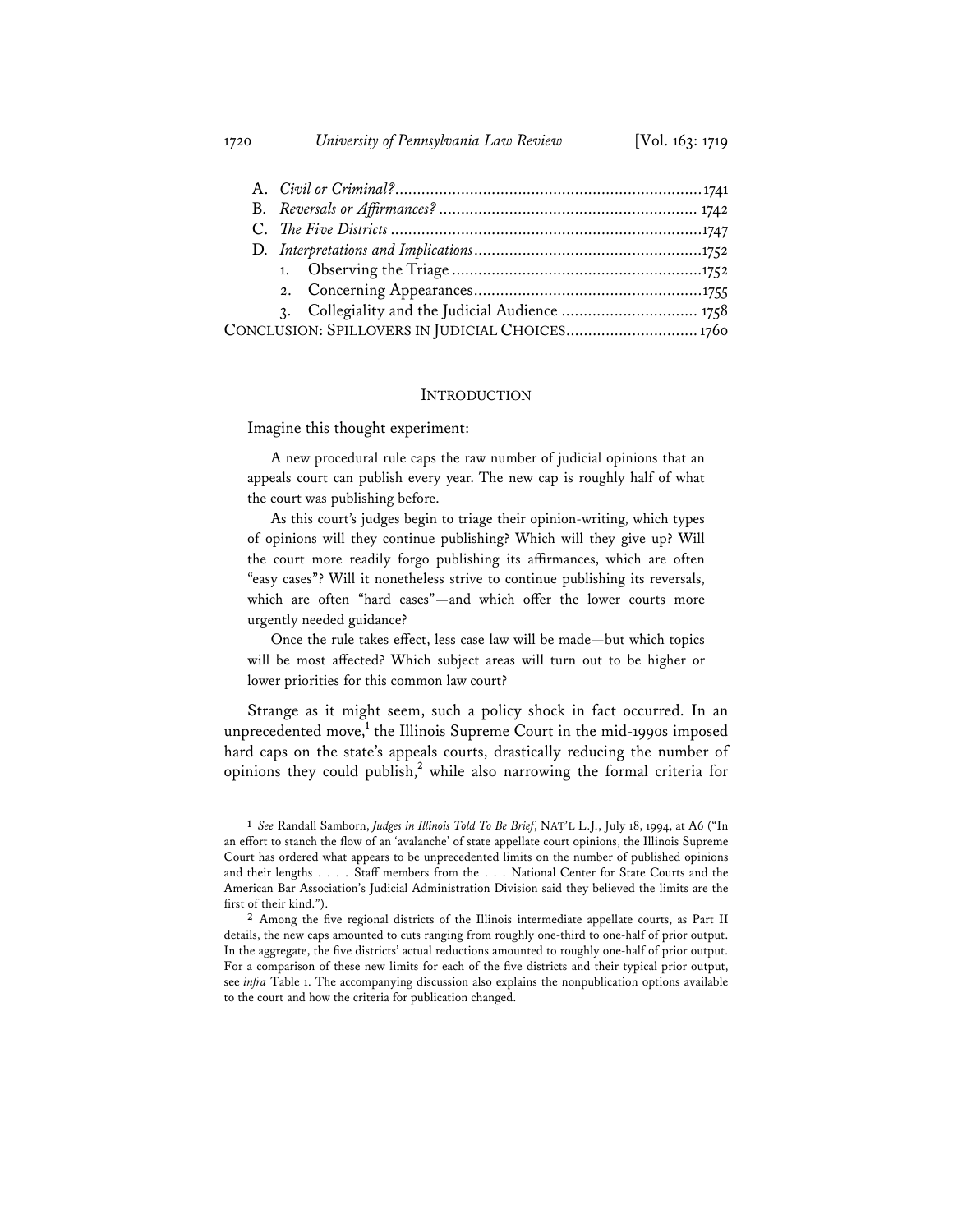1720 *University of Pennsylvania Law Review* [Vol. 163: 1719

| 3. Collegiality and the Judicial Audience  1758 |  |
|-------------------------------------------------|--|
| CONCLUSION: SPILLOVERS IN JUDICIAL CHOICES 1760 |  |

## INTRODUCTION

Imagine this thought experiment:

A new procedural rule caps the raw number of judicial opinions that an appeals court can publish every year. The new cap is roughly half of what the court was publishing before.

As this court's judges begin to triage their opinion-writing, which types of opinions will they continue publishing? Which will they give up? Will the court more readily forgo publishing its affirmances, which are often "easy cases"? Will it nonetheless strive to continue publishing its reversals, which are often "hard cases"—and which offer the lower courts more urgently needed guidance?

Once the rule takes effect, less case law will be made—but which topics will be most affected? Which subject areas will turn out to be higher or lower priorities for this common law court?

Strange as it might seem, such a policy shock in fact occurred. In an unprecedented move,<sup>1</sup> the Illinois Supreme Court in the mid-1990s imposed hard caps on the state's appeals courts, drastically reducing the number of opinions they could publish,**<sup>2</sup>** while also narrowing the formal criteria for

**<sup>1</sup>** *See* Randall Samborn, *Judges in Illinois Told To Be Brief*, NAT'L L.J., July 18, 1994, at A6 ("In an effort to stanch the flow of an 'avalanche' of state appellate court opinions, the Illinois Supreme Court has ordered what appears to be unprecedented limits on the number of published opinions and their lengths . . . . Staff members from the . . . National Center for State Courts and the American Bar Association's Judicial Administration Division said they believed the limits are the first of their kind.").

**<sup>2</sup>** Among the five regional districts of the Illinois intermediate appellate courts, as Part II details, the new caps amounted to cuts ranging from roughly one-third to one-half of prior output. In the aggregate, the five districts' actual reductions amounted to roughly one-half of prior output. For a comparison of these new limits for each of the five districts and their typical prior output, see *infra* Table 1. The accompanying discussion also explains the nonpublication options available to the court and how the criteria for publication changed.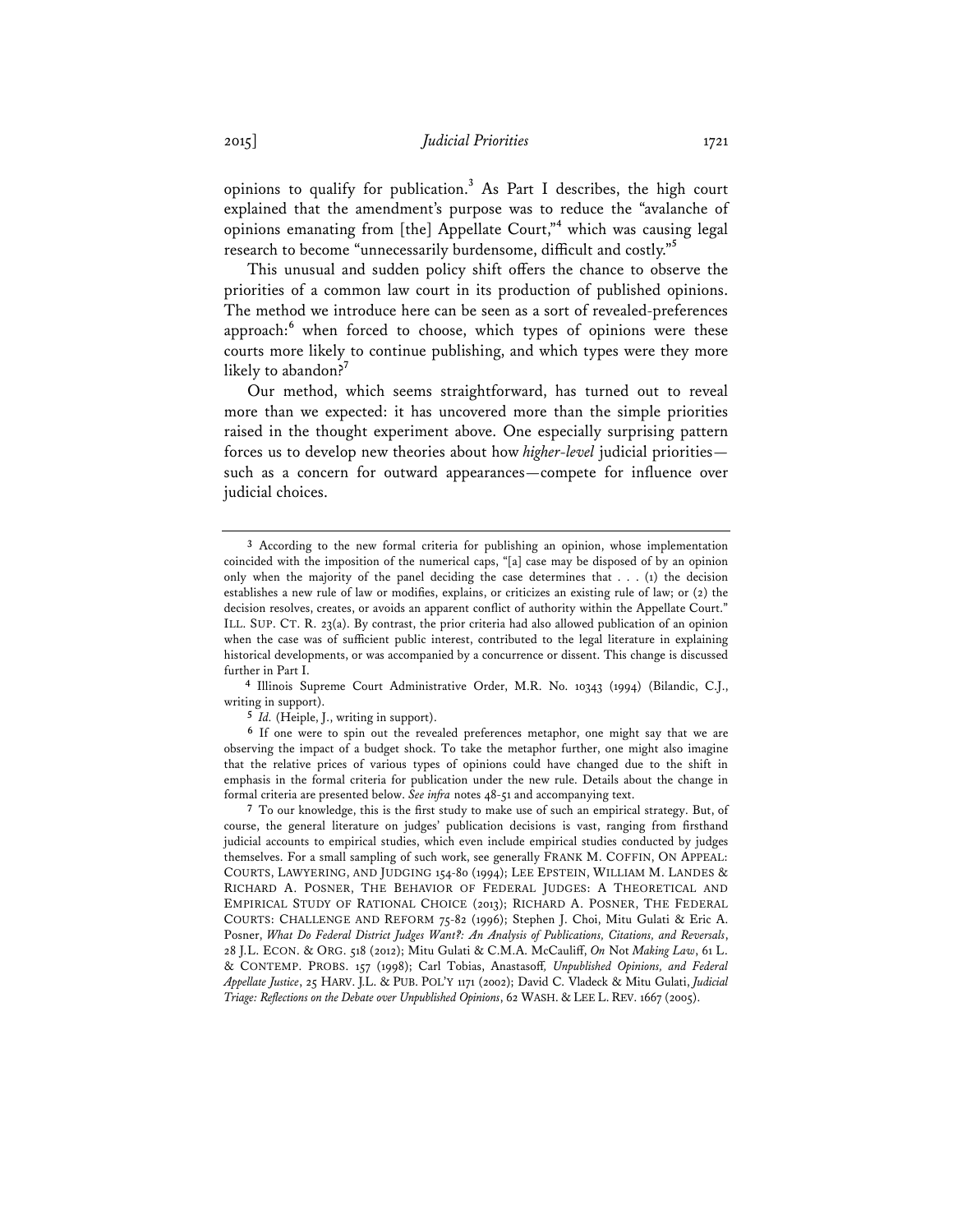opinions to qualify for publication.**<sup>3</sup>** As Part I describes, the high court explained that the amendment's purpose was to reduce the "avalanche of opinions emanating from [the] Appellate Court,"<sup>4</sup> which was causing legal research to become "unnecessarily burdensome, difficult and costly."**<sup>5</sup>**

This unusual and sudden policy shift offers the chance to observe the priorities of a common law court in its production of published opinions. The method we introduce here can be seen as a sort of revealed-preferences approach:<sup>6</sup> when forced to choose, which types of opinions were these courts more likely to continue publishing, and which types were they more likely to abandon?**<sup>7</sup>**

Our method, which seems straightforward, has turned out to reveal more than we expected: it has uncovered more than the simple priorities raised in the thought experiment above. One especially surprising pattern forces us to develop new theories about how *higher-level* judicial priorities such as a concern for outward appearances—compete for influence over judicial choices.

**4** Illinois Supreme Court Administrative Order, M.R. No. 10343 (1994) (Bilandic, C.J., writing in support).

**5** *Id.* (Heiple, J., writing in support).

**6** If one were to spin out the revealed preferences metaphor, one might say that we are observing the impact of a budget shock. To take the metaphor further, one might also imagine that the relative prices of various types of opinions could have changed due to the shift in emphasis in the formal criteria for publication under the new rule. Details about the change in formal criteria are presented below. *See infra* notes 48-51 and accompanying text.

**7** To our knowledge, this is the first study to make use of such an empirical strategy. But, of course, the general literature on judges' publication decisions is vast, ranging from firsthand judicial accounts to empirical studies, which even include empirical studies conducted by judges themselves. For a small sampling of such work, see generally FRANK M. COFFIN, ON APPEAL: COURTS, LAWYERING, AND JUDGING 154-80 (1994); LEE EPSTEIN, WILLIAM M. LANDES & RICHARD A. POSNER, THE BEHAVIOR OF FEDERAL JUDGES: A THEORETICAL AND EMPIRICAL STUDY OF RATIONAL CHOICE (2013); RICHARD A. POSNER, THE FEDERAL COURTS: CHALLENGE AND REFORM 75-82 (1996); Stephen J. Choi, Mitu Gulati & Eric A. Posner, *What Do Federal District Judges Want?: An Analysis of Publications, Citations, and Reversals*, 28 J.L. ECON. & ORG. 518 (2012); Mitu Gulati & C.M.A. McCauliff, *On* Not *Making Law*, 61 L. & CONTEMP. PROBS. 157 (1998); Carl Tobias, Anastasoff*, Unpublished Opinions, and Federal Appellate Justice*, 25 HARV. J.L. & PUB. POL'Y 1171 (2002); David C. Vladeck & Mitu Gulati, *Judicial Triage: Reflections on the Debate over Unpublished Opinions*, 62 WASH. & LEE L. REV. 1667 (2005).

**<sup>3</sup>** According to the new formal criteria for publishing an opinion, whose implementation coincided with the imposition of the numerical caps, "[a] case may be disposed of by an opinion only when the majority of the panel deciding the case determines that  $\dots$  (1) the decision establishes a new rule of law or modifies, explains, or criticizes an existing rule of law; or (2) the decision resolves, creates, or avoids an apparent conflict of authority within the Appellate Court." ILL. SUP. CT. R. 23(a). By contrast, the prior criteria had also allowed publication of an opinion when the case was of sufficient public interest, contributed to the legal literature in explaining historical developments, or was accompanied by a concurrence or dissent. This change is discussed further in Part I.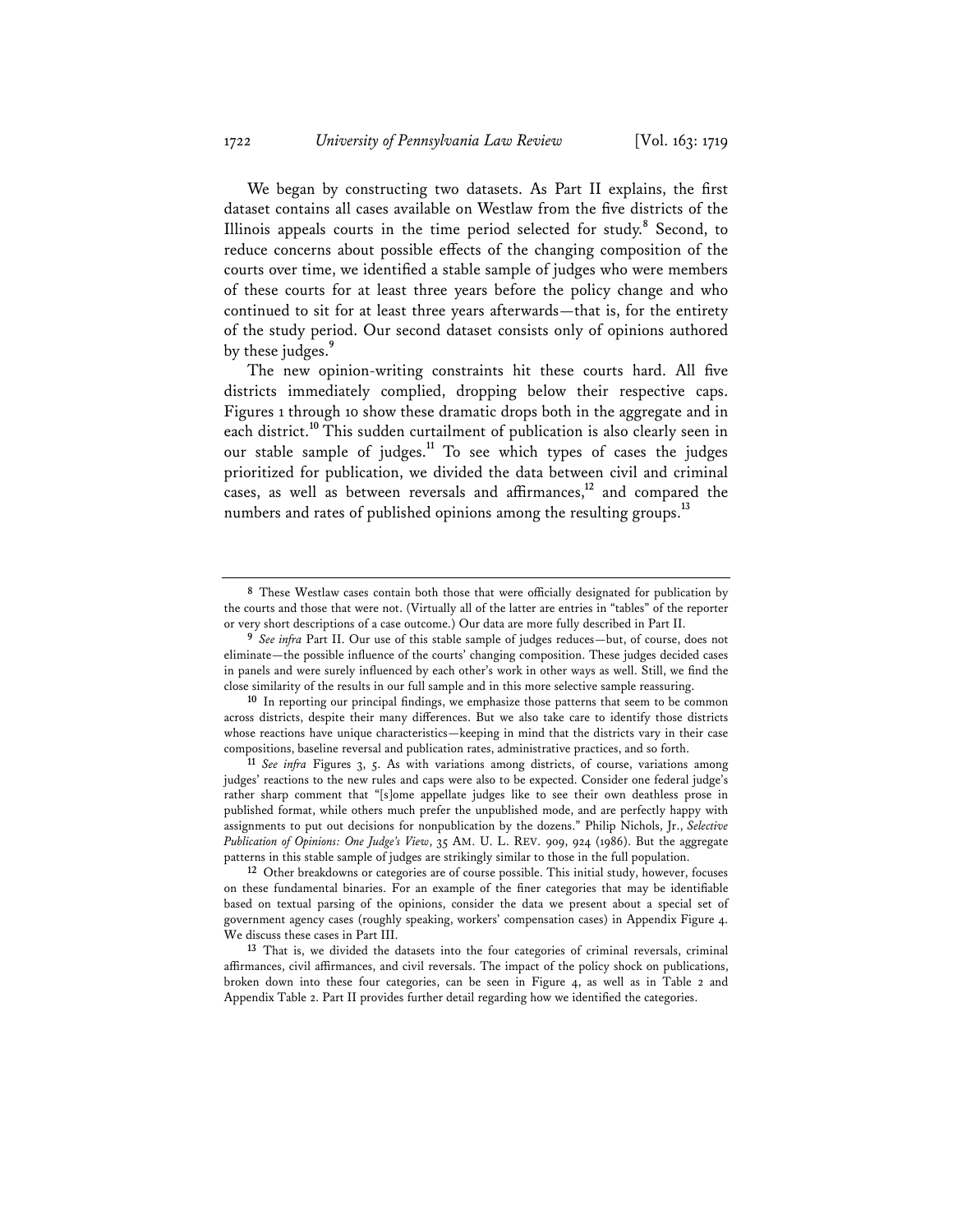We began by constructing two datasets. As Part II explains, the first dataset contains all cases available on Westlaw from the five districts of the Illinois appeals courts in the time period selected for study.**<sup>8</sup>** Second, to reduce concerns about possible effects of the changing composition of the courts over time, we identified a stable sample of judges who were members of these courts for at least three years before the policy change and who continued to sit for at least three years afterwards—that is, for the entirety of the study period. Our second dataset consists only of opinions authored by these judges.**<sup>9</sup>**

The new opinion-writing constraints hit these courts hard. All five districts immediately complied, dropping below their respective caps. Figures 1 through 10 show these dramatic drops both in the aggregate and in each district.**<sup>10</sup>** This sudden curtailment of publication is also clearly seen in our stable sample of judges.**<sup>11</sup>** To see which types of cases the judges prioritized for publication, we divided the data between civil and criminal cases, as well as between reversals and affirmances,**<sup>12</sup>** and compared the numbers and rates of published opinions among the resulting groups.**<sup>13</sup>**

**<sup>8</sup>** These Westlaw cases contain both those that were officially designated for publication by the courts and those that were not. (Virtually all of the latter are entries in "tables" of the reporter or very short descriptions of a case outcome.) Our data are more fully described in Part II.

**<sup>9</sup>** *See infra* Part II. Our use of this stable sample of judges reduces—but, of course, does not eliminate—the possible influence of the courts' changing composition. These judges decided cases in panels and were surely influenced by each other's work in other ways as well. Still, we find the close similarity of the results in our full sample and in this more selective sample reassuring.

**<sup>10</sup>** In reporting our principal findings, we emphasize those patterns that seem to be common across districts, despite their many differences. But we also take care to identify those districts whose reactions have unique characteristics—keeping in mind that the districts vary in their case compositions, baseline reversal and publication rates, administrative practices, and so forth.

**<sup>11</sup>** *See infra* Figures 3, 5. As with variations among districts, of course, variations among judges' reactions to the new rules and caps were also to be expected. Consider one federal judge's rather sharp comment that "[s]ome appellate judges like to see their own deathless prose in published format, while others much prefer the unpublished mode, and are perfectly happy with assignments to put out decisions for nonpublication by the dozens." Philip Nichols, Jr., *Selective Publication of Opinions: One Judge's View*, 35 AM. U. L. REV. 909, 924 (1986). But the aggregate patterns in this stable sample of judges are strikingly similar to those in the full population.

**<sup>12</sup>** Other breakdowns or categories are of course possible. This initial study, however, focuses on these fundamental binaries. For an example of the finer categories that may be identifiable based on textual parsing of the opinions, consider the data we present about a special set of government agency cases (roughly speaking, workers' compensation cases) in Appendix Figure 4. We discuss these cases in Part III.

**<sup>13</sup>** That is, we divided the datasets into the four categories of criminal reversals, criminal affirmances, civil affirmances, and civil reversals. The impact of the policy shock on publications, broken down into these four categories, can be seen in Figure 4, as well as in Table 2 and Appendix Table 2. Part II provides further detail regarding how we identified the categories.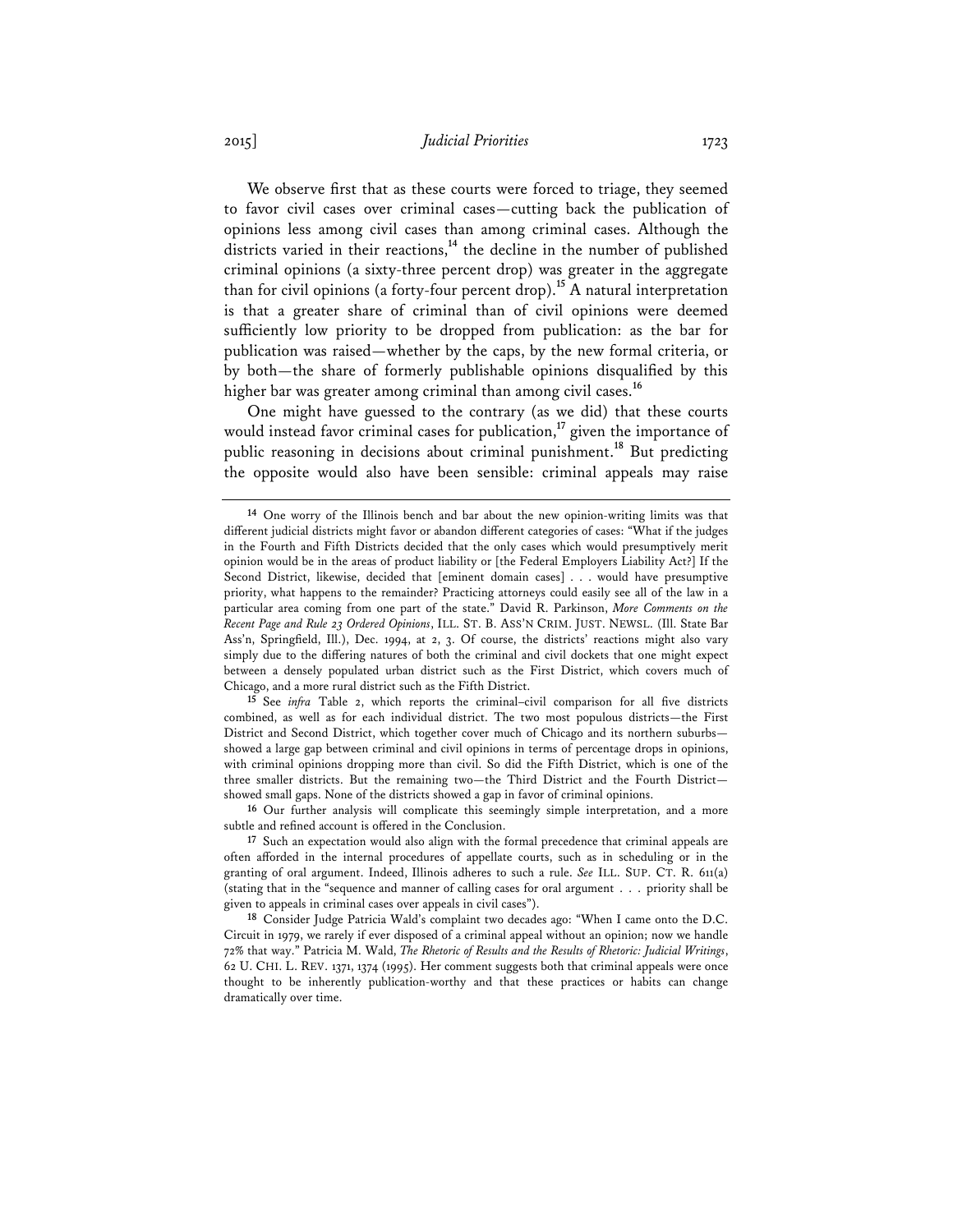## 2015] *Judicial Priorities* 1723

We observe first that as these courts were forced to triage, they seemed to favor civil cases over criminal cases—cutting back the publication of opinions less among civil cases than among criminal cases. Although the districts varied in their reactions,**<sup>14</sup>** the decline in the number of published criminal opinions (a sixty-three percent drop) was greater in the aggregate than for civil opinions (a forty-four percent drop).**<sup>15</sup>** A natural interpretation is that a greater share of criminal than of civil opinions were deemed sufficiently low priority to be dropped from publication: as the bar for publication was raised—whether by the caps, by the new formal criteria, or by both—the share of formerly publishable opinions disqualified by this higher bar was greater among criminal than among civil cases.**<sup>16</sup>**

One might have guessed to the contrary (as we did) that these courts would instead favor criminal cases for publication,**<sup>17</sup>** given the importance of public reasoning in decisions about criminal punishment.**<sup>18</sup>** But predicting the opposite would also have been sensible: criminal appeals may raise

**16** Our further analysis will complicate this seemingly simple interpretation, and a more subtle and refined account is offered in the Conclusion.

**<sup>14</sup>** One worry of the Illinois bench and bar about the new opinion-writing limits was that different judicial districts might favor or abandon different categories of cases: "What if the judges in the Fourth and Fifth Districts decided that the only cases which would presumptively merit opinion would be in the areas of product liability or [the Federal Employers Liability Act?] If the Second District, likewise, decided that [eminent domain cases] . . . would have presumptive priority, what happens to the remainder? Practicing attorneys could easily see all of the law in a particular area coming from one part of the state." David R. Parkinson, *More Comments on the Recent Page and Rule 23 Ordered Opinions*, ILL. ST. B. ASS'N CRIM. JUST. NEWSL. (Ill. State Bar Ass'n, Springfield, Ill.), Dec. 1994, at 2, 3. Of course, the districts' reactions might also vary simply due to the differing natures of both the criminal and civil dockets that one might expect between a densely populated urban district such as the First District, which covers much of Chicago, and a more rural district such as the Fifth District.

**<sup>15</sup>** See *infra* Table 2, which reports the criminal–civil comparison for all five districts combined, as well as for each individual district. The two most populous districts—the First District and Second District, which together cover much of Chicago and its northern suburbs showed a large gap between criminal and civil opinions in terms of percentage drops in opinions, with criminal opinions dropping more than civil. So did the Fifth District, which is one of the three smaller districts. But the remaining two—the Third District and the Fourth District showed small gaps. None of the districts showed a gap in favor of criminal opinions.

**<sup>17</sup>** Such an expectation would also align with the formal precedence that criminal appeals are often afforded in the internal procedures of appellate courts, such as in scheduling or in the granting of oral argument. Indeed, Illinois adheres to such a rule. *See* ILL. SUP. CT. R. 611(a) (stating that in the "sequence and manner of calling cases for oral argument . . . priority shall be given to appeals in criminal cases over appeals in civil cases").

**<sup>18</sup>** Consider Judge Patricia Wald's complaint two decades ago: "When I came onto the D.C. Circuit in 1979, we rarely if ever disposed of a criminal appeal without an opinion; now we handle 72% that way." Patricia M. Wald, *The Rhetoric of Results and the Results of Rhetoric: Judicial Writings*, 62 U. CHI. L. REV. 1371, 1374 (1995). Her comment suggests both that criminal appeals were once thought to be inherently publication-worthy and that these practices or habits can change dramatically over time.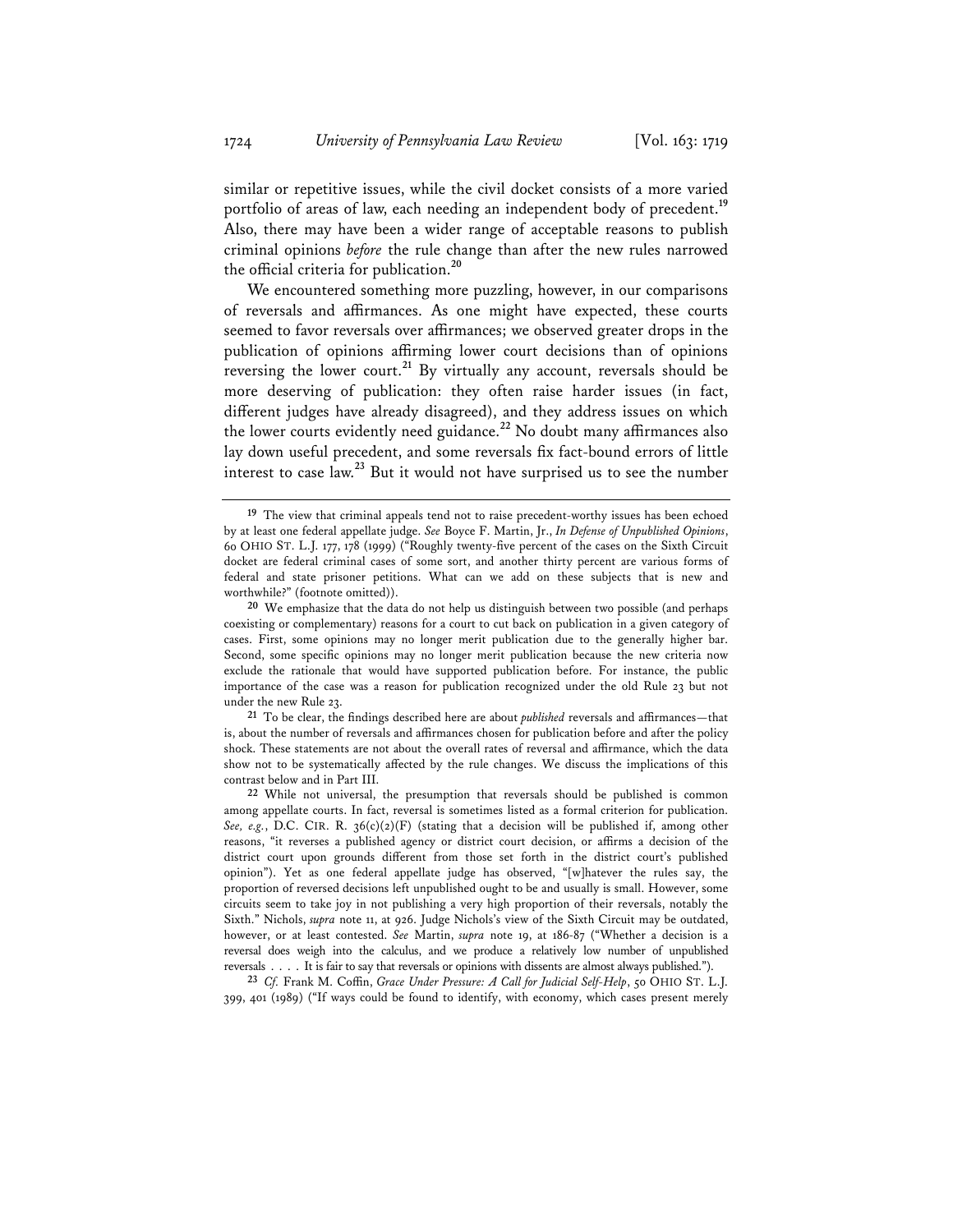similar or repetitive issues, while the civil docket consists of a more varied portfolio of areas of law, each needing an independent body of precedent.**<sup>19</sup>** Also, there may have been a wider range of acceptable reasons to publish criminal opinions *before* the rule change than after the new rules narrowed the official criteria for publication.**<sup>20</sup>**

We encountered something more puzzling, however, in our comparisons of reversals and affirmances. As one might have expected, these courts seemed to favor reversals over affirmances; we observed greater drops in the publication of opinions affirming lower court decisions than of opinions reversing the lower court.<sup>21</sup> By virtually any account, reversals should be more deserving of publication: they often raise harder issues (in fact, different judges have already disagreed), and they address issues on which the lower courts evidently need guidance.**<sup>22</sup>** No doubt many affirmances also lay down useful precedent, and some reversals fix fact-bound errors of little interest to case law.**<sup>23</sup>** But it would not have surprised us to see the number

**21** To be clear, the findings described here are about *published* reversals and affirmances—that is, about the number of reversals and affirmances chosen for publication before and after the policy shock. These statements are not about the overall rates of reversal and affirmance, which the data show not to be systematically affected by the rule changes. We discuss the implications of this contrast below and in Part III.

**23** *Cf.* Frank M. Coffin, *Grace Under Pressure: A Call for Judicial Self-Help*, 50 OHIO ST. L.J. 399, 401 (1989) ("If ways could be found to identify, with economy, which cases present merely

**<sup>19</sup>** The view that criminal appeals tend not to raise precedent-worthy issues has been echoed by at least one federal appellate judge. *See* Boyce F. Martin, Jr., *In Defense of Unpublished Opinions*, 60 OHIO ST. L.J. 177, 178 (1999) ("Roughly twenty-five percent of the cases on the Sixth Circuit docket are federal criminal cases of some sort, and another thirty percent are various forms of federal and state prisoner petitions. What can we add on these subjects that is new and worthwhile?" (footnote omitted)).

**<sup>20</sup>** We emphasize that the data do not help us distinguish between two possible (and perhaps coexisting or complementary) reasons for a court to cut back on publication in a given category of cases. First, some opinions may no longer merit publication due to the generally higher bar. Second, some specific opinions may no longer merit publication because the new criteria now exclude the rationale that would have supported publication before. For instance, the public importance of the case was a reason for publication recognized under the old Rule 23 but not under the new Rule 23.

**<sup>22</sup>** While not universal, the presumption that reversals should be published is common among appellate courts. In fact, reversal is sometimes listed as a formal criterion for publication. See, e.g., D.C. CIR. R.  $36(c)(2)(F)$  (stating that a decision will be published if, among other reasons, "it reverses a published agency or district court decision, or affirms a decision of the district court upon grounds different from those set forth in the district court's published opinion"). Yet as one federal appellate judge has observed, "[w]hatever the rules say, the proportion of reversed decisions left unpublished ought to be and usually is small. However, some circuits seem to take joy in not publishing a very high proportion of their reversals, notably the Sixth." Nichols, *supra* note 11, at 926. Judge Nichols's view of the Sixth Circuit may be outdated, however, or at least contested. *See* Martin, *supra* note 19, at 186-87 ("Whether a decision is a reversal does weigh into the calculus, and we produce a relatively low number of unpublished reversals . . . . It is fair to say that reversals or opinions with dissents are almost always published.").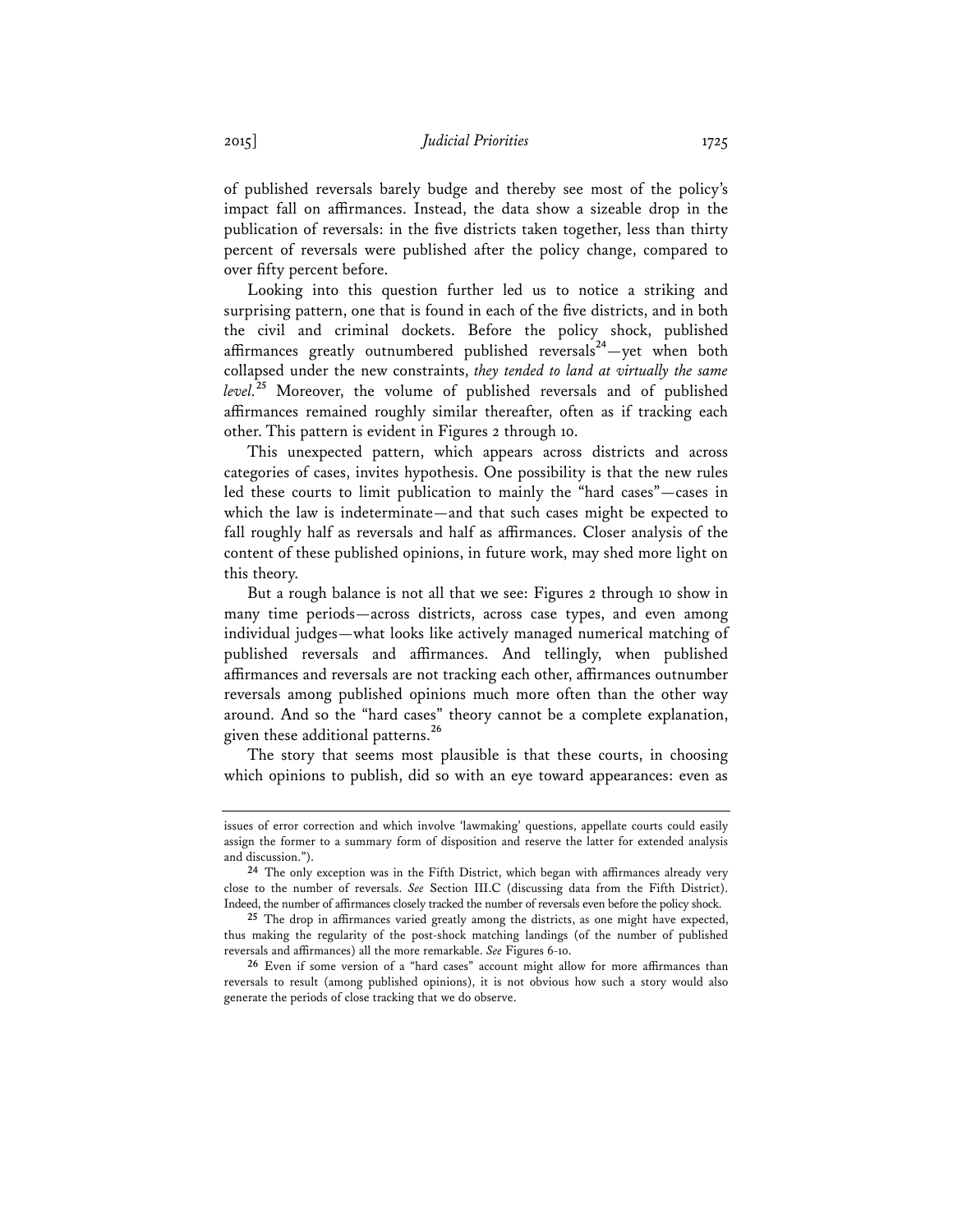of published reversals barely budge and thereby see most of the policy's impact fall on affirmances. Instead, the data show a sizeable drop in the publication of reversals: in the five districts taken together, less than thirty percent of reversals were published after the policy change, compared to over fifty percent before.

Looking into this question further led us to notice a striking and surprising pattern, one that is found in each of the five districts, and in both the civil and criminal dockets. Before the policy shock, published affirmances greatly outnumbered published reversals**<sup>24</sup>**—yet when both collapsed under the new constraints, *they tended to land at virtually the same level.***<sup>25</sup>** Moreover, the volume of published reversals and of published affirmances remained roughly similar thereafter, often as if tracking each other. This pattern is evident in Figures 2 through 10.

This unexpected pattern, which appears across districts and across categories of cases, invites hypothesis. One possibility is that the new rules led these courts to limit publication to mainly the "hard cases"—cases in which the law is indeterminate—and that such cases might be expected to fall roughly half as reversals and half as affirmances. Closer analysis of the content of these published opinions, in future work, may shed more light on this theory.

But a rough balance is not all that we see: Figures 2 through 10 show in many time periods—across districts, across case types, and even among individual judges—what looks like actively managed numerical matching of published reversals and affirmances. And tellingly, when published affirmances and reversals are not tracking each other, affirmances outnumber reversals among published opinions much more often than the other way around. And so the "hard cases" theory cannot be a complete explanation, given these additional patterns.**<sup>26</sup>**

The story that seems most plausible is that these courts, in choosing which opinions to publish, did so with an eye toward appearances: even as

issues of error correction and which involve 'lawmaking' questions, appellate courts could easily assign the former to a summary form of disposition and reserve the latter for extended analysis and discussion.").

**<sup>24</sup>** The only exception was in the Fifth District, which began with affirmances already very close to the number of reversals. *See* Section III.C (discussing data from the Fifth District). Indeed, the number of affirmances closely tracked the number of reversals even before the policy shock.

**<sup>25</sup>** The drop in affirmances varied greatly among the districts, as one might have expected, thus making the regularity of the post-shock matching landings (of the number of published reversals and affirmances) all the more remarkable. *See* Figures 6-10.

**<sup>26</sup>** Even if some version of a "hard cases" account might allow for more affirmances than reversals to result (among published opinions), it is not obvious how such a story would also generate the periods of close tracking that we do observe.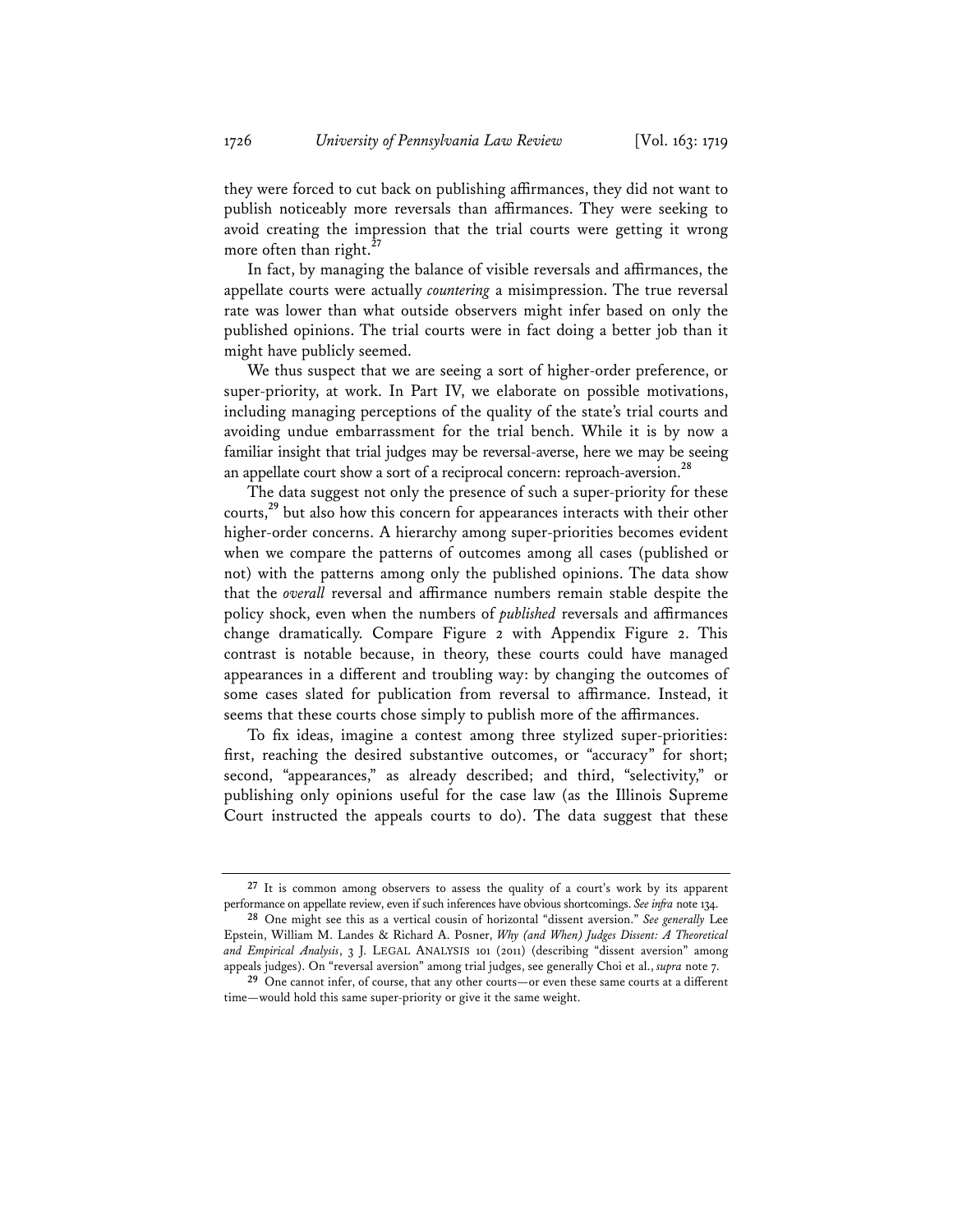they were forced to cut back on publishing affirmances, they did not want to publish noticeably more reversals than affirmances. They were seeking to avoid creating the impression that the trial courts were getting it wrong more often than right.**<sup>27</sup>**

In fact, by managing the balance of visible reversals and affirmances, the appellate courts were actually *countering* a misimpression. The true reversal rate was lower than what outside observers might infer based on only the published opinions. The trial courts were in fact doing a better job than it might have publicly seemed.

We thus suspect that we are seeing a sort of higher-order preference, or super-priority, at work. In Part IV, we elaborate on possible motivations, including managing perceptions of the quality of the state's trial courts and avoiding undue embarrassment for the trial bench. While it is by now a familiar insight that trial judges may be reversal-averse, here we may be seeing an appellate court show a sort of a reciprocal concern: reproach-aversion.**<sup>28</sup>**

The data suggest not only the presence of such a super-priority for these courts,**<sup>29</sup>** but also how this concern for appearances interacts with their other higher-order concerns. A hierarchy among super-priorities becomes evident when we compare the patterns of outcomes among all cases (published or not) with the patterns among only the published opinions. The data show that the *overall* reversal and affirmance numbers remain stable despite the policy shock, even when the numbers of *published* reversals and affirmances change dramatically. Compare Figure 2 with Appendix Figure 2. This contrast is notable because, in theory, these courts could have managed appearances in a different and troubling way: by changing the outcomes of some cases slated for publication from reversal to affirmance. Instead, it seems that these courts chose simply to publish more of the affirmances.

To fix ideas, imagine a contest among three stylized super-priorities: first, reaching the desired substantive outcomes, or "accuracy" for short; second, "appearances," as already described; and third, "selectivity," or publishing only opinions useful for the case law (as the Illinois Supreme Court instructed the appeals courts to do). The data suggest that these

**<sup>27</sup>** It is common among observers to assess the quality of a court's work by its apparent performance on appellate review, even if such inferences have obvious shortcomings. *See infra* note 134.

**<sup>28</sup>** One might see this as a vertical cousin of horizontal "dissent aversion." *See generally* Lee Epstein, William M. Landes & Richard A. Posner, *Why (and When) Judges Dissent: A Theoretical and Empirical Analysis*, 3 J. LEGAL ANALYSIS 101 (2011) (describing "dissent aversion" among appeals judges). On "reversal aversion" among trial judges, see generally Choi et al., *supra* note 7.

**<sup>29</sup>** One cannot infer, of course, that any other courts—or even these same courts at a different time—would hold this same super-priority or give it the same weight.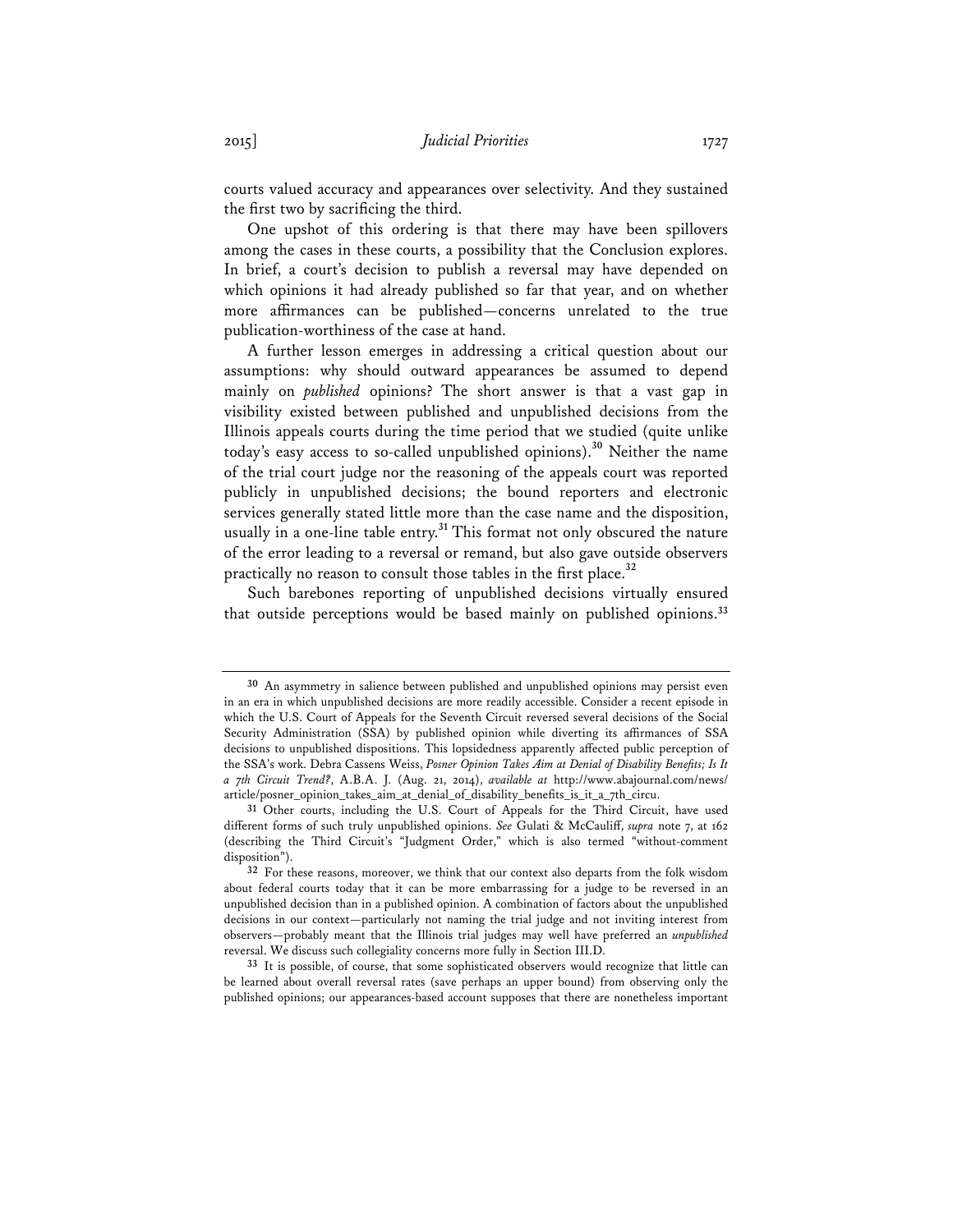courts valued accuracy and appearances over selectivity. And they sustained the first two by sacrificing the third.

One upshot of this ordering is that there may have been spillovers among the cases in these courts, a possibility that the Conclusion explores. In brief, a court's decision to publish a reversal may have depended on which opinions it had already published so far that year, and on whether more affirmances can be published—concerns unrelated to the true publication-worthiness of the case at hand.

A further lesson emerges in addressing a critical question about our assumptions: why should outward appearances be assumed to depend mainly on *published* opinions? The short answer is that a vast gap in visibility existed between published and unpublished decisions from the Illinois appeals courts during the time period that we studied (quite unlike today's easy access to so-called unpublished opinions).**<sup>30</sup>** Neither the name of the trial court judge nor the reasoning of the appeals court was reported publicly in unpublished decisions; the bound reporters and electronic services generally stated little more than the case name and the disposition, usually in a one-line table entry.**<sup>31</sup>** This format not only obscured the nature of the error leading to a reversal or remand, but also gave outside observers practically no reason to consult those tables in the first place.**<sup>32</sup>**

Such barebones reporting of unpublished decisions virtually ensured that outside perceptions would be based mainly on published opinions.**<sup>33</sup>**

**33** It is possible, of course, that some sophisticated observers would recognize that little can be learned about overall reversal rates (save perhaps an upper bound) from observing only the published opinions; our appearances-based account supposes that there are nonetheless important

**<sup>30</sup>** An asymmetry in salience between published and unpublished opinions may persist even in an era in which unpublished decisions are more readily accessible. Consider a recent episode in which the U.S. Court of Appeals for the Seventh Circuit reversed several decisions of the Social Security Administration (SSA) by published opinion while diverting its affirmances of SSA decisions to unpublished dispositions. This lopsidedness apparently affected public perception of the SSA's work. Debra Cassens Weiss, *Posner Opinion Takes Aim at Denial of Disability Benefits; Is It a 7th Circuit Trend?*, A.B.A. J. (Aug. 21, 2014), *available at* http://www.abajournal.com/news/ article/posner\_opinion\_takes\_aim\_at\_denial\_of\_disability\_benefits\_is\_it\_a\_7th\_circu.

**<sup>31</sup>** Other courts, including the U.S. Court of Appeals for the Third Circuit, have used different forms of such truly unpublished opinions. *See* Gulati & McCauliff, *supra* note 7, at 162 (describing the Third Circuit's "Judgment Order," which is also termed "without-comment disposition").

**<sup>32</sup>** For these reasons, moreover, we think that our context also departs from the folk wisdom about federal courts today that it can be more embarrassing for a judge to be reversed in an unpublished decision than in a published opinion. A combination of factors about the unpublished decisions in our context—particularly not naming the trial judge and not inviting interest from observers—probably meant that the Illinois trial judges may well have preferred an *unpublished* reversal. We discuss such collegiality concerns more fully in Section III.D.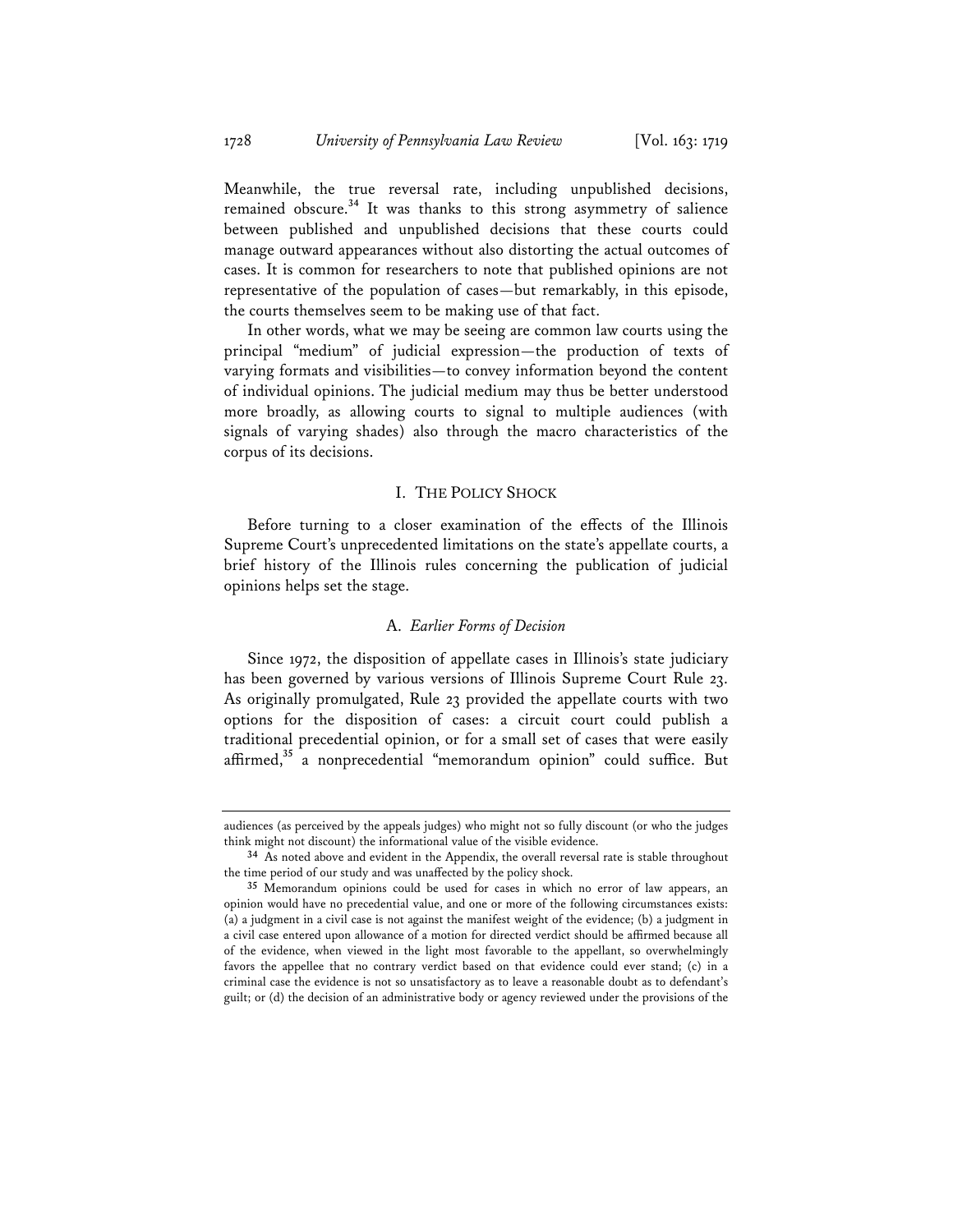Meanwhile, the true reversal rate, including unpublished decisions, remained obscure.**<sup>34</sup>** It was thanks to this strong asymmetry of salience between published and unpublished decisions that these courts could manage outward appearances without also distorting the actual outcomes of cases. It is common for researchers to note that published opinions are not representative of the population of cases—but remarkably, in this episode, the courts themselves seem to be making use of that fact.

In other words, what we may be seeing are common law courts using the principal "medium" of judicial expression—the production of texts of varying formats and visibilities—to convey information beyond the content of individual opinions. The judicial medium may thus be better understood more broadly, as allowing courts to signal to multiple audiences (with signals of varying shades) also through the macro characteristics of the corpus of its decisions.

#### I. THE POLICY SHOCK

Before turning to a closer examination of the effects of the Illinois Supreme Court's unprecedented limitations on the state's appellate courts, a brief history of the Illinois rules concerning the publication of judicial opinions helps set the stage.

#### A. *Earlier Forms of Decision*

Since 1972, the disposition of appellate cases in Illinois's state judiciary has been governed by various versions of Illinois Supreme Court Rule 23. As originally promulgated, Rule 23 provided the appellate courts with two options for the disposition of cases: a circuit court could publish a traditional precedential opinion, or for a small set of cases that were easily affirmed,**<sup>35</sup>** a nonprecedential "memorandum opinion" could suffice. But

audiences (as perceived by the appeals judges) who might not so fully discount (or who the judges think might not discount) the informational value of the visible evidence.

**<sup>34</sup>** As noted above and evident in the Appendix, the overall reversal rate is stable throughout the time period of our study and was unaffected by the policy shock.

**<sup>35</sup>** Memorandum opinions could be used for cases in which no error of law appears, an opinion would have no precedential value, and one or more of the following circumstances exists: (a) a judgment in a civil case is not against the manifest weight of the evidence; (b) a judgment in a civil case entered upon allowance of a motion for directed verdict should be affirmed because all of the evidence, when viewed in the light most favorable to the appellant, so overwhelmingly favors the appellee that no contrary verdict based on that evidence could ever stand; (c) in a criminal case the evidence is not so unsatisfactory as to leave a reasonable doubt as to defendant's guilt; or (d) the decision of an administrative body or agency reviewed under the provisions of the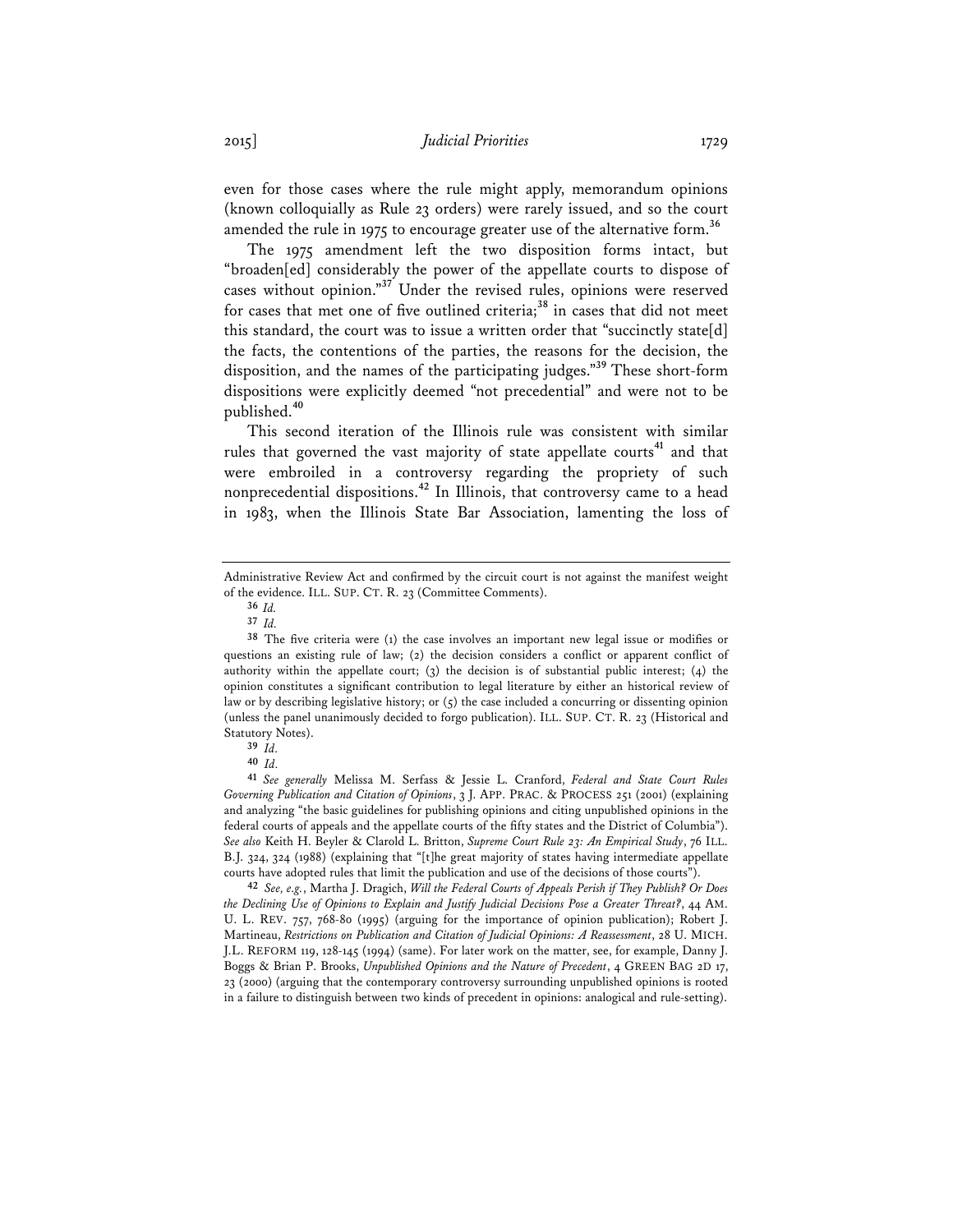even for those cases where the rule might apply, memorandum opinions (known colloquially as Rule 23 orders) were rarely issued, and so the court amended the rule in 1975 to encourage greater use of the alternative form.**<sup>36</sup>**

The 1975 amendment left the two disposition forms intact, but "broaden[ed] considerably the power of the appellate courts to dispose of cases without opinion."**<sup>37</sup>** Under the revised rules, opinions were reserved for cases that met one of five outlined criteria;**<sup>38</sup>** in cases that did not meet this standard, the court was to issue a written order that "succinctly state[d] the facts, the contentions of the parties, the reasons for the decision, the disposition, and the names of the participating judges."**<sup>39</sup>** These short-form dispositions were explicitly deemed "not precedential" and were not to be published.**<sup>40</sup>**

This second iteration of the Illinois rule was consistent with similar rules that governed the vast majority of state appellate courts<sup>41</sup> and that were embroiled in a controversy regarding the propriety of such nonprecedential dispositions.**<sup>42</sup>** In Illinois, that controversy came to a head in 1983, when the Illinois State Bar Association, lamenting the loss of

**42** *See, e.g.*, Martha J. Dragich, *Will the Federal Courts of Appeals Perish if They Publish? Or Does the Declining Use of Opinions to Explain and Justify Judicial Decisions Pose a Greater Threat?*, 44 AM. U. L. REV. 757, 768-80 (1995) (arguing for the importance of opinion publication); Robert J. Martineau, *Restrictions on Publication and Citation of Judicial Opinions: A Reassessment*, 28 U. MICH. J.L. REFORM 119, 128-145 (1994) (same). For later work on the matter, see, for example, Danny J. Boggs & Brian P. Brooks, *Unpublished Opinions and the Nature of Precedent*, 4 GREEN BAG 2D 17, 23 (2000) (arguing that the contemporary controversy surrounding unpublished opinions is rooted in a failure to distinguish between two kinds of precedent in opinions: analogical and rule-setting).

Administrative Review Act and confirmed by the circuit court is not against the manifest weight of the evidence. ILL. SUP. CT. R. 23 (Committee Comments).

**<sup>36</sup>** *Id.*

**<sup>37</sup>** *Id.*

**<sup>38</sup>** The five criteria were (1) the case involves an important new legal issue or modifies or questions an existing rule of law; (2) the decision considers a conflict or apparent conflict of authority within the appellate court; (3) the decision is of substantial public interest; (4) the opinion constitutes a significant contribution to legal literature by either an historical review of law or by describing legislative history; or  $(5)$  the case included a concurring or dissenting opinion (unless the panel unanimously decided to forgo publication). ILL. SUP. CT. R. 23 (Historical and Statutory Notes).

**<sup>39</sup>** *Id.*

**<sup>40</sup>** *Id.*

**<sup>41</sup>** *See generally* Melissa M. Serfass & Jessie L. Cranford, *Federal and State Court Rules Governing Publication and Citation of Opinions*, 3 J. APP. PRAC. & PROCESS 251 (2001) (explaining and analyzing "the basic guidelines for publishing opinions and citing unpublished opinions in the federal courts of appeals and the appellate courts of the fifty states and the District of Columbia"). *See also* Keith H. Beyler & Clarold L. Britton, *Supreme Court Rule 23: An Empirical Study*, 76 ILL. B.J. 324, 324 (1988) (explaining that "[t]he great majority of states having intermediate appellate courts have adopted rules that limit the publication and use of the decisions of those courts").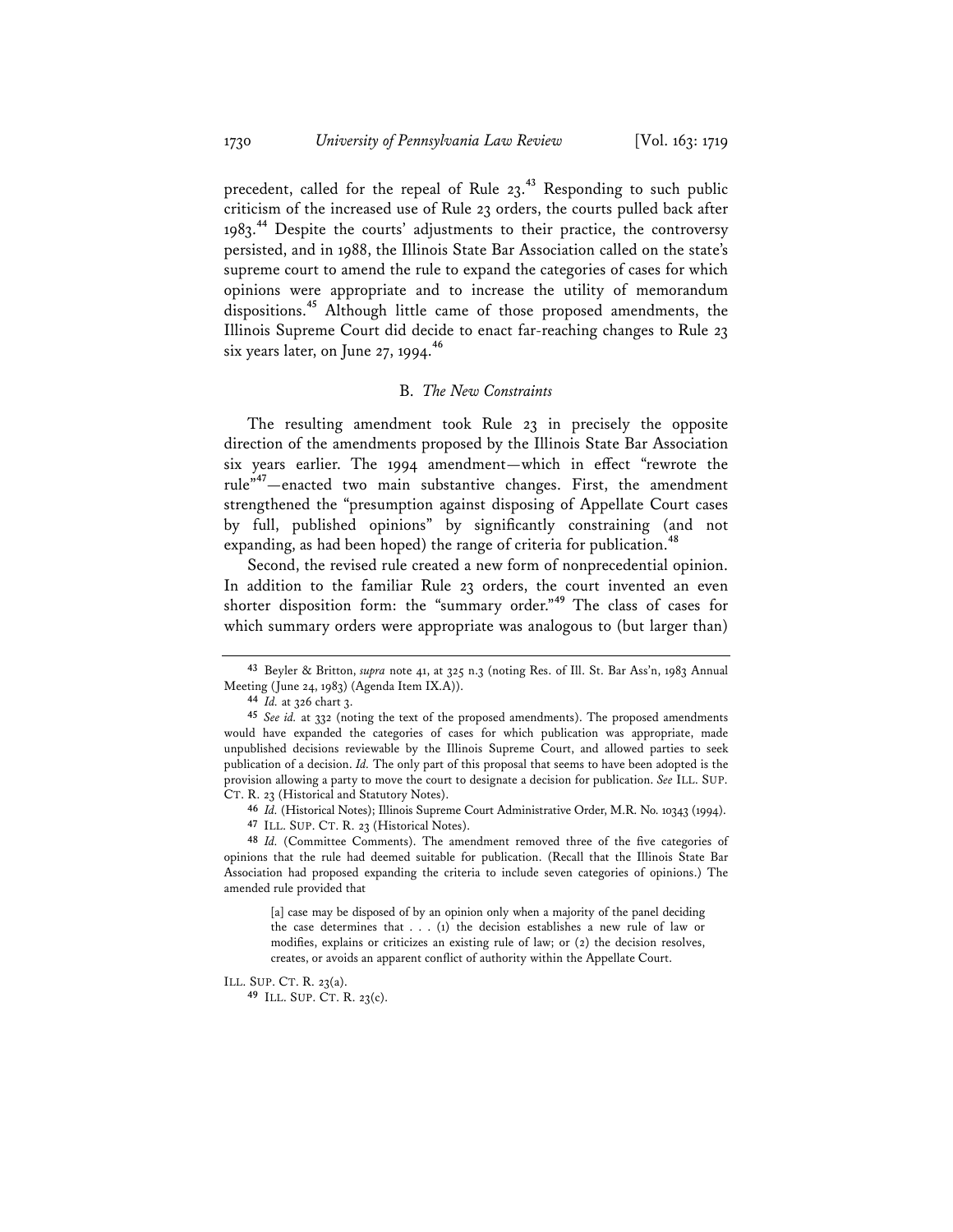precedent, called for the repeal of Rule 23.**<sup>43</sup>** Responding to such public criticism of the increased use of Rule 23 orders, the courts pulled back after 1983.**<sup>44</sup>** Despite the courts' adjustments to their practice, the controversy persisted, and in 1988, the Illinois State Bar Association called on the state's supreme court to amend the rule to expand the categories of cases for which opinions were appropriate and to increase the utility of memorandum dispositions.**<sup>45</sup>** Although little came of those proposed amendments, the Illinois Supreme Court did decide to enact far-reaching changes to Rule 23 six years later, on June 27, 1994.**<sup>46</sup>**

#### B. *The New Constraints*

The resulting amendment took Rule 23 in precisely the opposite direction of the amendments proposed by the Illinois State Bar Association six years earlier. The 1994 amendment—which in effect "rewrote the rule"**<sup>47</sup>**—enacted two main substantive changes. First, the amendment strengthened the "presumption against disposing of Appellate Court cases by full, published opinions" by significantly constraining (and not expanding, as had been hoped) the range of criteria for publication.**<sup>48</sup>**

Second, the revised rule created a new form of nonprecedential opinion. In addition to the familiar Rule 23 orders, the court invented an even shorter disposition form: the "summary order."**<sup>49</sup>** The class of cases for which summary orders were appropriate was analogous to (but larger than)

ILL. SUP. CT. R. 23(a).

**49** ILL. SUP. CT. R. 23(c).

**<sup>43</sup>** Beyler & Britton, *supra* note 41, at 325 n.3 (noting Res. of Ill. St. Bar Ass'n, 1983 Annual Meeting (June 24, 1983) (Agenda Item IX.A)).

**<sup>44</sup>** *Id.* at 326 chart 3.

**<sup>45</sup>** *See id.* at 332 (noting the text of the proposed amendments). The proposed amendments would have expanded the categories of cases for which publication was appropriate, made unpublished decisions reviewable by the Illinois Supreme Court, and allowed parties to seek publication of a decision. *Id.* The only part of this proposal that seems to have been adopted is the provision allowing a party to move the court to designate a decision for publication. *See* ILL. SUP. CT. R. 23 (Historical and Statutory Notes).

**<sup>46</sup>** *Id.* (Historical Notes); Illinois Supreme Court Administrative Order, M.R. No. 10343 (1994).

**<sup>47</sup>** ILL. SUP. CT. R. 23 (Historical Notes).

**<sup>48</sup>** *Id.* (Committee Comments). The amendment removed three of the five categories of opinions that the rule had deemed suitable for publication. (Recall that the Illinois State Bar Association had proposed expanding the criteria to include seven categories of opinions.) The amended rule provided that

<sup>[</sup>a] case may be disposed of by an opinion only when a majority of the panel deciding the case determines that . . . (1) the decision establishes a new rule of law or modifies, explains or criticizes an existing rule of law; or (2) the decision resolves, creates, or avoids an apparent conflict of authority within the Appellate Court.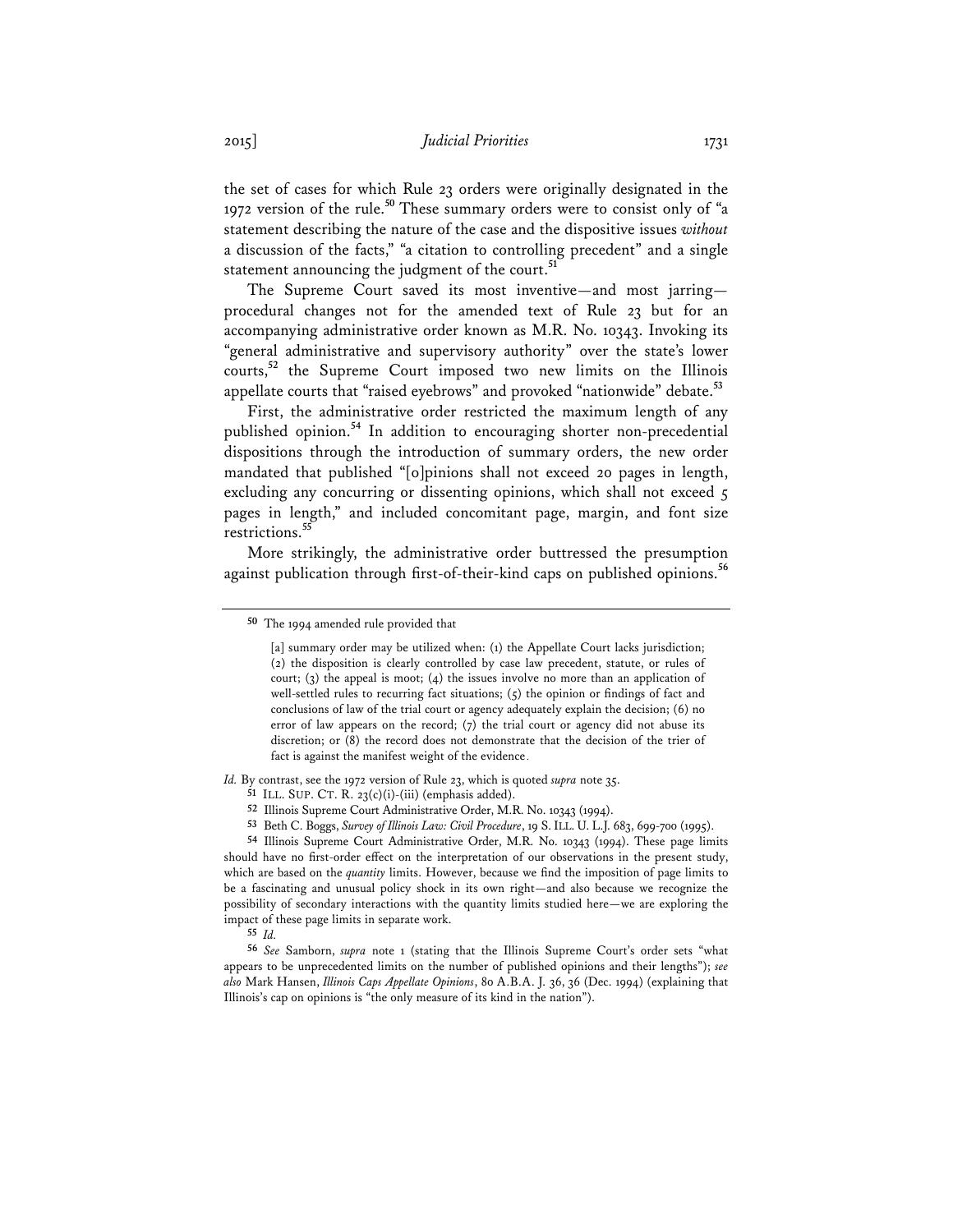the set of cases for which Rule 23 orders were originally designated in the 1972 version of the rule.**<sup>50</sup>** These summary orders were to consist only of "a statement describing the nature of the case and the dispositive issues *without* a discussion of the facts," "a citation to controlling precedent" and a single statement announcing the judgment of the court.**<sup>51</sup>**

The Supreme Court saved its most inventive—and most jarring procedural changes not for the amended text of Rule 23 but for an accompanying administrative order known as M.R. No. 10343. Invoking its "general administrative and supervisory authority" over the state's lower courts,**<sup>52</sup>** the Supreme Court imposed two new limits on the Illinois appellate courts that "raised eyebrows" and provoked "nationwide" debate.**<sup>53</sup>**

First, the administrative order restricted the maximum length of any published opinion.**<sup>54</sup>** In addition to encouraging shorter non-precedential dispositions through the introduction of summary orders, the new order mandated that published "[o]pinions shall not exceed 20 pages in length, excluding any concurring or dissenting opinions, which shall not exceed 5 pages in length," and included concomitant page, margin, and font size restrictions.**<sup>55</sup>**

More strikingly, the administrative order buttressed the presumption against publication through first-of-their-kind caps on published opinions.**<sup>56</sup>**

*Id.* By contrast, see the 1972 version of Rule 23, which is quoted *supra* note 35.

**53** Beth C. Boggs, *Survey of Illinois Law: Civil Procedure*, 19 S.ILL. U. L.J. 683, 699-700 (1995).

**54** Illinois Supreme Court Administrative Order, M.R. No. 10343 (1994). These page limits should have no first-order effect on the interpretation of our observations in the present study, which are based on the *quantity* limits. However, because we find the imposition of page limits to be a fascinating and unusual policy shock in its own right—and also because we recognize the possibility of secondary interactions with the quantity limits studied here—we are exploring the impact of these page limits in separate work.

**56** *See* Samborn, *supra* note 1 (stating that the Illinois Supreme Court's order sets "what appears to be unprecedented limits on the number of published opinions and their lengths"); *see also* Mark Hansen, *Illinois Caps Appellate Opinions*, 80 A.B.A. J. 36, 36 (Dec. 1994) (explaining that Illinois's cap on opinions is "the only measure of its kind in the nation").

**<sup>50</sup>** The 1994 amended rule provided that

<sup>[</sup>a] summary order may be utilized when: (1) the Appellate Court lacks jurisdiction; (2) the disposition is clearly controlled by case law precedent, statute, or rules of court;  $(3)$  the appeal is moot;  $(4)$  the issues involve no more than an application of well-settled rules to recurring fact situations; (5) the opinion or findings of fact and conclusions of law of the trial court or agency adequately explain the decision; (6) no error of law appears on the record; (7) the trial court or agency did not abuse its discretion; or (8) the record does not demonstrate that the decision of the trier of fact is against the manifest weight of the evidence.

**<sup>51</sup>** ILL. SUP. CT. R. 23(c)(i)-(iii) (emphasis added).

**<sup>52</sup>** Illinois Supreme Court Administrative Order, M.R. No. 10343 (1994).

**<sup>55</sup>** *Id.*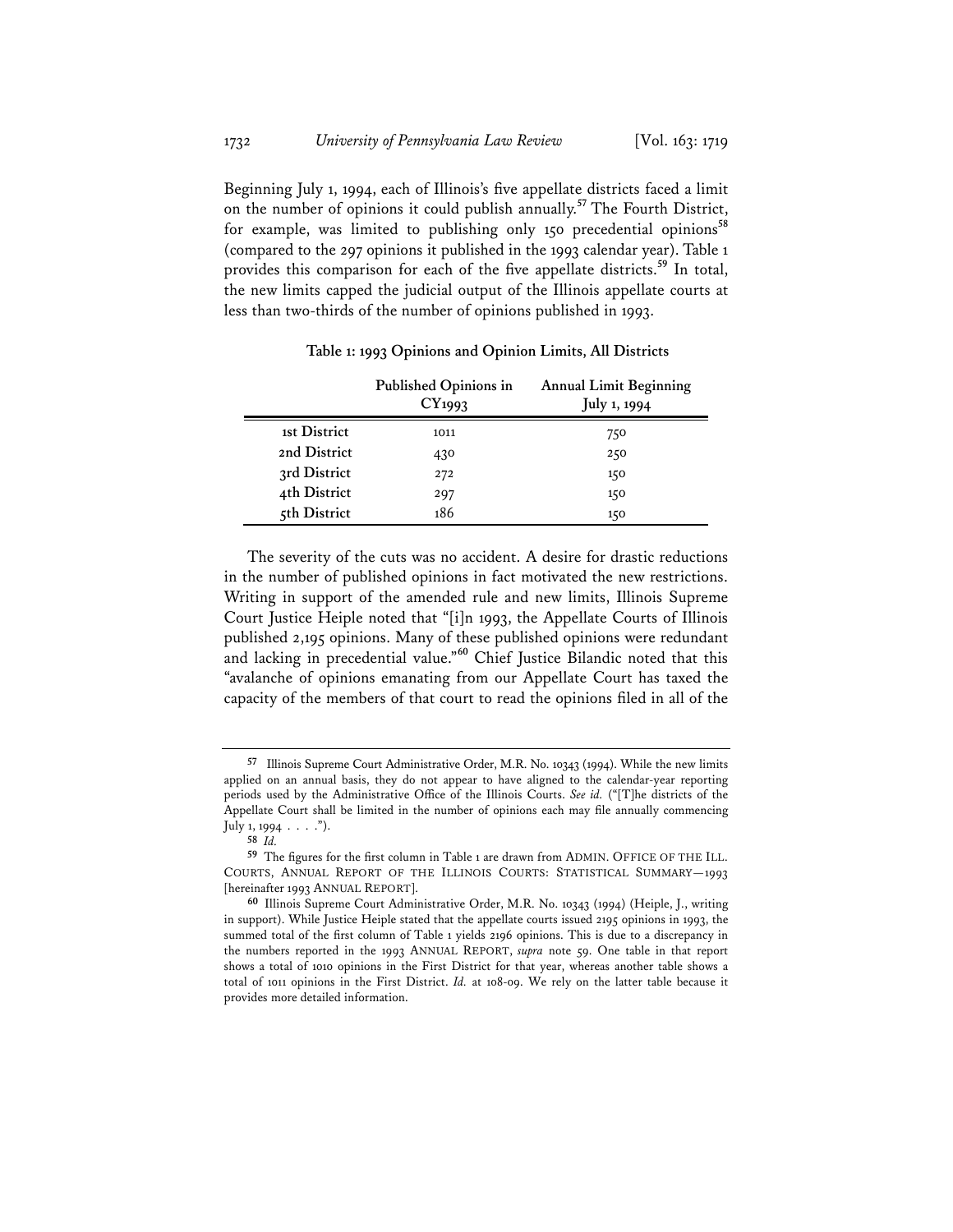Beginning July 1, 1994, each of Illinois's five appellate districts faced a limit on the number of opinions it could publish annually.**<sup>57</sup>** The Fourth District, for example, was limited to publishing only 150 precedential opinions**<sup>58</sup>** (compared to the 297 opinions it published in the 1993 calendar year). Table 1 provides this comparison for each of the five appellate districts.**<sup>59</sup>** In total, the new limits capped the judicial output of the Illinois appellate courts at less than two-thirds of the number of opinions published in 1993.

|              | Published Opinions in<br>CY1993 | <b>Annual Limit Beginning</b><br>July 1, 1994 |
|--------------|---------------------------------|-----------------------------------------------|
| 1st District | 1011                            | 750                                           |
| 2nd District | 430                             | 250                                           |
| 3rd District | 272                             | 150                                           |
| 4th District | 297                             | 150                                           |
| 5th District | 186                             | 150                                           |

**Table 1: 1993 Opinions and Opinion Limits, All Districts** 

The severity of the cuts was no accident. A desire for drastic reductions in the number of published opinions in fact motivated the new restrictions. Writing in support of the amended rule and new limits, Illinois Supreme Court Justice Heiple noted that "[i]n 1993, the Appellate Courts of Illinois published 2,195 opinions. Many of these published opinions were redundant and lacking in precedential value."**<sup>60</sup>** Chief Justice Bilandic noted that this "avalanche of opinions emanating from our Appellate Court has taxed the capacity of the members of that court to read the opinions filed in all of the

**<sup>57</sup>** Illinois Supreme Court Administrative Order, M.R. No. 10343 (1994). While the new limits applied on an annual basis, they do not appear to have aligned to the calendar-year reporting periods used by the Administrative Office of the Illinois Courts. *See id.* ("[T]he districts of the Appellate Court shall be limited in the number of opinions each may file annually commencing July 1, 1994  $\cdots$  .").

**<sup>58</sup>** *Id.*

**<sup>59</sup>** The figures for the first column in Table 1 are drawn from ADMIN. OFFICE OF THE ILL. COURTS, ANNUAL REPORT OF THE ILLINOIS COURTS: STATISTICAL SUMMARY—1993 [hereinafter 1993 ANNUAL REPORT].

**<sup>60</sup>** Illinois Supreme Court Administrative Order, M.R. No. 10343 (1994) (Heiple, J., writing in support). While Justice Heiple stated that the appellate courts issued 2195 opinions in 1993, the summed total of the first column of Table 1 yields 2196 opinions. This is due to a discrepancy in the numbers reported in the 1993 ANNUAL REPORT, *supra* note 59. One table in that report shows a total of 1010 opinions in the First District for that year, whereas another table shows a total of 1011 opinions in the First District. *Id.* at 108-09. We rely on the latter table because it provides more detailed information.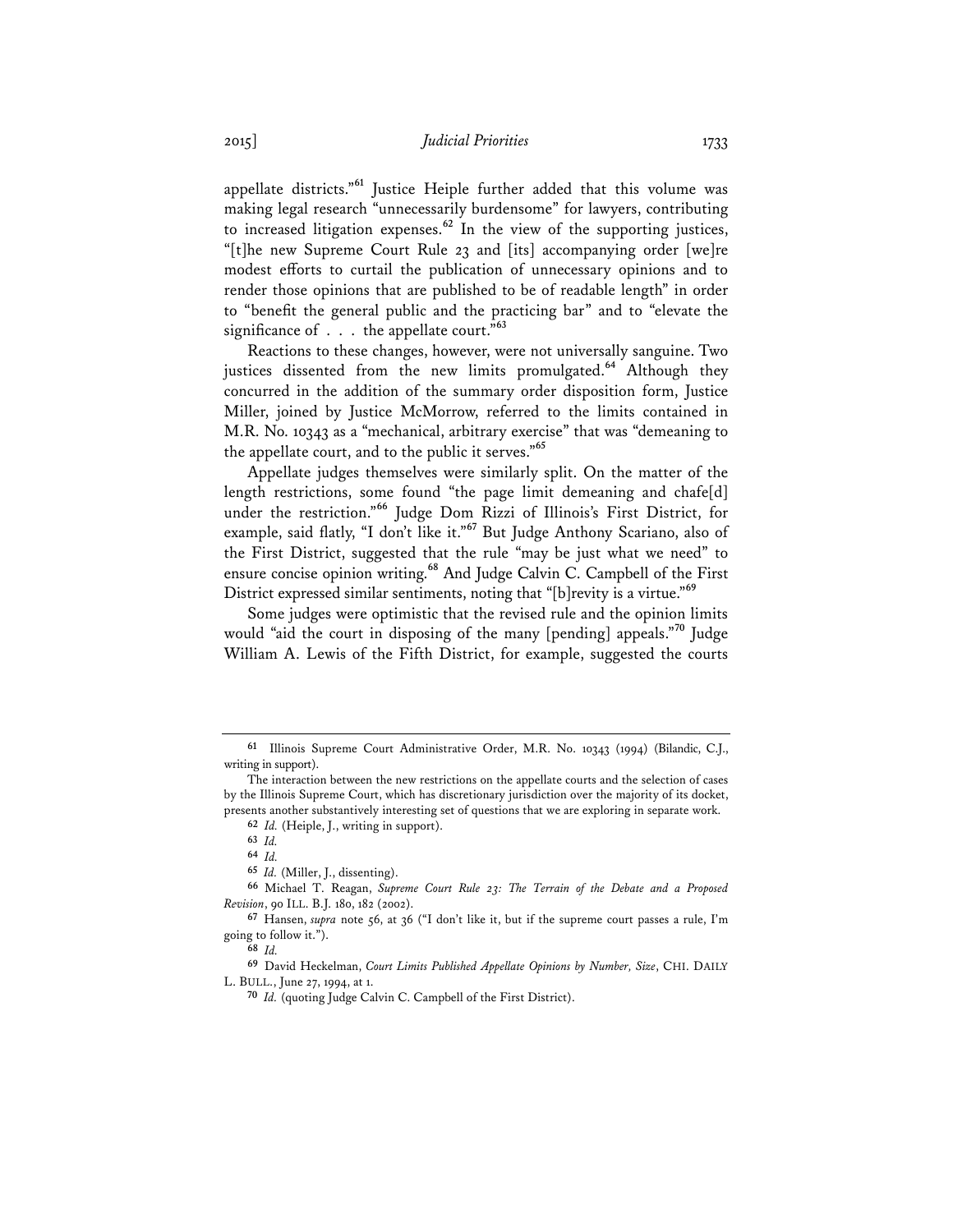appellate districts."**<sup>61</sup>** Justice Heiple further added that this volume was making legal research "unnecessarily burdensome" for lawyers, contributing to increased litigation expenses.**<sup>62</sup>** In the view of the supporting justices, "[t]he new Supreme Court Rule 23 and [its] accompanying order [we]re modest efforts to curtail the publication of unnecessary opinions and to render those opinions that are published to be of readable length" in order to "benefit the general public and the practicing bar" and to "elevate the significance of . . . the appellate court."**<sup>63</sup>**

Reactions to these changes, however, were not universally sanguine. Two justices dissented from the new limits promulgated.**<sup>64</sup>** Although they concurred in the addition of the summary order disposition form, Justice Miller, joined by Justice McMorrow, referred to the limits contained in M.R. No. 10343 as a "mechanical, arbitrary exercise" that was "demeaning to the appellate court, and to the public it serves."**<sup>65</sup>**

Appellate judges themselves were similarly split. On the matter of the length restrictions, some found "the page limit demeaning and chafe[d] under the restriction."**<sup>66</sup>** Judge Dom Rizzi of Illinois's First District, for example, said flatly, "I don't like it."**<sup>67</sup>** But Judge Anthony Scariano, also of the First District, suggested that the rule "may be just what we need" to ensure concise opinion writing.**<sup>68</sup>** And Judge Calvin C. Campbell of the First District expressed similar sentiments, noting that "[b]revity is a virtue."**<sup>69</sup>**

Some judges were optimistic that the revised rule and the opinion limits would "aid the court in disposing of the many [pending] appeals."**<sup>70</sup>** Judge William A. Lewis of the Fifth District, for example, suggested the courts

**<sup>61</sup>** Illinois Supreme Court Administrative Order, M.R. No. 10343 (1994) (Bilandic, C.J., writing in support).

The interaction between the new restrictions on the appellate courts and the selection of cases by the Illinois Supreme Court, which has discretionary jurisdiction over the majority of its docket, presents another substantively interesting set of questions that we are exploring in separate work.

**<sup>62</sup>** *Id.* (Heiple, J., writing in support).

**<sup>63</sup>** *Id.*

**<sup>64</sup>** *Id.*

**<sup>65</sup>** *Id.* (Miller, J., dissenting).

**<sup>66</sup>** Michael T. Reagan, *Supreme Court Rule 23: The Terrain of the Debate and a Proposed Revision*, 90 ILL. B.J. 180, 182 (2002).

**<sup>67</sup>** Hansen, *supra* note 56, at 36 ("I don't like it, but if the supreme court passes a rule, I'm going to follow it.").

**<sup>68</sup>** *Id.*

**<sup>69</sup>** David Heckelman, *Court Limits Published Appellate Opinions by Number, Size*, CHI. DAILY L. BULL., June 27, 1994, at 1.

**<sup>70</sup>** *Id.* (quoting Judge Calvin C. Campbell of the First District).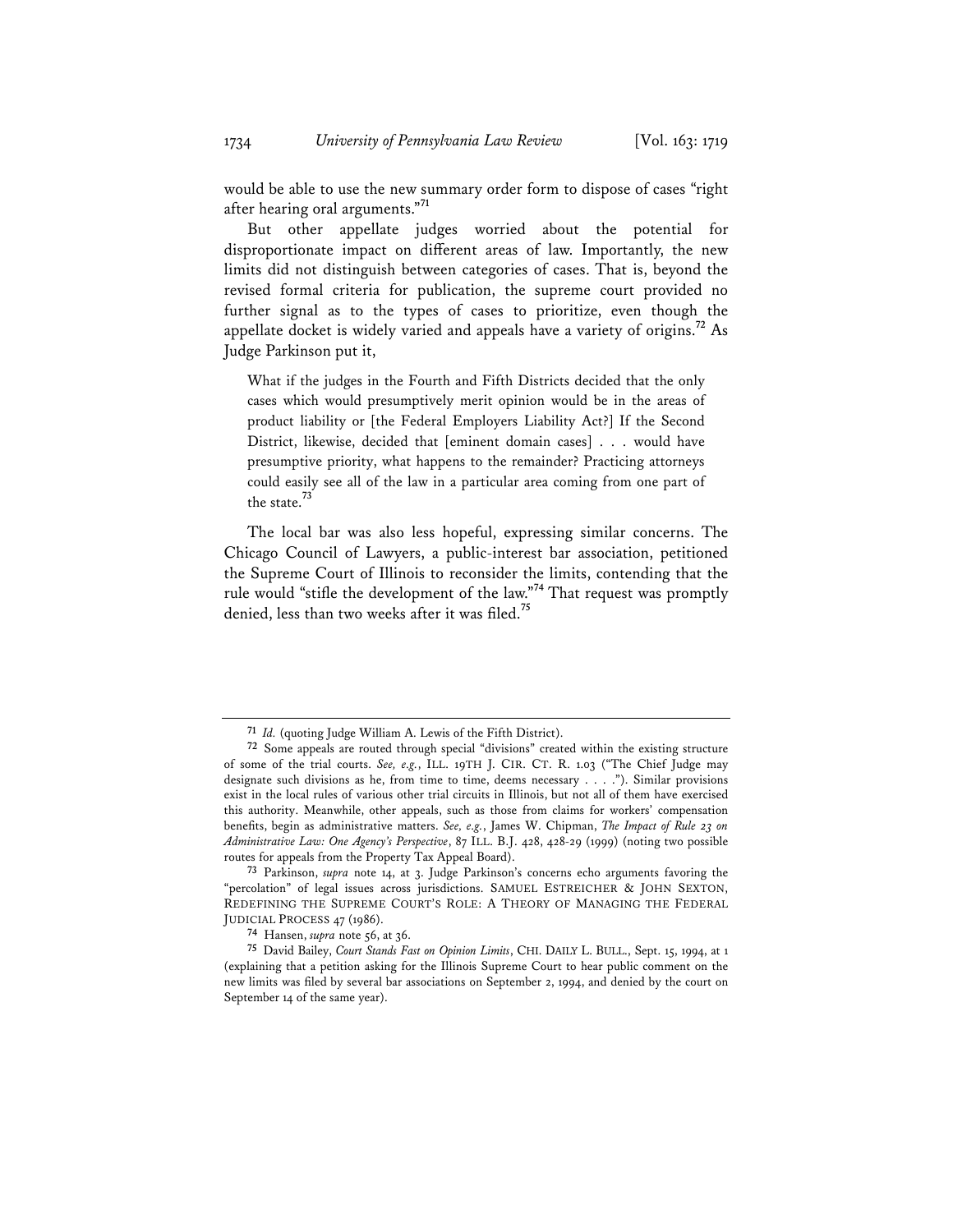would be able to use the new summary order form to dispose of cases "right after hearing oral arguments."**<sup>71</sup>**

But other appellate judges worried about the potential for disproportionate impact on different areas of law. Importantly, the new limits did not distinguish between categories of cases. That is, beyond the revised formal criteria for publication, the supreme court provided no further signal as to the types of cases to prioritize, even though the appellate docket is widely varied and appeals have a variety of origins.**<sup>72</sup>** As Judge Parkinson put it,

What if the judges in the Fourth and Fifth Districts decided that the only cases which would presumptively merit opinion would be in the areas of product liability or [the Federal Employers Liability Act?] If the Second District, likewise, decided that [eminent domain cases] . . . would have presumptive priority, what happens to the remainder? Practicing attorneys could easily see all of the law in a particular area coming from one part of the state.**<sup>73</sup>**

The local bar was also less hopeful, expressing similar concerns. The Chicago Council of Lawyers, a public-interest bar association, petitioned the Supreme Court of Illinois to reconsider the limits, contending that the rule would "stifle the development of the law."**<sup>74</sup>** That request was promptly denied, less than two weeks after it was filed.**<sup>75</sup>**

**<sup>71</sup>** *Id.* (quoting Judge William A. Lewis of the Fifth District).

**<sup>72</sup>** Some appeals are routed through special "divisions" created within the existing structure of some of the trial courts. *See, e.g.*, ILL. 19TH J. CIR. CT. R. 1.03 ("The Chief Judge may designate such divisions as he, from time to time, deems necessary . . . ."). Similar provisions exist in the local rules of various other trial circuits in Illinois, but not all of them have exercised this authority. Meanwhile, other appeals, such as those from claims for workers' compensation benefits, begin as administrative matters. *See, e.g.*, James W. Chipman, *The Impact of Rule 23 on Administrative Law: One Agency's Perspective*, 87 ILL. B.J. 428, 428-29 (1999) (noting two possible routes for appeals from the Property Tax Appeal Board).

**<sup>73</sup>** Parkinson, *supra* note 14, at 3. Judge Parkinson's concerns echo arguments favoring the "percolation" of legal issues across jurisdictions. SAMUEL ESTREICHER & JOHN SEXTON, REDEFINING THE SUPREME COURT'S ROLE: A THEORY OF MANAGING THE FEDERAL JUDICIAL PROCESS 47 (1986).

**<sup>74</sup>** Hansen, *supra* note 56, at 36.

**<sup>75</sup>** David Bailey, *Court Stands Fast on Opinion Limits*, CHI. DAILY L. BULL., Sept. 15, 1994, at 1 (explaining that a petition asking for the Illinois Supreme Court to hear public comment on the new limits was filed by several bar associations on September 2, 1994, and denied by the court on September 14 of the same year).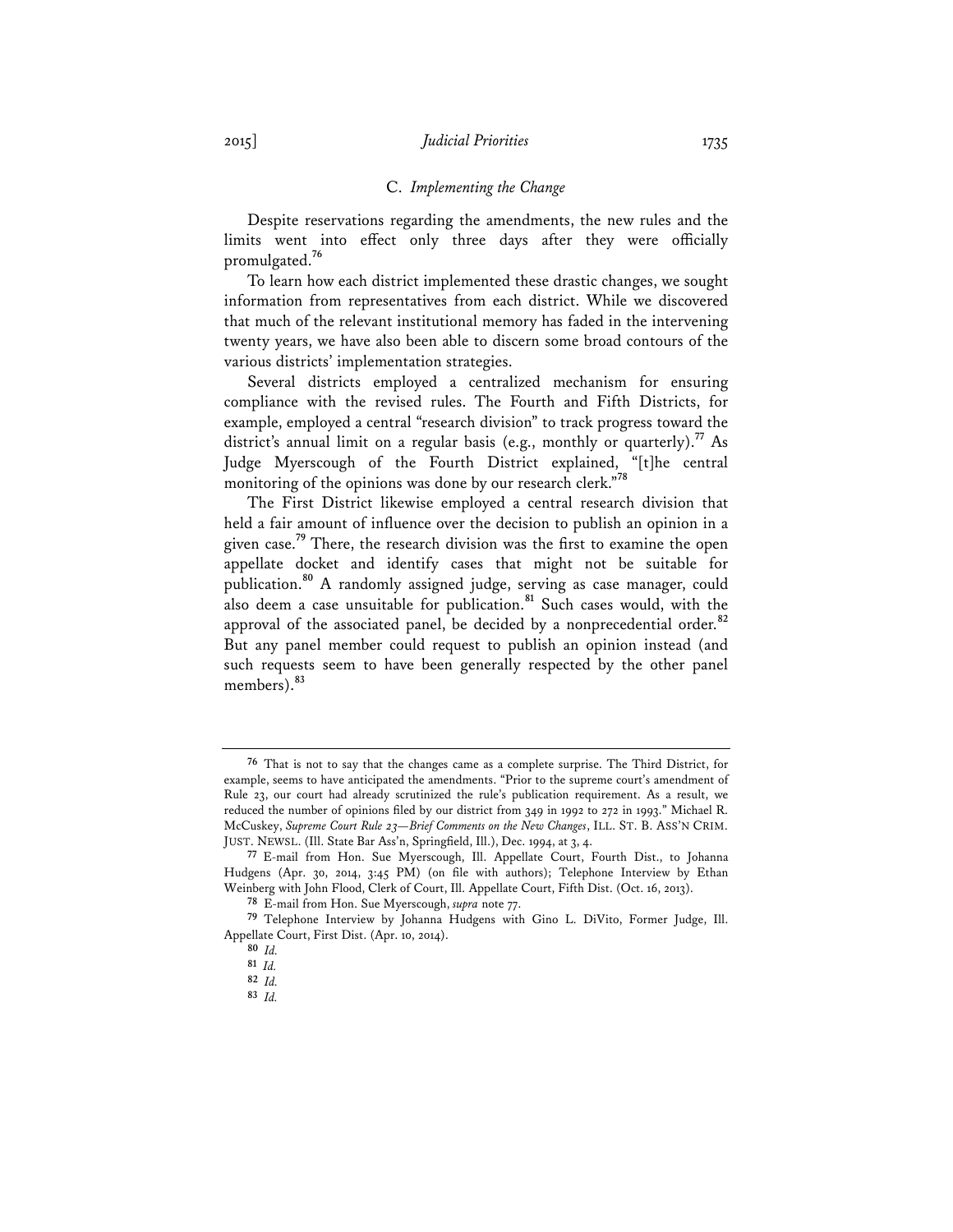#### C. *Implementing the Change*

Despite reservations regarding the amendments, the new rules and the limits went into effect only three days after they were officially promulgated.**<sup>76</sup>**

To learn how each district implemented these drastic changes, we sought information from representatives from each district. While we discovered that much of the relevant institutional memory has faded in the intervening twenty years, we have also been able to discern some broad contours of the various districts' implementation strategies.

Several districts employed a centralized mechanism for ensuring compliance with the revised rules. The Fourth and Fifth Districts, for example, employed a central "research division" to track progress toward the district's annual limit on a regular basis (e.g., monthly or quarterly).<sup>77</sup> As Judge Myerscough of the Fourth District explained, "[t]he central monitoring of the opinions was done by our research clerk."**<sup>78</sup>**

The First District likewise employed a central research division that held a fair amount of influence over the decision to publish an opinion in a given case.**<sup>79</sup>** There, the research division was the first to examine the open appellate docket and identify cases that might not be suitable for publication.**<sup>80</sup>** A randomly assigned judge, serving as case manager, could also deem a case unsuitable for publication.**<sup>81</sup>** Such cases would, with the approval of the associated panel, be decided by a nonprecedential order.**<sup>82</sup>** But any panel member could request to publish an opinion instead (and such requests seem to have been generally respected by the other panel members).**<sup>83</sup>**

**<sup>76</sup>** That is not to say that the changes came as a complete surprise. The Third District, for example, seems to have anticipated the amendments. "Prior to the supreme court's amendment of Rule 23, our court had already scrutinized the rule's publication requirement. As a result, we reduced the number of opinions filed by our district from 349 in 1992 to 272 in 1993." Michael R. McCuskey, *Supreme Court Rule 23—Brief Comments on the New Changes*, ILL. ST. B. ASS'N CRIM. JUST. NEWSL. (Ill. State Bar Ass'n, Springfield, Ill.), Dec. 1994, at 3, 4.

**<sup>77</sup>** E-mail from Hon. Sue Myerscough, Ill. Appellate Court, Fourth Dist., to Johanna Hudgens (Apr. 30, 2014, 3:45 PM) (on file with authors); Telephone Interview by Ethan Weinberg with John Flood, Clerk of Court, Ill. Appellate Court, Fifth Dist. (Oct. 16, 2013).

**<sup>78</sup>** E-mail from Hon. Sue Myerscough, *supra* note 77.

**<sup>79</sup>** Telephone Interview by Johanna Hudgens with Gino L. DiVito, Former Judge, Ill. Appellate Court, First Dist. (Apr. 10, 2014).

**<sup>80</sup>** *Id.* **81** *Id.*

**<sup>82</sup>** *Id.*

**<sup>83</sup>** *Id.*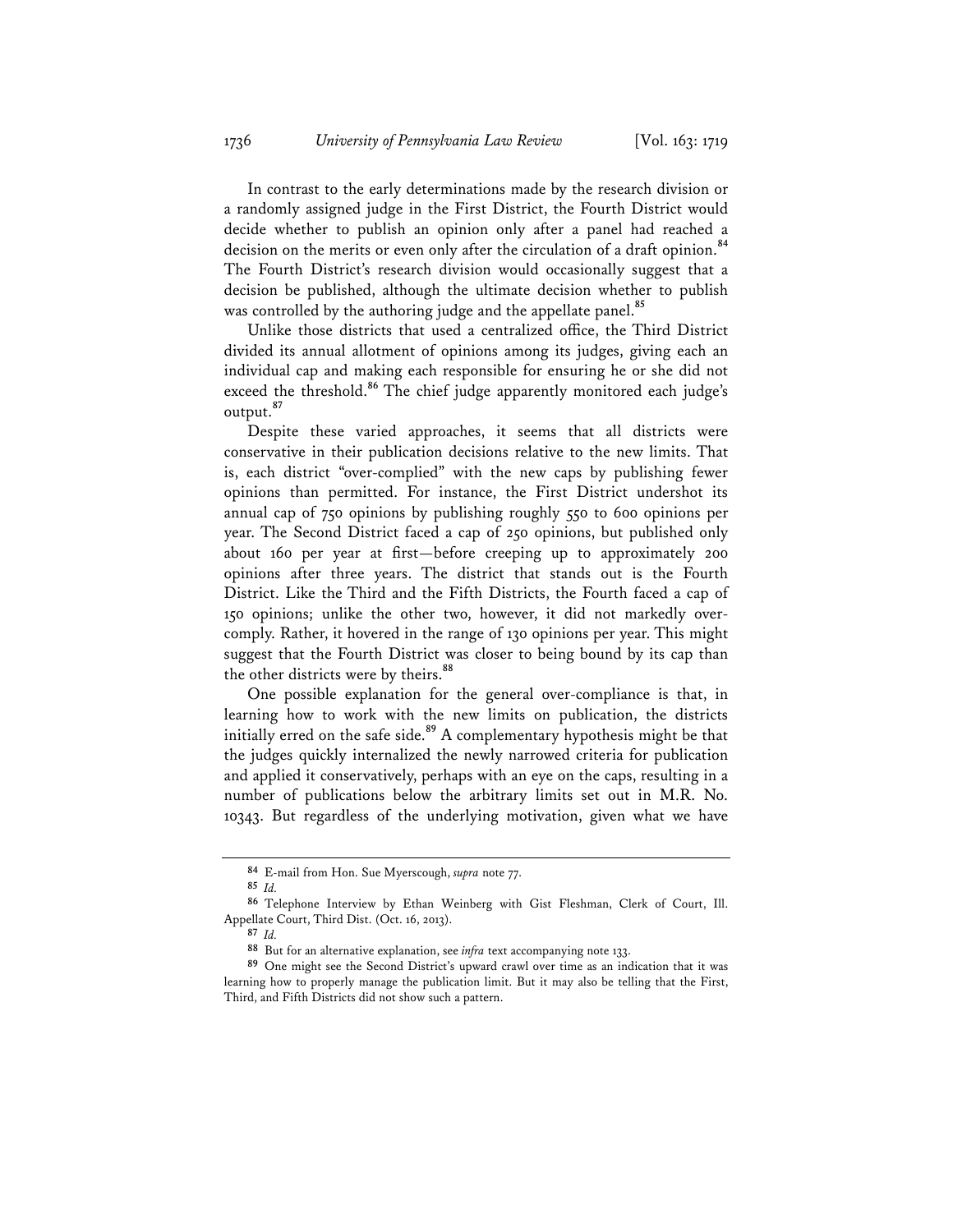In contrast to the early determinations made by the research division or a randomly assigned judge in the First District, the Fourth District would decide whether to publish an opinion only after a panel had reached a decision on the merits or even only after the circulation of a draft opinion.**<sup>84</sup>** The Fourth District's research division would occasionally suggest that a decision be published, although the ultimate decision whether to publish was controlled by the authoring judge and the appellate panel.<sup>85</sup>

Unlike those districts that used a centralized office, the Third District divided its annual allotment of opinions among its judges, giving each an individual cap and making each responsible for ensuring he or she did not exceed the threshold.<sup>86</sup> The chief judge apparently monitored each judge's output.**<sup>87</sup>**

Despite these varied approaches, it seems that all districts were conservative in their publication decisions relative to the new limits. That is, each district "over-complied" with the new caps by publishing fewer opinions than permitted. For instance, the First District undershot its annual cap of 750 opinions by publishing roughly 550 to 600 opinions per year. The Second District faced a cap of 250 opinions, but published only about 160 per year at first—before creeping up to approximately 200 opinions after three years. The district that stands out is the Fourth District. Like the Third and the Fifth Districts, the Fourth faced a cap of 150 opinions; unlike the other two, however, it did not markedly overcomply. Rather, it hovered in the range of 130 opinions per year. This might suggest that the Fourth District was closer to being bound by its cap than the other districts were by theirs.**<sup>88</sup>**

One possible explanation for the general over-compliance is that, in learning how to work with the new limits on publication, the districts initially erred on the safe side.**<sup>89</sup>** A complementary hypothesis might be that the judges quickly internalized the newly narrowed criteria for publication and applied it conservatively, perhaps with an eye on the caps, resulting in a number of publications below the arbitrary limits set out in M.R. No. 10343. But regardless of the underlying motivation, given what we have

**<sup>84</sup>** E-mail from Hon. Sue Myerscough, *supra* note 77.

**<sup>85</sup>** *Id.*

**<sup>86</sup>** Telephone Interview by Ethan Weinberg with Gist Fleshman, Clerk of Court, Ill. Appellate Court, Third Dist. (Oct. 16, 2013).

**<sup>87</sup>** *Id.*

**<sup>88</sup>** But for an alternative explanation, see *infra* text accompanying note 133.

**<sup>89</sup>** One might see the Second District's upward crawl over time as an indication that it was learning how to properly manage the publication limit. But it may also be telling that the First, Third, and Fifth Districts did not show such a pattern.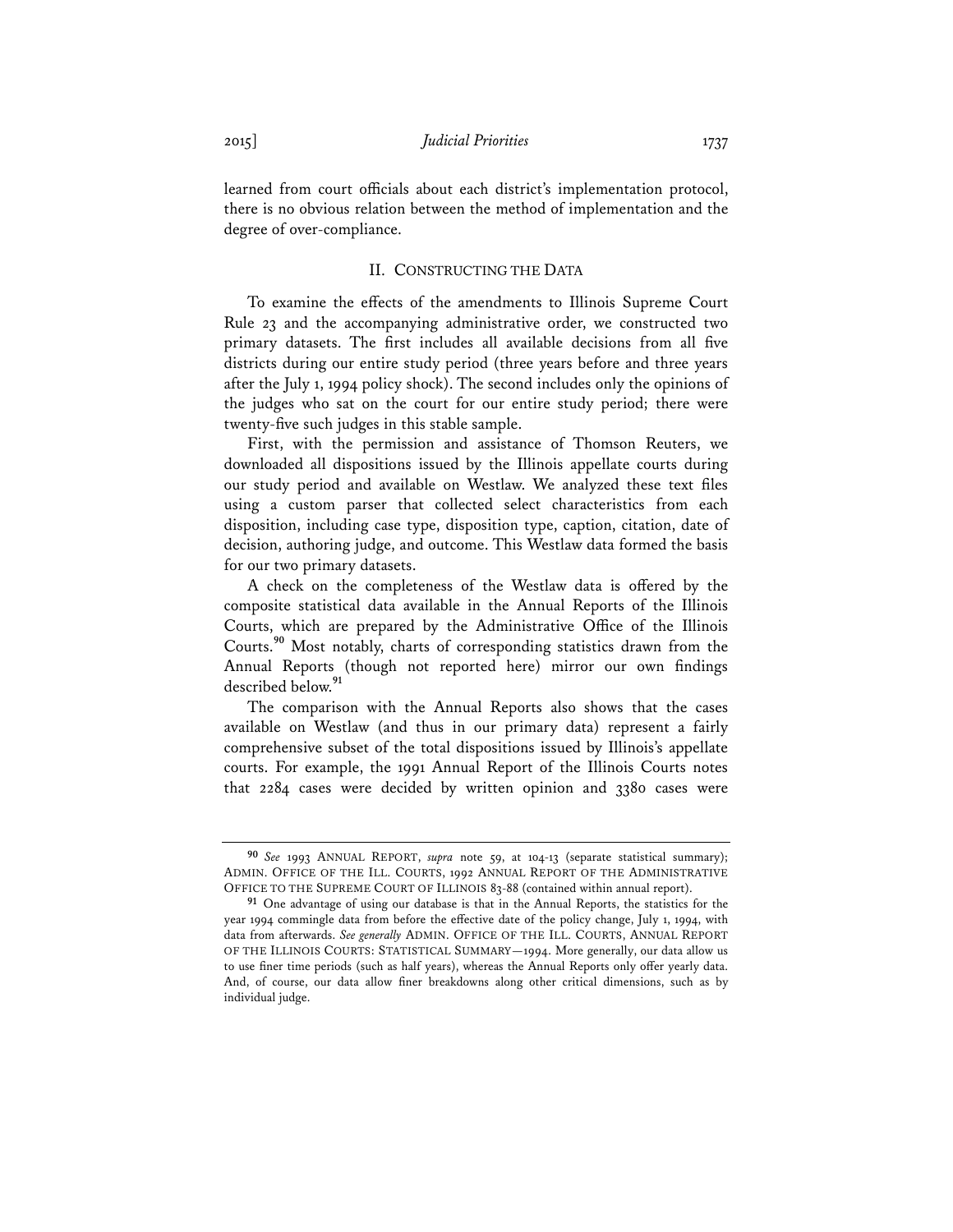learned from court officials about each district's implementation protocol, there is no obvious relation between the method of implementation and the degree of over-compliance.

#### II. CONSTRUCTING THE DATA

To examine the effects of the amendments to Illinois Supreme Court Rule 23 and the accompanying administrative order, we constructed two primary datasets. The first includes all available decisions from all five districts during our entire study period (three years before and three years after the July 1, 1994 policy shock). The second includes only the opinions of the judges who sat on the court for our entire study period; there were twenty-five such judges in this stable sample.

First, with the permission and assistance of Thomson Reuters, we downloaded all dispositions issued by the Illinois appellate courts during our study period and available on Westlaw. We analyzed these text files using a custom parser that collected select characteristics from each disposition, including case type, disposition type, caption, citation, date of decision, authoring judge, and outcome. This Westlaw data formed the basis for our two primary datasets.

A check on the completeness of the Westlaw data is offered by the composite statistical data available in the Annual Reports of the Illinois Courts, which are prepared by the Administrative Office of the Illinois Courts.**<sup>90</sup>** Most notably, charts of corresponding statistics drawn from the Annual Reports (though not reported here) mirror our own findings described below.**<sup>91</sup>**

The comparison with the Annual Reports also shows that the cases available on Westlaw (and thus in our primary data) represent a fairly comprehensive subset of the total dispositions issued by Illinois's appellate courts. For example, the 1991 Annual Report of the Illinois Courts notes that 2284 cases were decided by written opinion and 3380 cases were

**<sup>90</sup>** *See* 1993 ANNUAL REPORT, *supra* note 59, at 104-13 (separate statistical summary); ADMIN. OFFICE OF THE ILL. COURTS, 1992 ANNUAL REPORT OF THE ADMINISTRATIVE OFFICE TO THE SUPREME COURT OF ILLINOIS 83-88 (contained within annual report).

**<sup>91</sup>** One advantage of using our database is that in the Annual Reports, the statistics for the year 1994 commingle data from before the effective date of the policy change, July 1, 1994, with data from afterwards. *See generally* ADMIN. OFFICE OF THE ILL. COURTS, ANNUAL REPORT OF THE ILLINOIS COURTS: STATISTICAL SUMMARY—1994. More generally, our data allow us to use finer time periods (such as half years), whereas the Annual Reports only offer yearly data. And, of course, our data allow finer breakdowns along other critical dimensions, such as by individual judge.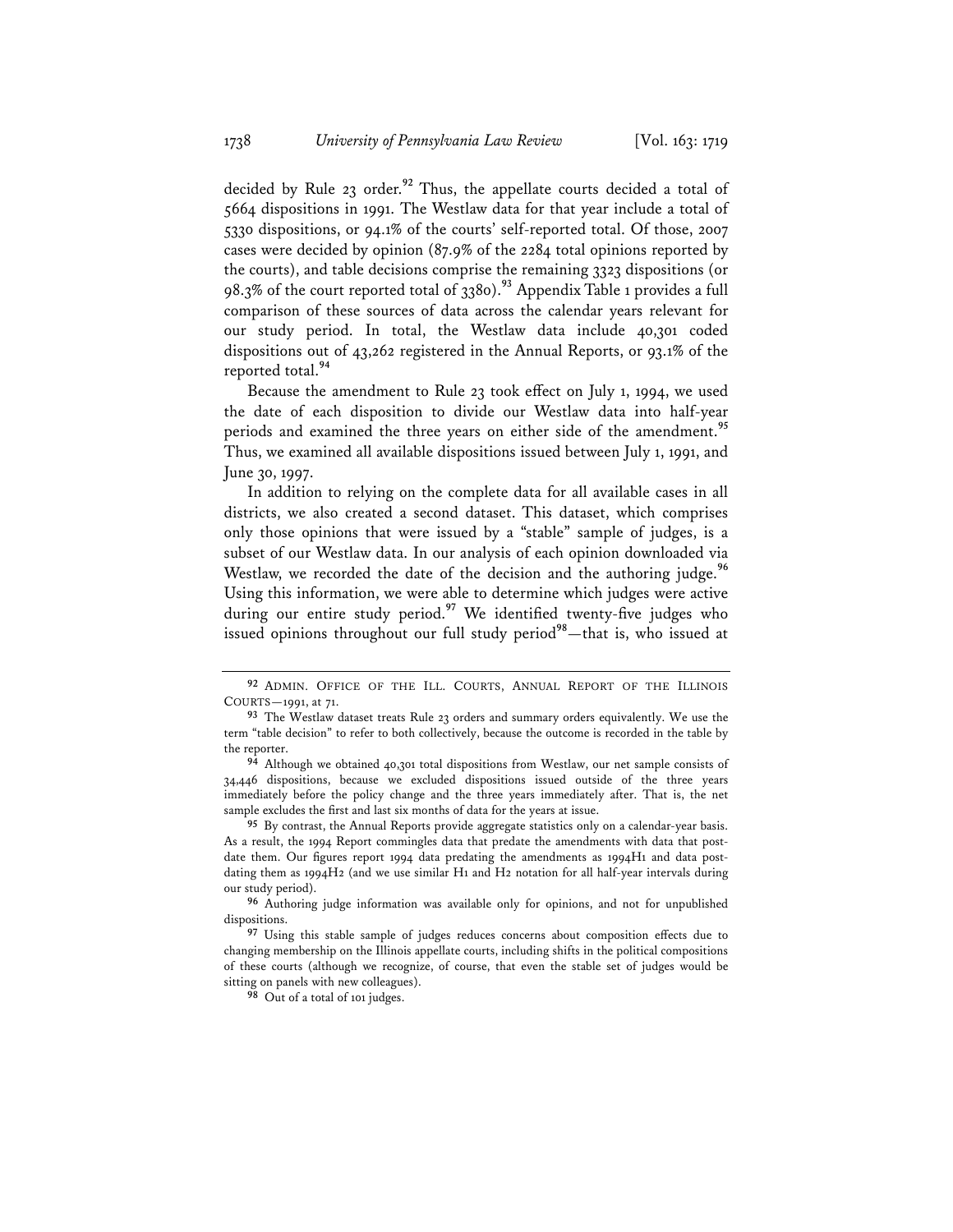decided by Rule 23 order.**<sup>92</sup>** Thus, the appellate courts decided a total of 5664 dispositions in 1991. The Westlaw data for that year include a total of 5330 dispositions, or 94.1% of the courts' self-reported total. Of those, 2007 cases were decided by opinion (87.9% of the 2284 total opinions reported by the courts), and table decisions comprise the remaining 3323 dispositions (or 98.3% of the court reported total of 3380).**<sup>93</sup>** Appendix Table 1 provides a full comparison of these sources of data across the calendar years relevant for our study period. In total, the Westlaw data include 40,301 coded dispositions out of 43,262 registered in the Annual Reports, or 93.1% of the reported total.**<sup>94</sup>**

Because the amendment to Rule 23 took effect on July 1, 1994, we used the date of each disposition to divide our Westlaw data into half-year periods and examined the three years on either side of the amendment.**<sup>95</sup>** Thus, we examined all available dispositions issued between July 1, 1991, and June 30, 1997.

In addition to relying on the complete data for all available cases in all districts, we also created a second dataset. This dataset, which comprises only those opinions that were issued by a "stable" sample of judges, is a subset of our Westlaw data. In our analysis of each opinion downloaded via Westlaw, we recorded the date of the decision and the authoring judge.<sup>96</sup> Using this information, we were able to determine which judges were active during our entire study period.**<sup>97</sup>** We identified twenty-five judges who issued opinions throughout our full study period**<sup>98</sup>**—that is, who issued at

**98** Out of a total of 101 judges.

**<sup>92</sup>** ADMIN. OFFICE OF THE ILL. COURTS, ANNUAL REPORT OF THE ILLINOIS COURTS—1991, at 71.

**<sup>93</sup>** The Westlaw dataset treats Rule 23 orders and summary orders equivalently. We use the term "table decision" to refer to both collectively, because the outcome is recorded in the table by the reporter.

**<sup>94</sup>** Although we obtained 40,301 total dispositions from Westlaw, our net sample consists of 34,446 dispositions, because we excluded dispositions issued outside of the three years immediately before the policy change and the three years immediately after. That is, the net sample excludes the first and last six months of data for the years at issue.

**<sup>95</sup>** By contrast, the Annual Reports provide aggregate statistics only on a calendar-year basis. As a result, the 1994 Report commingles data that predate the amendments with data that postdate them. Our figures report 1994 data predating the amendments as 1994H1 and data postdating them as 1994H2 (and we use similar H1 and H2 notation for all half-year intervals during our study period).

**<sup>96</sup>** Authoring judge information was available only for opinions, and not for unpublished dispositions.

**<sup>97</sup>** Using this stable sample of judges reduces concerns about composition effects due to changing membership on the Illinois appellate courts, including shifts in the political compositions of these courts (although we recognize, of course, that even the stable set of judges would be sitting on panels with new colleagues).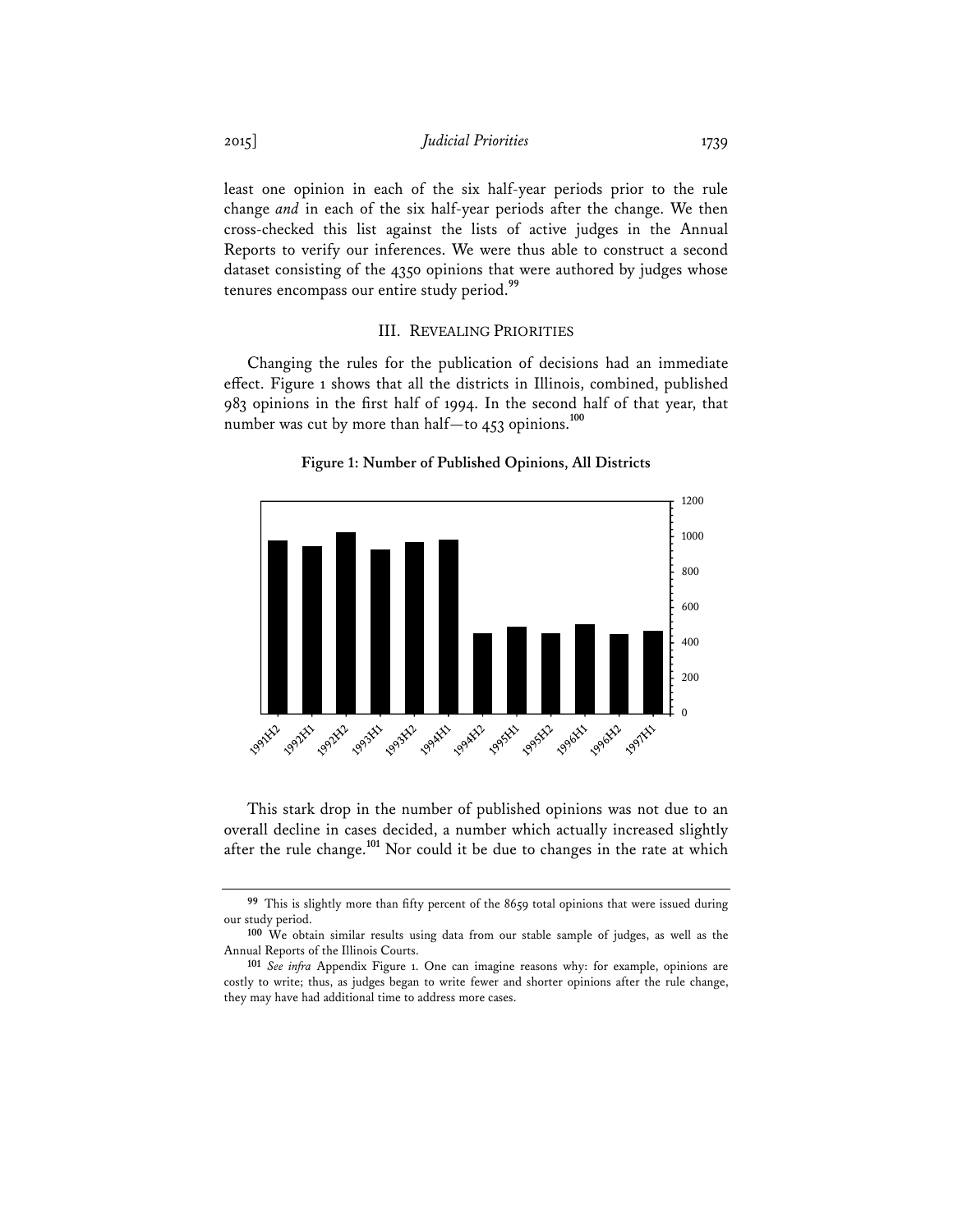least one opinion in each of the six half-year periods prior to the rule change *and* in each of the six half-year periods after the change. We then cross-checked this list against the lists of active judges in the Annual Reports to verify our inferences. We were thus able to construct a second dataset consisting of the 4350 opinions that were authored by judges whose tenures encompass our entire study period.**<sup>99</sup>**

#### III. REVEALING PRIORITIES

Changing the rules for the publication of decisions had an immediate effect. Figure 1 shows that all the districts in Illinois, combined, published 983 opinions in the first half of 1994. In the second half of that year, that number was cut by more than half—to 453 opinions.**<sup>100</sup>**





This stark drop in the number of published opinions was not due to an overall decline in cases decided, a number which actually increased slightly after the rule change.**<sup>101</sup>** Nor could it be due to changes in the rate at which

<sup>&</sup>lt;sup>99</sup> This is slightly more than fifty percent of the 8659 total opinions that were issued during our study period.

**<sup>100</sup>** We obtain similar results using data from our stable sample of judges, as well as the Annual Reports of the Illinois Courts.

**<sup>101</sup>** *See infra* Appendix Figure 1. One can imagine reasons why: for example, opinions are costly to write; thus, as judges began to write fewer and shorter opinions after the rule change, they may have had additional time to address more cases.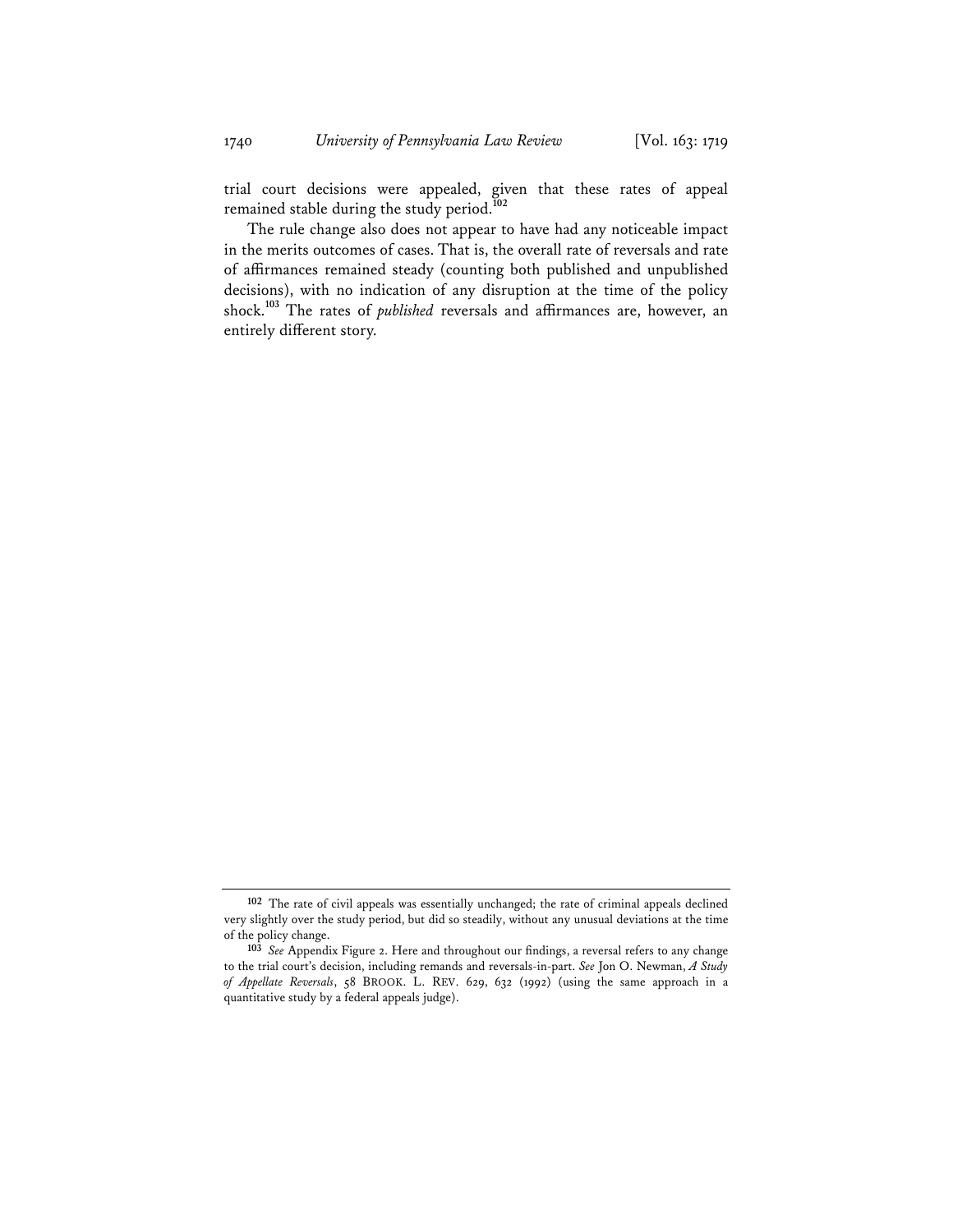trial court decisions were appealed, given that these rates of appeal remained stable during the study period.**<sup>102</sup>**

The rule change also does not appear to have had any noticeable impact in the merits outcomes of cases. That is, the overall rate of reversals and rate of affirmances remained steady (counting both published and unpublished decisions), with no indication of any disruption at the time of the policy shock.**<sup>103</sup>** The rates of *published* reversals and affirmances are, however, an entirely different story.

**<sup>102</sup>** The rate of civil appeals was essentially unchanged; the rate of criminal appeals declined very slightly over the study period, but did so steadily, without any unusual deviations at the time of the policy change.

**<sup>103</sup>** *See* Appendix Figure 2. Here and throughout our findings, a reversal refers to any change to the trial court's decision, including remands and reversals-in-part. *See* Jon O. Newman, *A Study of Appellate Reversals*, 58 BROOK. L. REV. 629, 632 (1992) (using the same approach in a quantitative study by a federal appeals judge).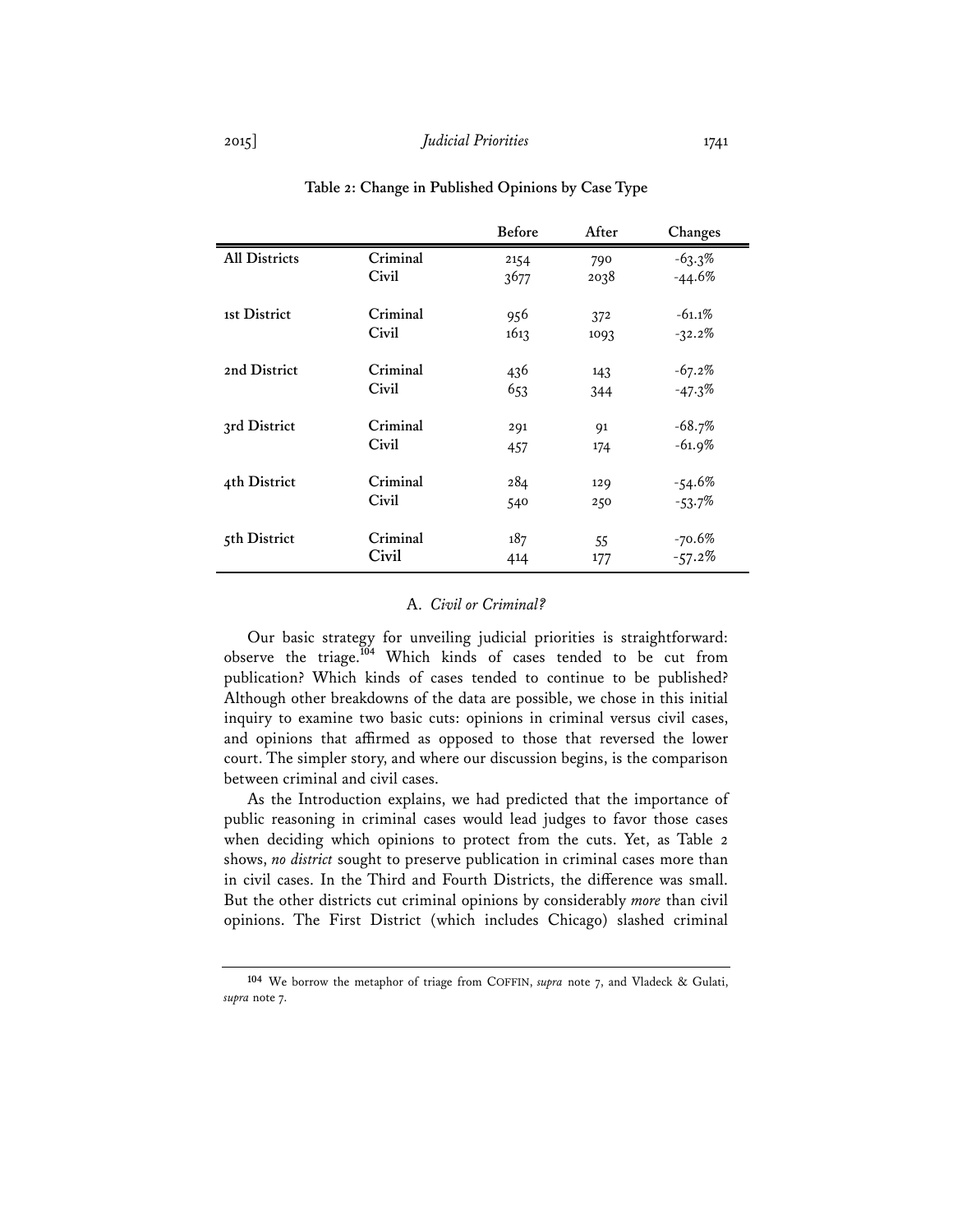|                      |          | <b>Before</b> | After | Changes   |
|----------------------|----------|---------------|-------|-----------|
| <b>All Districts</b> | Criminal | 2154          | 790   | $-63.3%$  |
|                      | Civil    | 3677          | 2038  | $-44.6%$  |
|                      |          |               |       |           |
| 1st District         | Criminal | 956           | 372   | $-61.1%$  |
|                      | Civil    | 1613          | 1093  | $-32.2\%$ |
|                      |          |               |       |           |
| 2nd District         | Criminal | 436           | 143   | $-67.2%$  |
|                      | Civil    | 653           | 344   | $-47.3%$  |
|                      |          |               |       |           |
| 3rd District         | Criminal | 291           | 91    | $-68.7%$  |
|                      | Civil    | 457           | 174   | $-61.9%$  |
|                      |          |               |       |           |
| 4th District         | Criminal | 284           | 129   | $-54.6%$  |
|                      | Civil    | 540           | 250   | $-53.7%$  |
|                      |          |               |       |           |
| 5th District         | Criminal | 187           | 55    | $-70.6%$  |
|                      | Civil    | 414           | 177   | $-57.2\%$ |

## **Table 2: Change in Published Opinions by Case Type**

#### A. *Civil or Criminal?*

Our basic strategy for unveiling judicial priorities is straightforward: observe the triage.**<sup>104</sup>** Which kinds of cases tended to be cut from publication? Which kinds of cases tended to continue to be published? Although other breakdowns of the data are possible, we chose in this initial inquiry to examine two basic cuts: opinions in criminal versus civil cases, and opinions that affirmed as opposed to those that reversed the lower court. The simpler story, and where our discussion begins, is the comparison between criminal and civil cases.

As the Introduction explains, we had predicted that the importance of public reasoning in criminal cases would lead judges to favor those cases when deciding which opinions to protect from the cuts. Yet, as Table 2 shows, *no district* sought to preserve publication in criminal cases more than in civil cases. In the Third and Fourth Districts, the difference was small. But the other districts cut criminal opinions by considerably *more* than civil opinions. The First District (which includes Chicago) slashed criminal

**<sup>104</sup>** We borrow the metaphor of triage from COFFIN, *supra* note 7, and Vladeck & Gulati, *supra* note 7.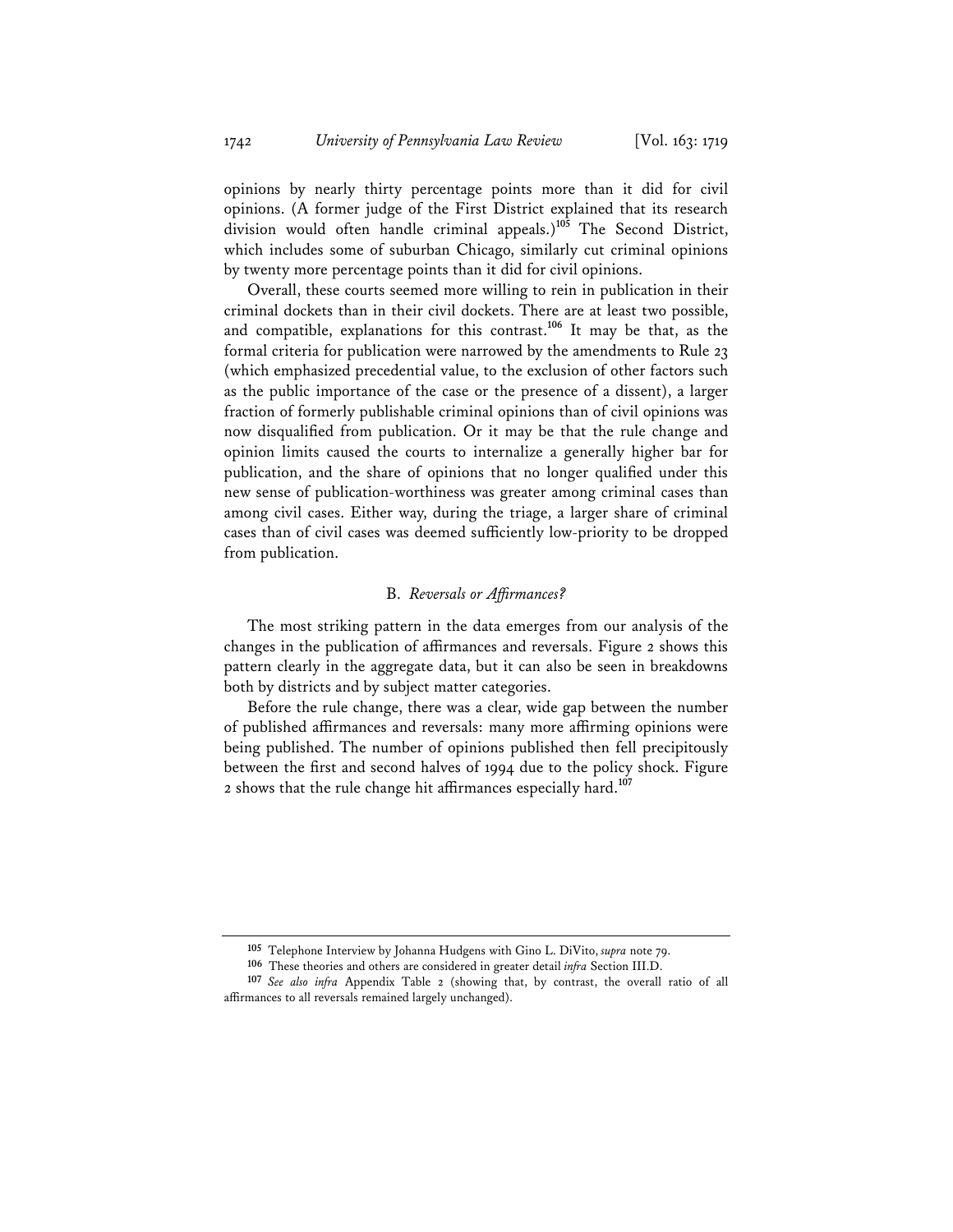opinions by nearly thirty percentage points more than it did for civil opinions. (A former judge of the First District explained that its research division would often handle criminal appeals.)**<sup>105</sup>** The Second District, which includes some of suburban Chicago, similarly cut criminal opinions by twenty more percentage points than it did for civil opinions.

Overall, these courts seemed more willing to rein in publication in their criminal dockets than in their civil dockets. There are at least two possible, and compatible, explanations for this contrast.**<sup>106</sup>** It may be that, as the formal criteria for publication were narrowed by the amendments to Rule 23 (which emphasized precedential value, to the exclusion of other factors such as the public importance of the case or the presence of a dissent), a larger fraction of formerly publishable criminal opinions than of civil opinions was now disqualified from publication. Or it may be that the rule change and opinion limits caused the courts to internalize a generally higher bar for publication, and the share of opinions that no longer qualified under this new sense of publication-worthiness was greater among criminal cases than among civil cases. Either way, during the triage, a larger share of criminal cases than of civil cases was deemed sufficiently low-priority to be dropped from publication.

## B. *Reversals or Affirmances?*

The most striking pattern in the data emerges from our analysis of the changes in the publication of affirmances and reversals. Figure 2 shows this pattern clearly in the aggregate data, but it can also be seen in breakdowns both by districts and by subject matter categories.

Before the rule change, there was a clear, wide gap between the number of published affirmances and reversals: many more affirming opinions were being published. The number of opinions published then fell precipitously between the first and second halves of 1994 due to the policy shock. Figure 2 shows that the rule change hit affirmances especially hard.**<sup>107</sup>**

**<sup>105</sup>** Telephone Interview by Johanna Hudgens with Gino L. DiVito, *supra* note 79.

**<sup>106</sup>** These theories and others are considered in greater detail *infra* Section III.D.

**<sup>107</sup>** *See also infra* Appendix Table 2 (showing that, by contrast, the overall ratio of all affirmances to all reversals remained largely unchanged).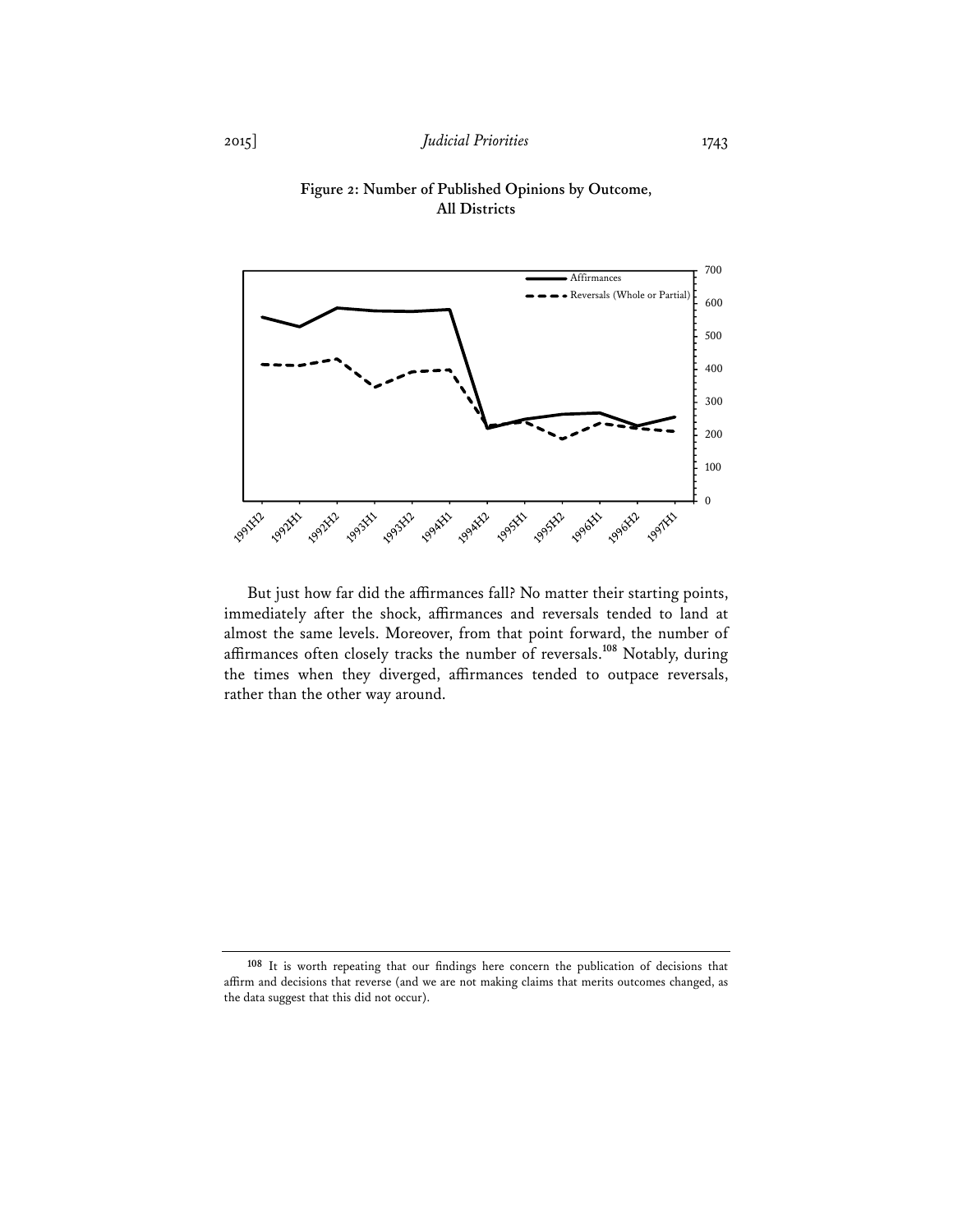



But just how far did the affirmances fall? No matter their starting points, immediately after the shock, affirmances and reversals tended to land at almost the same levels. Moreover, from that point forward, the number of affirmances often closely tracks the number of reversals.**<sup>108</sup>** Notably, during the times when they diverged, affirmances tended to outpace reversals, rather than the other way around.

**<sup>108</sup>** It is worth repeating that our findings here concern the publication of decisions that affirm and decisions that reverse (and we are not making claims that merits outcomes changed, as the data suggest that this did not occur).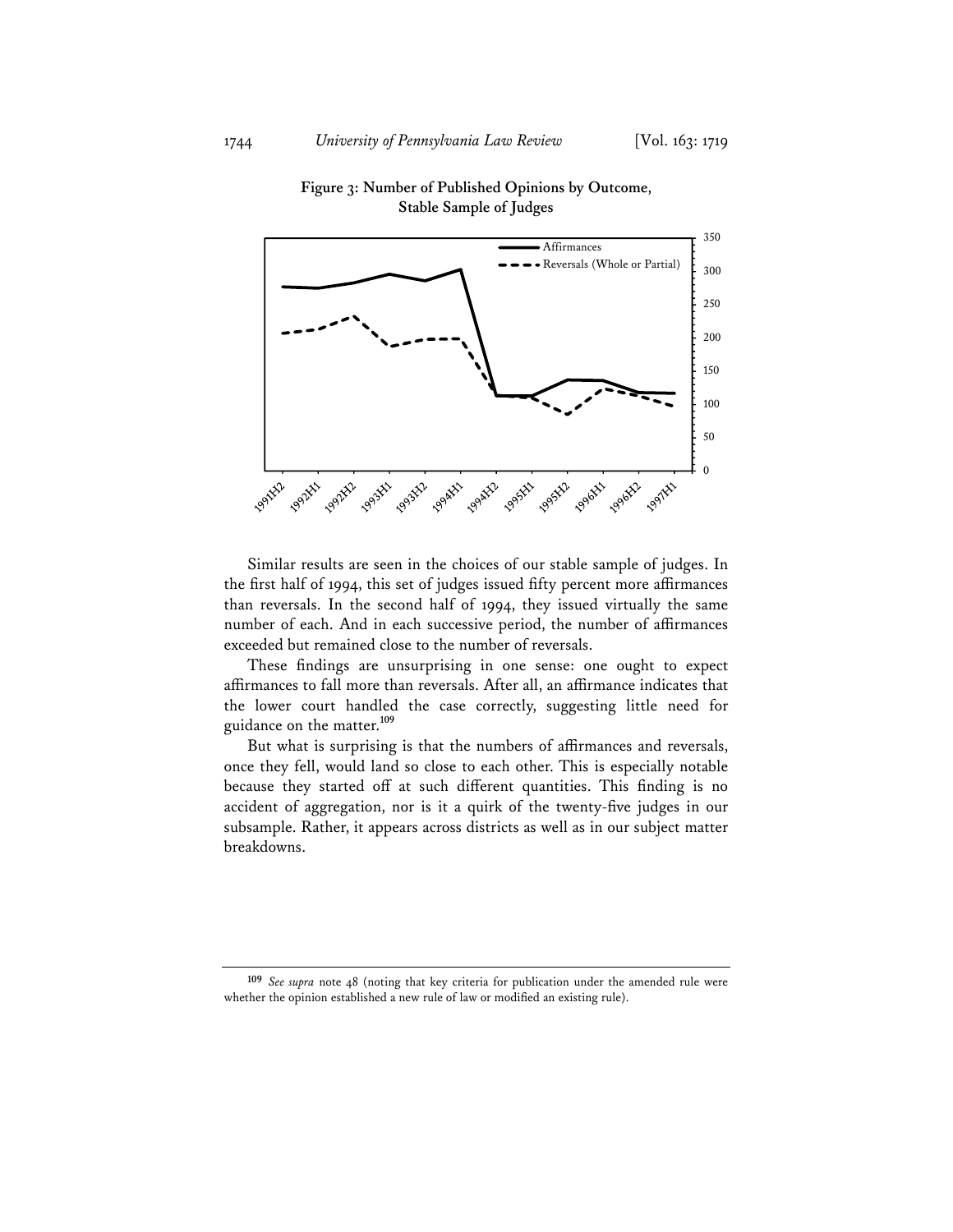

## **Figure 3: Number of Published Opinions by Outcome, Stable Sample of Judges**

Similar results are seen in the choices of our stable sample of judges. In the first half of 1994, this set of judges issued fifty percent more affirmances than reversals. In the second half of 1994, they issued virtually the same number of each. And in each successive period, the number of affirmances exceeded but remained close to the number of reversals.

These findings are unsurprising in one sense: one ought to expect affirmances to fall more than reversals. After all, an affirmance indicates that the lower court handled the case correctly, suggesting little need for guidance on the matter.**<sup>109</sup>**

But what is surprising is that the numbers of affirmances and reversals, once they fell, would land so close to each other. This is especially notable because they started off at such different quantities. This finding is no accident of aggregation, nor is it a quirk of the twenty-five judges in our subsample. Rather, it appears across districts as well as in our subject matter breakdowns.

**109** *See supra* note 48 (noting that key criteria for publication under the amended rule were whether the opinion established a new rule of law or modified an existing rule).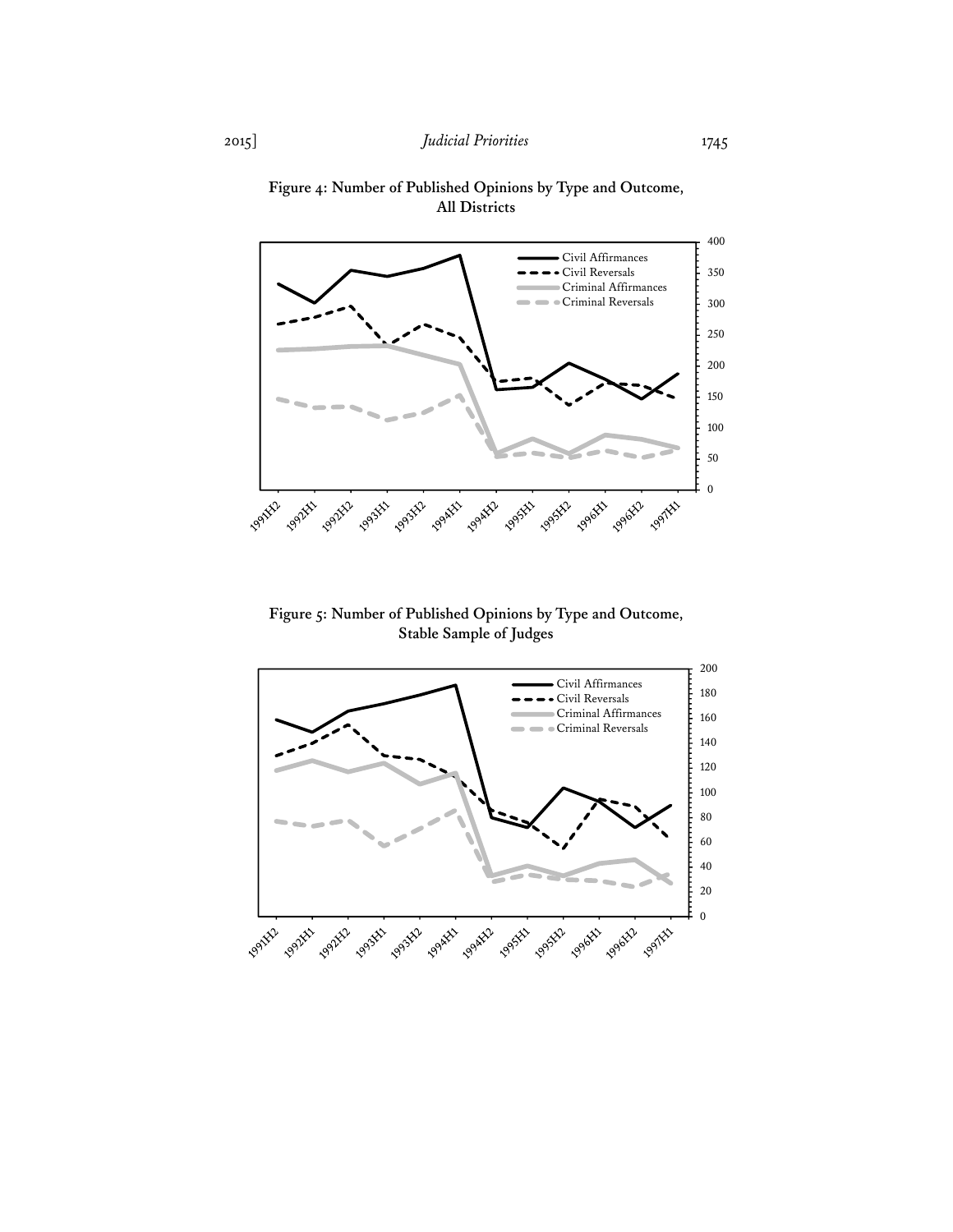

**Figure 4: Number of Published Opinions by Type and Outcome, All Districts** 

**Figure 5: Number of Published Opinions by Type and Outcome, Stable Sample of Judges** 

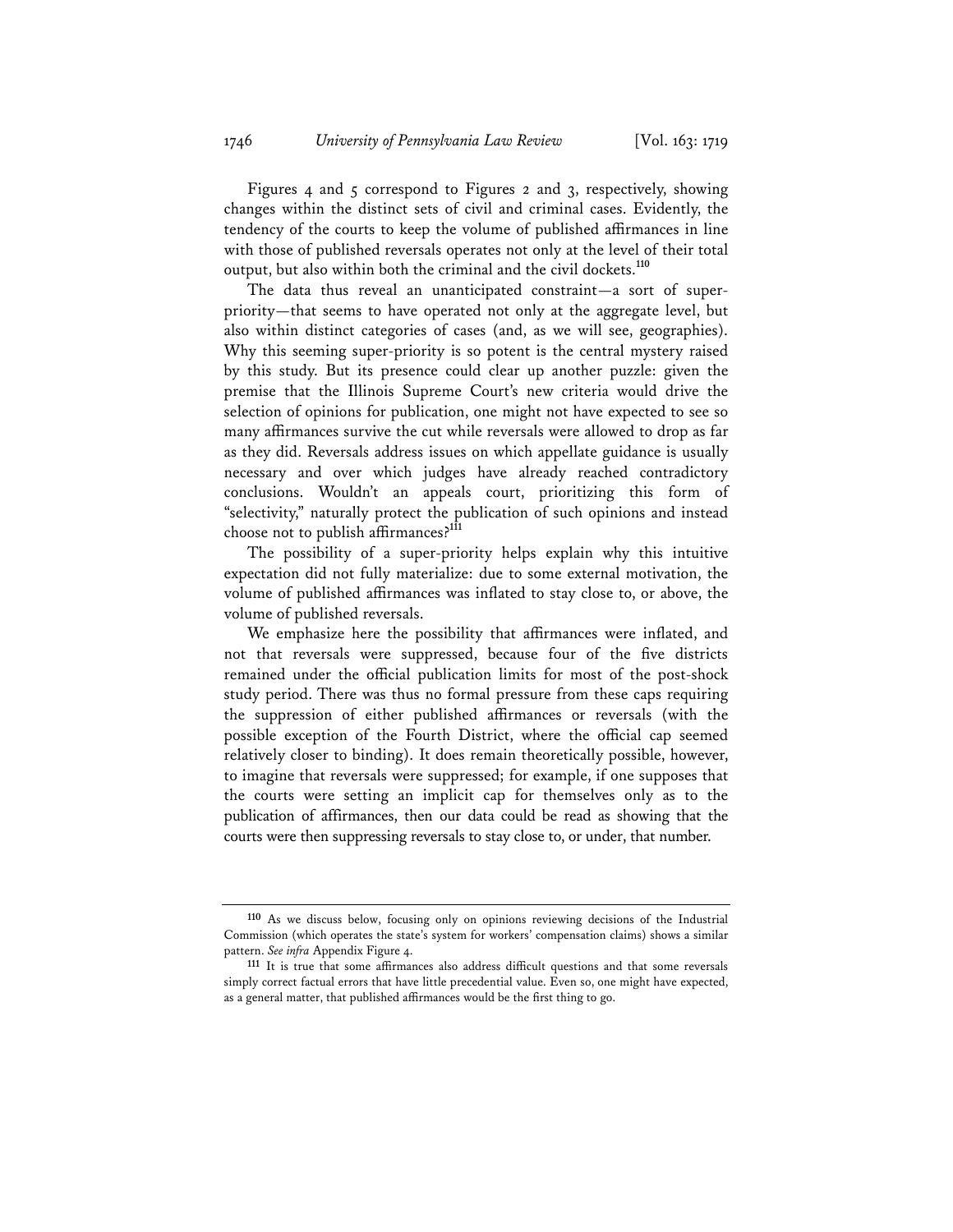Figures 4 and 5 correspond to Figures 2 and 3, respectively, showing changes within the distinct sets of civil and criminal cases. Evidently, the tendency of the courts to keep the volume of published affirmances in line with those of published reversals operates not only at the level of their total output, but also within both the criminal and the civil dockets.**<sup>110</sup>**

The data thus reveal an unanticipated constraint—a sort of superpriority—that seems to have operated not only at the aggregate level, but also within distinct categories of cases (and, as we will see, geographies). Why this seeming super-priority is so potent is the central mystery raised by this study. But its presence could clear up another puzzle: given the premise that the Illinois Supreme Court's new criteria would drive the selection of opinions for publication, one might not have expected to see so many affirmances survive the cut while reversals were allowed to drop as far as they did. Reversals address issues on which appellate guidance is usually necessary and over which judges have already reached contradictory conclusions. Wouldn't an appeals court, prioritizing this form of "selectivity," naturally protect the publication of such opinions and instead choose not to publish affirmances?**<sup>111</sup>**

The possibility of a super-priority helps explain why this intuitive expectation did not fully materialize: due to some external motivation, the volume of published affirmances was inflated to stay close to, or above, the volume of published reversals.

We emphasize here the possibility that affirmances were inflated, and not that reversals were suppressed, because four of the five districts remained under the official publication limits for most of the post-shock study period. There was thus no formal pressure from these caps requiring the suppression of either published affirmances or reversals (with the possible exception of the Fourth District, where the official cap seemed relatively closer to binding). It does remain theoretically possible, however, to imagine that reversals were suppressed; for example, if one supposes that the courts were setting an implicit cap for themselves only as to the publication of affirmances, then our data could be read as showing that the courts were then suppressing reversals to stay close to, or under, that number.

**<sup>110</sup>** As we discuss below, focusing only on opinions reviewing decisions of the Industrial Commission (which operates the state's system for workers' compensation claims) shows a similar pattern. *See infra* Appendix Figure 4.

**<sup>111</sup>** It is true that some affirmances also address difficult questions and that some reversals simply correct factual errors that have little precedential value. Even so, one might have expected, as a general matter, that published affirmances would be the first thing to go.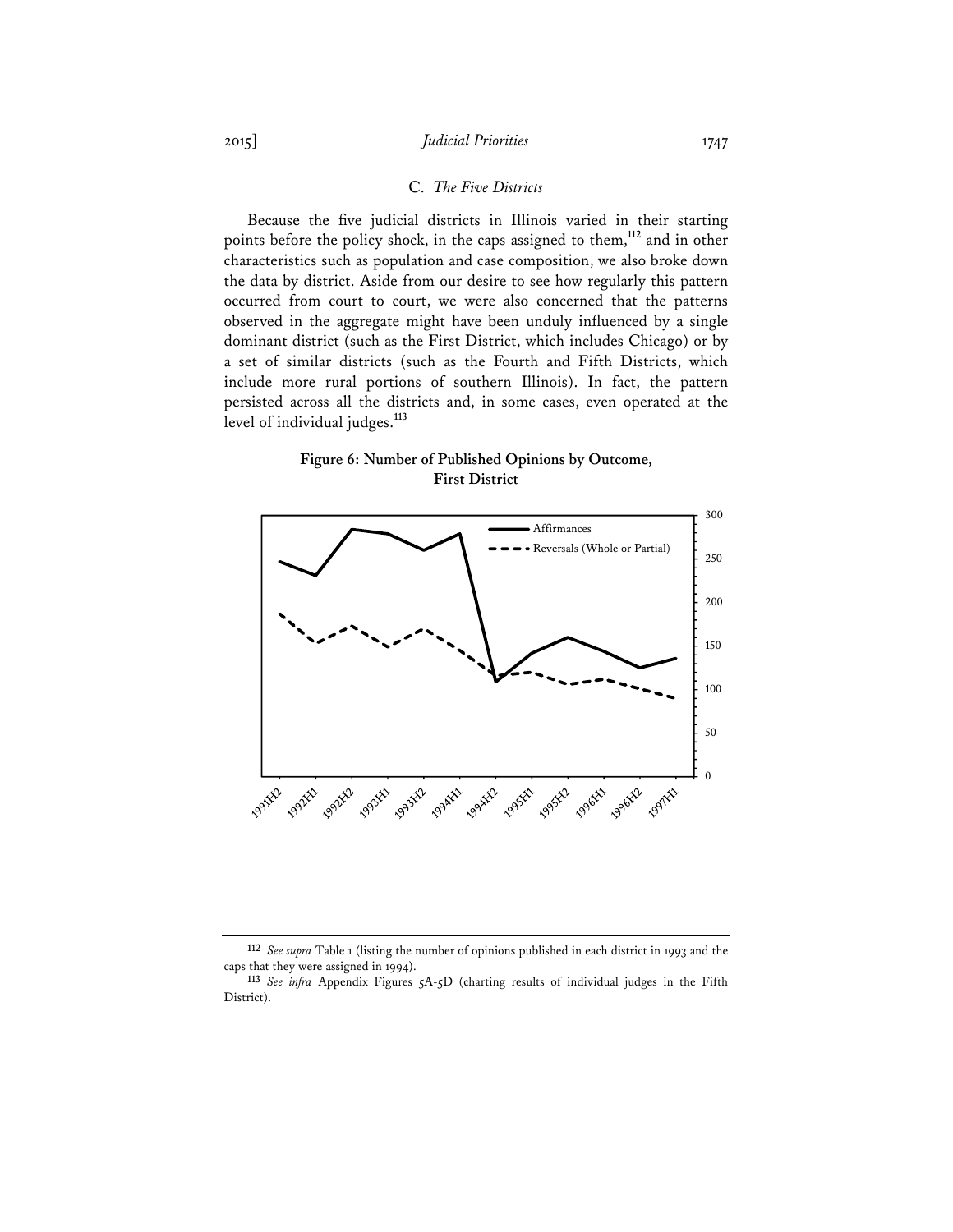## 2015] *Judicial Priorities* 1747

## C. *The Five Districts*

Because the five judicial districts in Illinois varied in their starting points before the policy shock, in the caps assigned to them,**<sup>112</sup>** and in other characteristics such as population and case composition, we also broke down the data by district. Aside from our desire to see how regularly this pattern occurred from court to court, we were also concerned that the patterns observed in the aggregate might have been unduly influenced by a single dominant district (such as the First District, which includes Chicago) or by a set of similar districts (such as the Fourth and Fifth Districts, which include more rural portions of southern Illinois). In fact, the pattern persisted across all the districts and, in some cases, even operated at the level of individual judges.**<sup>113</sup>**

## **Figure 6: Number of Published Opinions by Outcome, First District**



**<sup>112</sup>** *See supra* Table 1 (listing the number of opinions published in each district in 1993 and the caps that they were assigned in 1994).

**<sup>113</sup>** *See infra* Appendix Figures 5A-5D (charting results of individual judges in the Fifth District).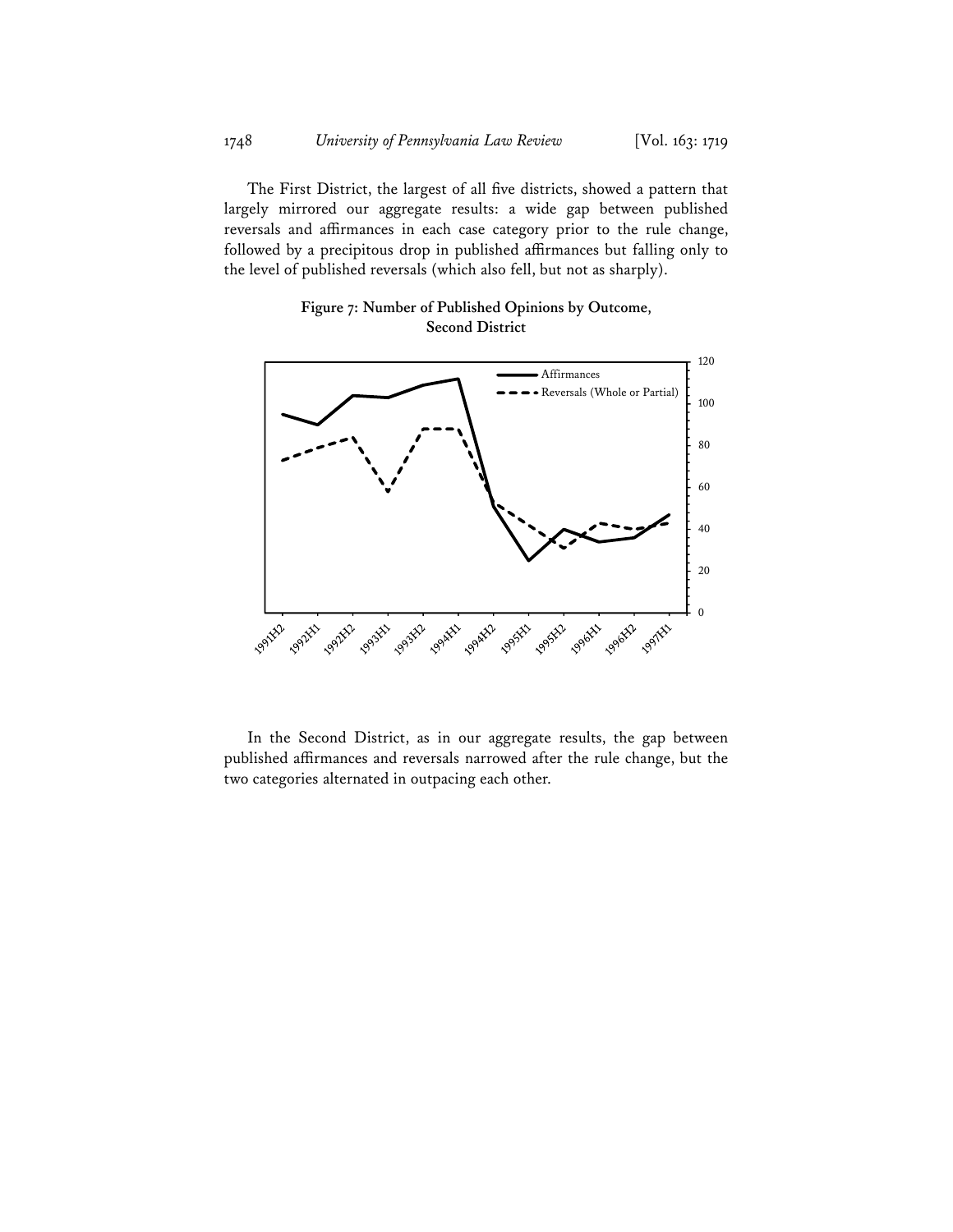The First District, the largest of all five districts, showed a pattern that largely mirrored our aggregate results: a wide gap between published reversals and affirmances in each case category prior to the rule change, followed by a precipitous drop in published affirmances but falling only to the level of published reversals (which also fell, but not as sharply).

## **Figure 7: Number of Published Opinions by Outcome, Second District**



In the Second District, as in our aggregate results, the gap between published affirmances and reversals narrowed after the rule change, but the two categories alternated in outpacing each other.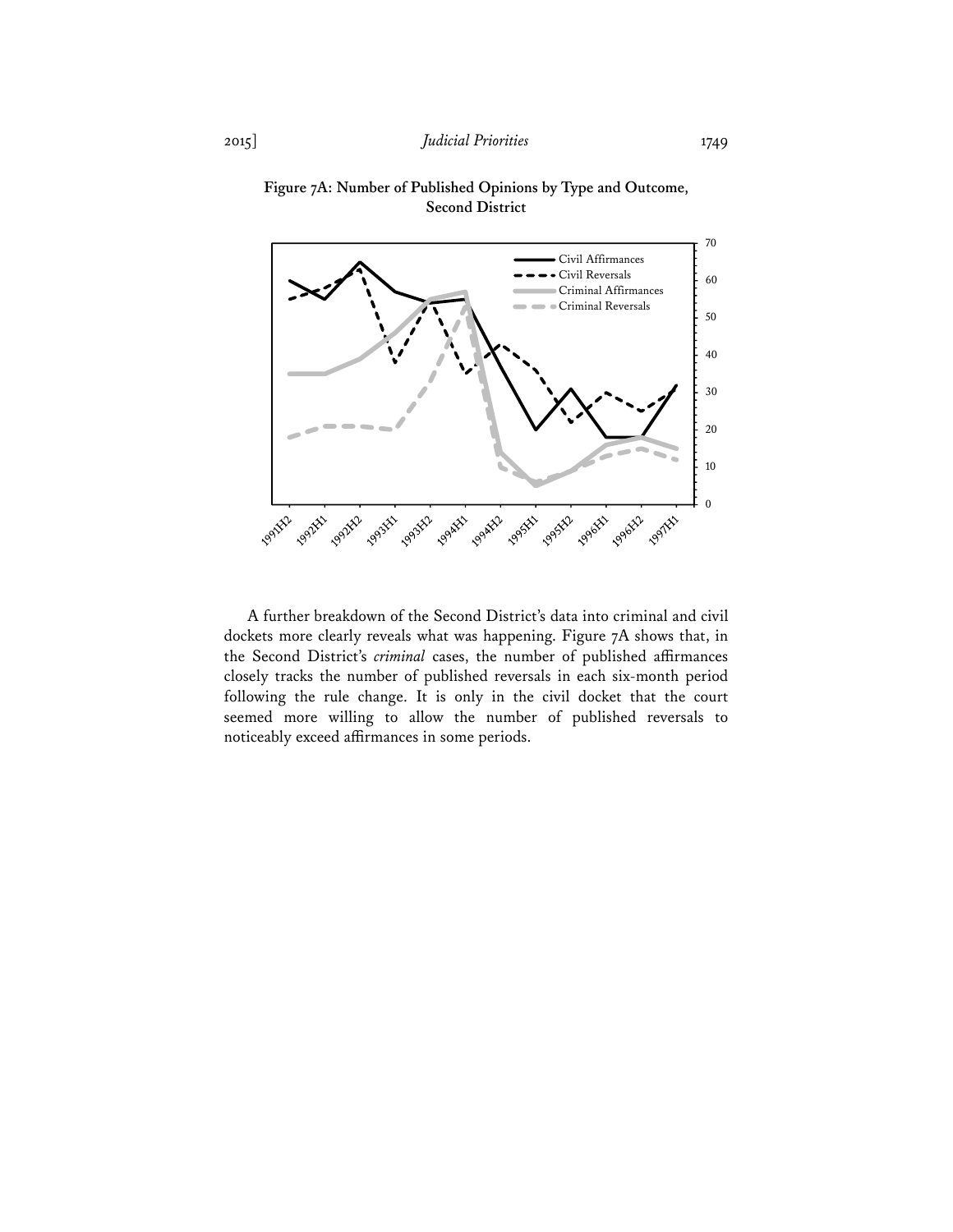

**Figure 7A: Number of Published Opinions by Type and Outcome, Second District** 

A further breakdown of the Second District's data into criminal and civil dockets more clearly reveals what was happening. Figure 7A shows that, in the Second District's *criminal* cases, the number of published affirmances closely tracks the number of published reversals in each six-month period following the rule change. It is only in the civil docket that the court seemed more willing to allow the number of published reversals to noticeably exceed affirmances in some periods.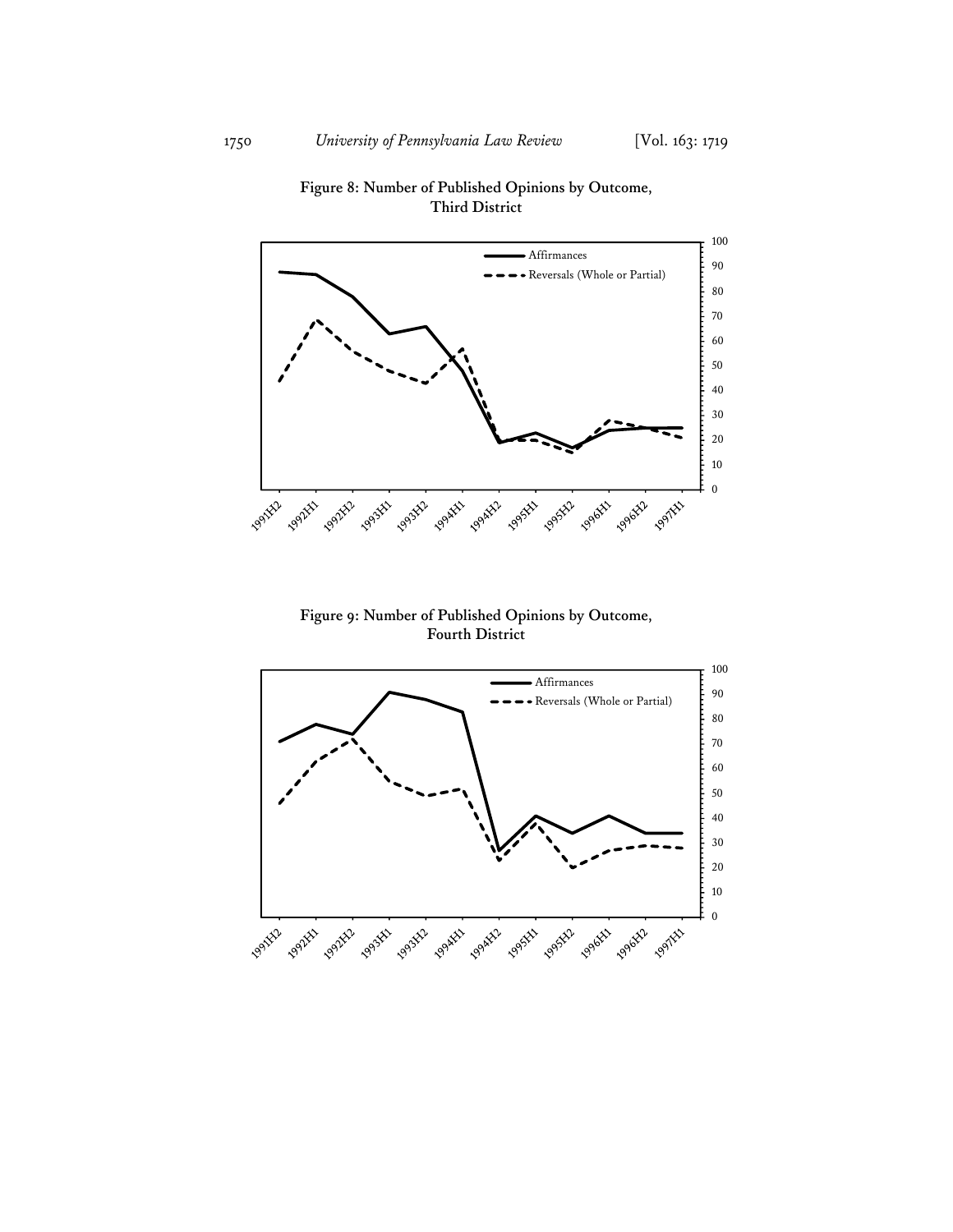

**Figure 8: Number of Published Opinions by Outcome, Third District** 

**Figure 9: Number of Published Opinions by Outcome, Fourth District** 

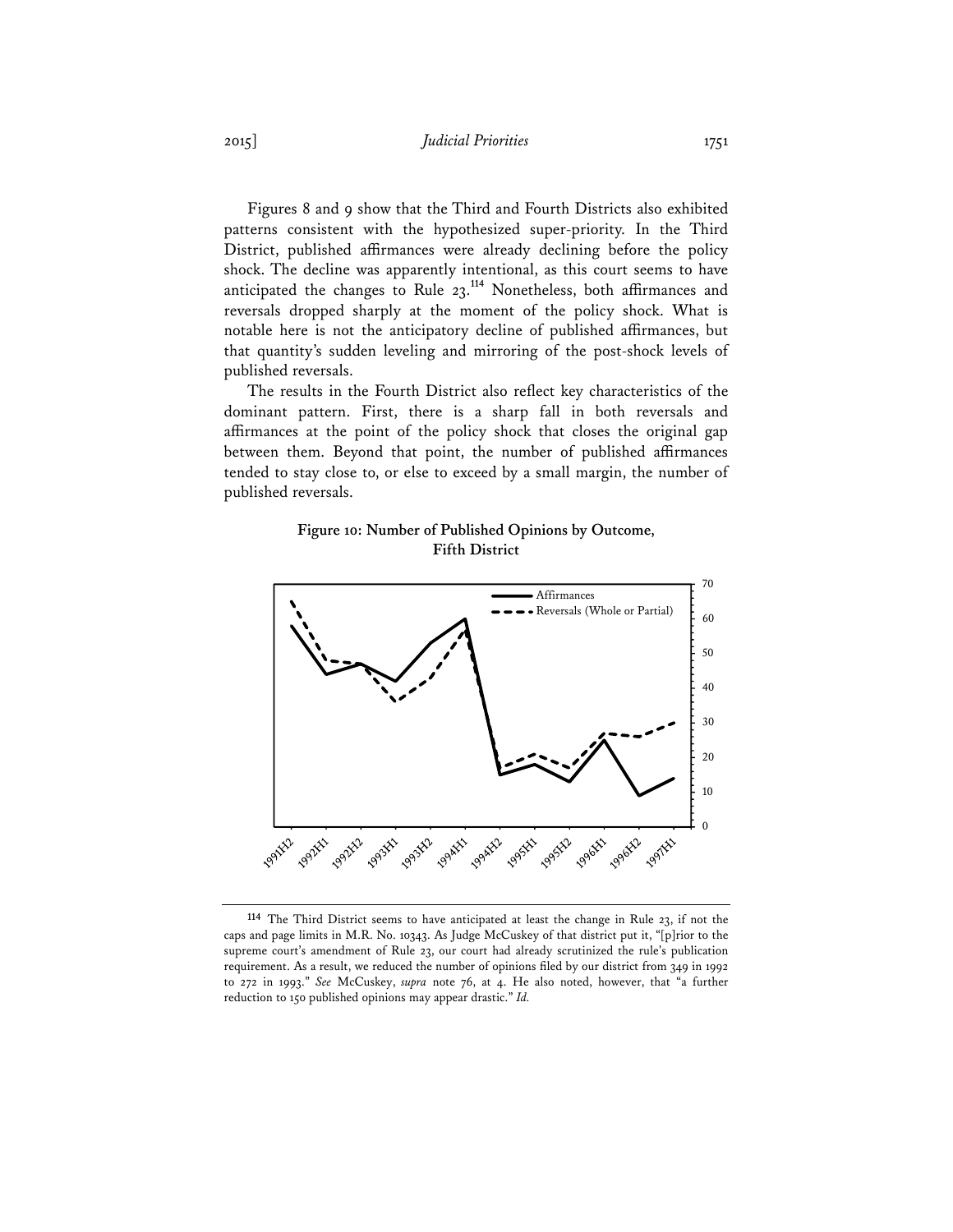Figures 8 and 9 show that the Third and Fourth Districts also exhibited patterns consistent with the hypothesized super-priority. In the Third District, published affirmances were already declining before the policy shock. The decline was apparently intentional, as this court seems to have anticipated the changes to Rule 23.**<sup>114</sup>** Nonetheless, both affirmances and reversals dropped sharply at the moment of the policy shock. What is notable here is not the anticipatory decline of published affirmances, but that quantity's sudden leveling and mirroring of the post-shock levels of published reversals.

The results in the Fourth District also reflect key characteristics of the dominant pattern. First, there is a sharp fall in both reversals and affirmances at the point of the policy shock that closes the original gap between them. Beyond that point, the number of published affirmances tended to stay close to, or else to exceed by a small margin, the number of published reversals.

## **Figure 10: Number of Published Opinions by Outcome, Fifth District**



**<sup>114</sup>** The Third District seems to have anticipated at least the change in Rule 23, if not the caps and page limits in M.R. No. 10343. As Judge McCuskey of that district put it, "[p]rior to the supreme court's amendment of Rule 23, our court had already scrutinized the rule's publication requirement. As a result, we reduced the number of opinions filed by our district from 349 in 1992 to 272 in 1993." *See* McCuskey, *supra* note 76, at 4. He also noted, however, that "a further reduction to 150 published opinions may appear drastic." *Id.*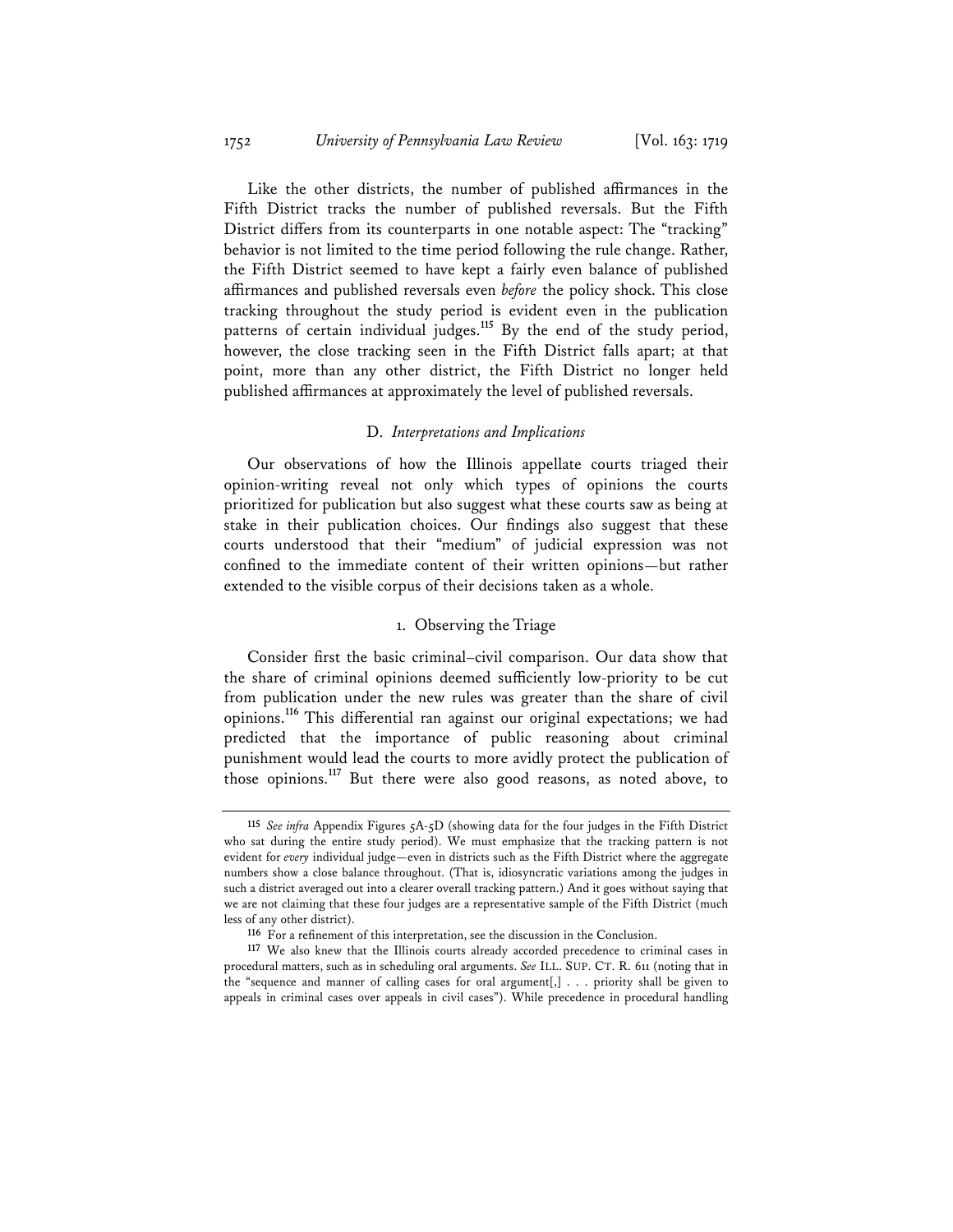Like the other districts, the number of published affirmances in the Fifth District tracks the number of published reversals. But the Fifth District differs from its counterparts in one notable aspect: The "tracking" behavior is not limited to the time period following the rule change. Rather, the Fifth District seemed to have kept a fairly even balance of published affirmances and published reversals even *before* the policy shock. This close tracking throughout the study period is evident even in the publication patterns of certain individual judges.**<sup>115</sup>** By the end of the study period, however, the close tracking seen in the Fifth District falls apart; at that point, more than any other district, the Fifth District no longer held published affirmances at approximately the level of published reversals.

### D. *Interpretations and Implications*

Our observations of how the Illinois appellate courts triaged their opinion-writing reveal not only which types of opinions the courts prioritized for publication but also suggest what these courts saw as being at stake in their publication choices. Our findings also suggest that these courts understood that their "medium" of judicial expression was not confined to the immediate content of their written opinions—but rather extended to the visible corpus of their decisions taken as a whole.

## 1. Observing the Triage

Consider first the basic criminal–civil comparison. Our data show that the share of criminal opinions deemed sufficiently low-priority to be cut from publication under the new rules was greater than the share of civil opinions.**<sup>116</sup>** This differential ran against our original expectations; we had predicted that the importance of public reasoning about criminal punishment would lead the courts to more avidly protect the publication of those opinions.**<sup>117</sup>** But there were also good reasons, as noted above, to

**<sup>115</sup>** *See infra* Appendix Figures 5A-5D (showing data for the four judges in the Fifth District who sat during the entire study period). We must emphasize that the tracking pattern is not evident for *every* individual judge—even in districts such as the Fifth District where the aggregate numbers show a close balance throughout. (That is, idiosyncratic variations among the judges in such a district averaged out into a clearer overall tracking pattern.) And it goes without saying that we are not claiming that these four judges are a representative sample of the Fifth District (much less of any other district).

**<sup>116</sup>** For a refinement of this interpretation, see the discussion in the Conclusion.

**<sup>117</sup>** We also knew that the Illinois courts already accorded precedence to criminal cases in procedural matters, such as in scheduling oral arguments. *See* ILL. SUP. CT. R. 611 (noting that in the "sequence and manner of calling cases for oral argument[,] . . . priority shall be given to appeals in criminal cases over appeals in civil cases"). While precedence in procedural handling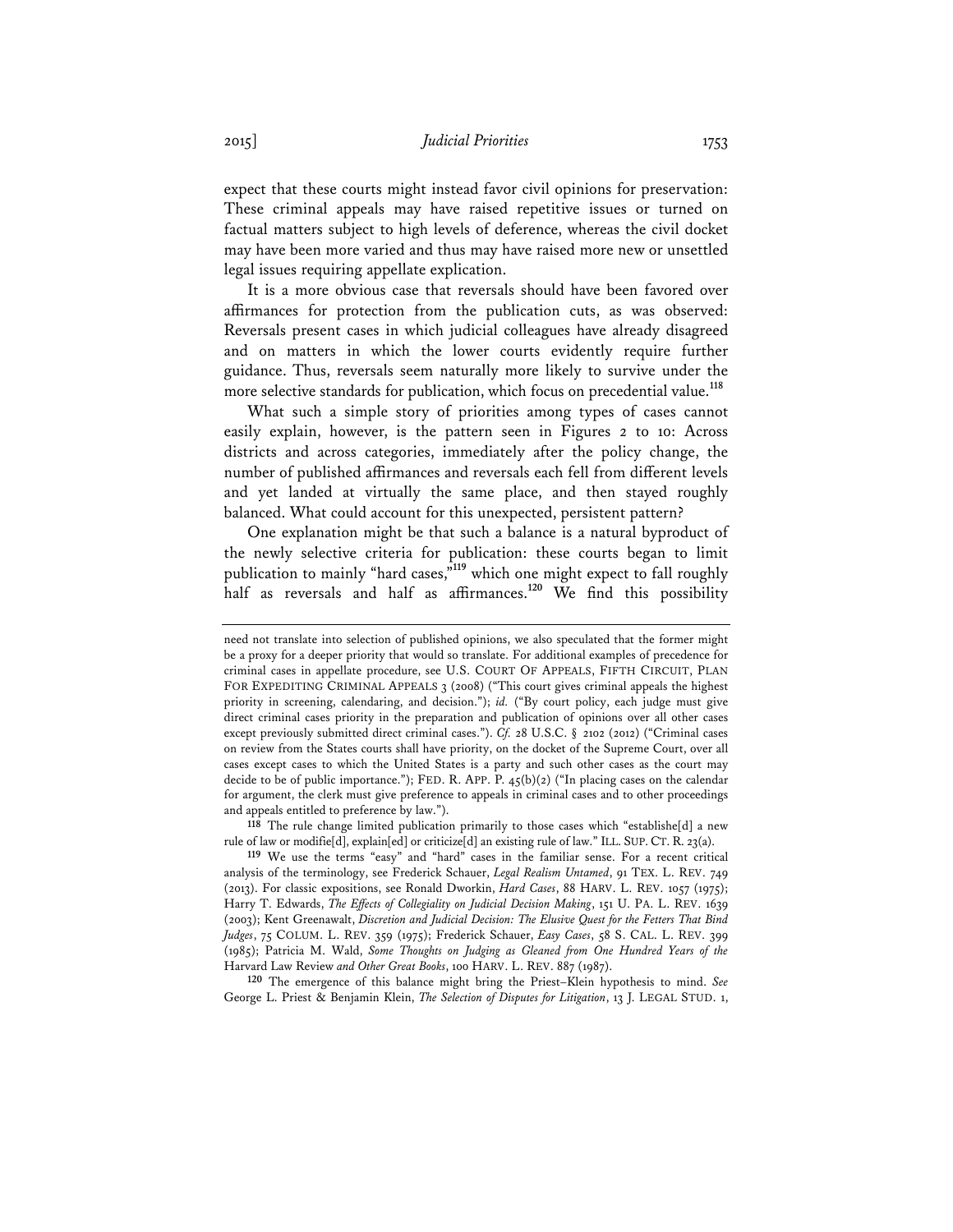expect that these courts might instead favor civil opinions for preservation: These criminal appeals may have raised repetitive issues or turned on factual matters subject to high levels of deference, whereas the civil docket may have been more varied and thus may have raised more new or unsettled legal issues requiring appellate explication.

It is a more obvious case that reversals should have been favored over affirmances for protection from the publication cuts, as was observed: Reversals present cases in which judicial colleagues have already disagreed and on matters in which the lower courts evidently require further guidance. Thus, reversals seem naturally more likely to survive under the more selective standards for publication, which focus on precedential value.**<sup>118</sup>**

What such a simple story of priorities among types of cases cannot easily explain, however, is the pattern seen in Figures 2 to 10: Across districts and across categories, immediately after the policy change, the number of published affirmances and reversals each fell from different levels and yet landed at virtually the same place, and then stayed roughly balanced. What could account for this unexpected, persistent pattern?

One explanation might be that such a balance is a natural byproduct of the newly selective criteria for publication: these courts began to limit publication to mainly "hard cases,"<sup>119</sup> which one might expect to fall roughly half as reversals and half as affirmances.<sup>120</sup> We find this possibility

**118** The rule change limited publication primarily to those cases which "establishe[d] a new rule of law or modifie[d], explain[ed] or criticize[d] an existing rule of law." ILL. SUP. CT. R. 23(a).

**120** The emergence of this balance might bring the Priest–Klein hypothesis to mind. *See*  George L. Priest & Benjamin Klein, *The Selection of Disputes for Litigation*, 13 J. LEGAL STUD. 1,

need not translate into selection of published opinions, we also speculated that the former might be a proxy for a deeper priority that would so translate. For additional examples of precedence for criminal cases in appellate procedure, see U.S. COURT OF APPEALS, FIFTH CIRCUIT, PLAN FOR EXPEDITING CRIMINAL APPEALS 3 (2008) ("This court gives criminal appeals the highest priority in screening, calendaring, and decision."); *id.* ("By court policy, each judge must give direct criminal cases priority in the preparation and publication of opinions over all other cases except previously submitted direct criminal cases."). *Cf.* 28 U.S.C. § 2102 (2012) ("Criminal cases on review from the States courts shall have priority, on the docket of the Supreme Court, over all cases except cases to which the United States is a party and such other cases as the court may decide to be of public importance."); FED. R. APP. P. 45(b)(2) ("In placing cases on the calendar for argument, the clerk must give preference to appeals in criminal cases and to other proceedings and appeals entitled to preference by law.").

**<sup>119</sup>** We use the terms "easy" and "hard" cases in the familiar sense. For a recent critical analysis of the terminology, see Frederick Schauer, *Legal Realism Untamed*, 91 TEX. L. REV. 749 (2013). For classic expositions, see Ronald Dworkin, *Hard Cases*, 88 HARV. L. REV. 1057 (1975); Harry T. Edwards, *The Effects of Collegiality on Judicial Decision Making*, 151 U. PA. L. REV. 1639 (2003); Kent Greenawalt, *Discretion and Judicial Decision: The Elusive Quest for the Fetters That Bind Judges*, 75 COLUM. L. REV. 359 (1975); Frederick Schauer, *Easy Cases*, 58 S. CAL. L. REV. 399 (1985); Patricia M. Wald, *Some Thoughts on Judging as Gleaned from One Hundred Years of the*  Harvard Law Review *and Other Great Books*, 100 HARV. L. REV. 887 (1987).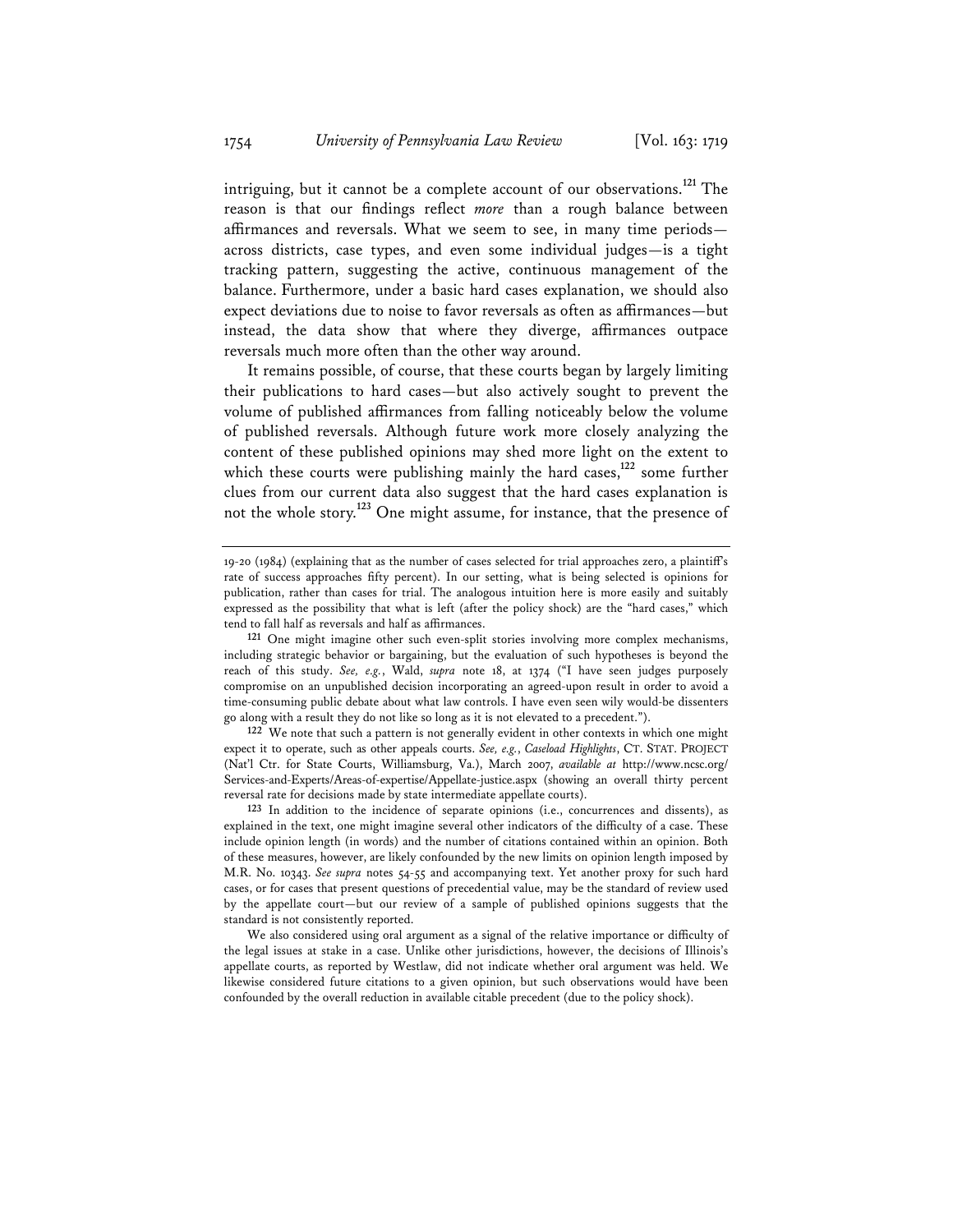intriguing, but it cannot be a complete account of our observations.**<sup>121</sup>** The reason is that our findings reflect *more* than a rough balance between affirmances and reversals. What we seem to see, in many time periods across districts, case types, and even some individual judges—is a tight tracking pattern, suggesting the active, continuous management of the balance. Furthermore, under a basic hard cases explanation, we should also expect deviations due to noise to favor reversals as often as affirmances—but instead, the data show that where they diverge, affirmances outpace reversals much more often than the other way around.

It remains possible, of course, that these courts began by largely limiting their publications to hard cases—but also actively sought to prevent the volume of published affirmances from falling noticeably below the volume of published reversals. Although future work more closely analyzing the content of these published opinions may shed more light on the extent to which these courts were publishing mainly the hard cases,<sup>122</sup> some further clues from our current data also suggest that the hard cases explanation is not the whole story.**<sup>123</sup>** One might assume, for instance, that the presence of

<sup>19-20 (1984) (</sup>explaining that as the number of cases selected for trial approaches zero, a plaintiff's rate of success approaches fifty percent). In our setting, what is being selected is opinions for publication, rather than cases for trial. The analogous intuition here is more easily and suitably expressed as the possibility that what is left (after the policy shock) are the "hard cases," which tend to fall half as reversals and half as affirmances.

**<sup>121</sup>** One might imagine other such even-split stories involving more complex mechanisms, including strategic behavior or bargaining, but the evaluation of such hypotheses is beyond the reach of this study. *See, e.g.*, Wald, *supra* note 18, at 1374 ("I have seen judges purposely compromise on an unpublished decision incorporating an agreed-upon result in order to avoid a time-consuming public debate about what law controls. I have even seen wily would-be dissenters go along with a result they do not like so long as it is not elevated to a precedent.").

**<sup>122</sup>** We note that such a pattern is not generally evident in other contexts in which one might expect it to operate, such as other appeals courts. *See, e.g.*, *Caseload Highlights*, CT. STAT. PROJECT (Nat'l Ctr. for State Courts, Williamsburg, Va.), March 2007, *available at* http://www.ncsc.org/ Services-and-Experts/Areas-of-expertise/Appellate-justice.aspx (showing an overall thirty percent reversal rate for decisions made by state intermediate appellate courts).

**<sup>123</sup>** In addition to the incidence of separate opinions (i.e., concurrences and dissents), as explained in the text, one might imagine several other indicators of the difficulty of a case. These include opinion length (in words) and the number of citations contained within an opinion. Both of these measures, however, are likely confounded by the new limits on opinion length imposed by M.R. No. 10343. *See supra* notes 54-55 and accompanying text. Yet another proxy for such hard cases, or for cases that present questions of precedential value, may be the standard of review used by the appellate court—but our review of a sample of published opinions suggests that the standard is not consistently reported.

We also considered using oral argument as a signal of the relative importance or difficulty of the legal issues at stake in a case. Unlike other jurisdictions, however, the decisions of Illinois's appellate courts, as reported by Westlaw, did not indicate whether oral argument was held. We likewise considered future citations to a given opinion, but such observations would have been confounded by the overall reduction in available citable precedent (due to the policy shock).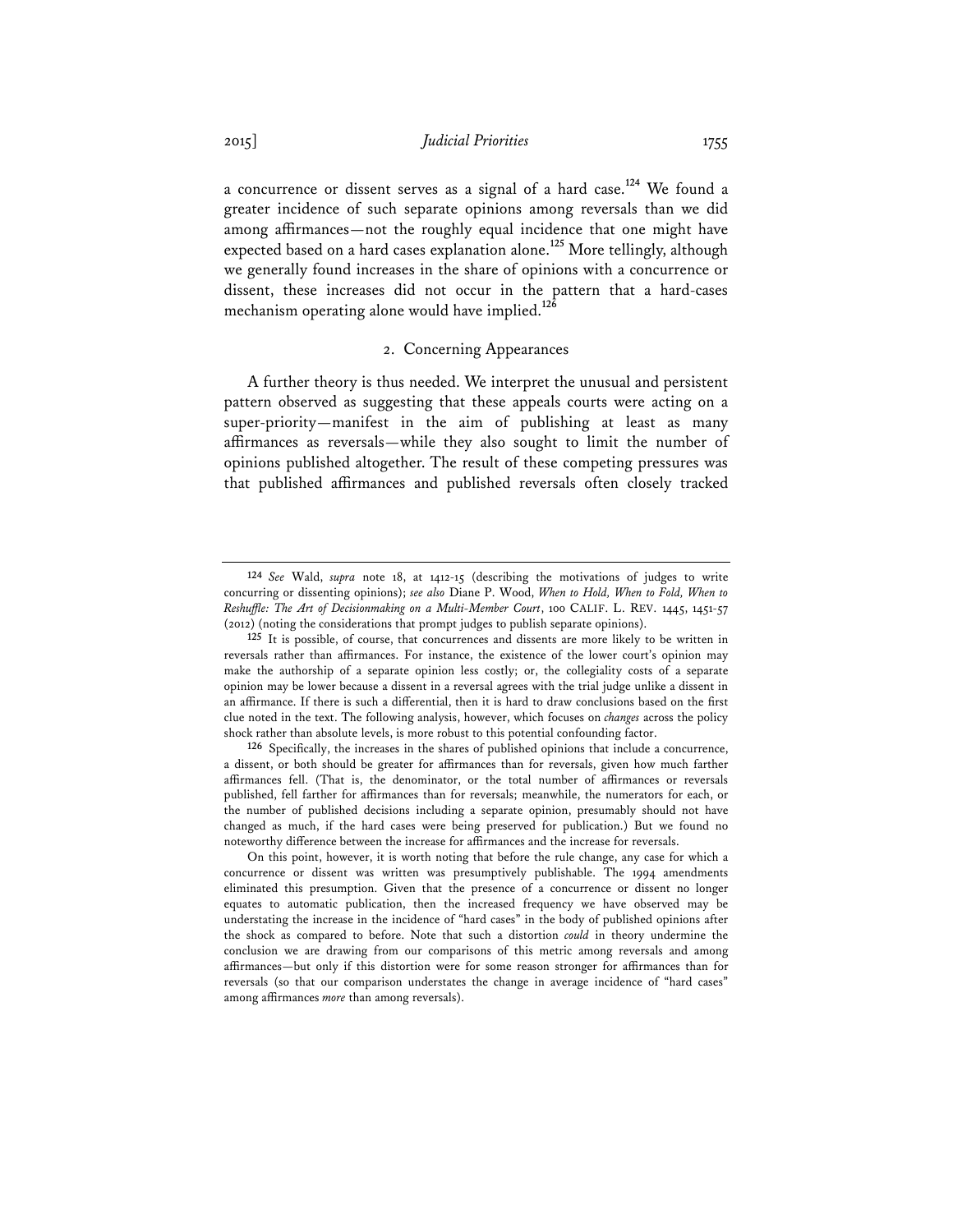a concurrence or dissent serves as a signal of a hard case.**<sup>124</sup>** We found a greater incidence of such separate opinions among reversals than we did among affirmances—not the roughly equal incidence that one might have expected based on a hard cases explanation alone.**<sup>125</sup>** More tellingly, although we generally found increases in the share of opinions with a concurrence or dissent, these increases did not occur in the pattern that a hard-cases mechanism operating alone would have implied.**<sup>126</sup>**

## 2. Concerning Appearances

A further theory is thus needed. We interpret the unusual and persistent pattern observed as suggesting that these appeals courts were acting on a super-priority—manifest in the aim of publishing at least as many affirmances as reversals—while they also sought to limit the number of opinions published altogether. The result of these competing pressures was that published affirmances and published reversals often closely tracked

**<sup>124</sup>** *See* Wald, *supra* note 18, at 1412-15 (describing the motivations of judges to write concurring or dissenting opinions); *see also* Diane P. Wood, *When to Hold, When to Fold, When to Reshuffle: The Art of Decisionmaking on a Multi-Member Court*, 100 CALIF. L. REV. 1445, 1451-57 (2012) (noting the considerations that prompt judges to publish separate opinions).

**<sup>125</sup>** It is possible, of course, that concurrences and dissents are more likely to be written in reversals rather than affirmances. For instance, the existence of the lower court's opinion may make the authorship of a separate opinion less costly; or, the collegiality costs of a separate opinion may be lower because a dissent in a reversal agrees with the trial judge unlike a dissent in an affirmance. If there is such a differential, then it is hard to draw conclusions based on the first clue noted in the text. The following analysis, however, which focuses on *changes* across the policy shock rather than absolute levels, is more robust to this potential confounding factor.

**<sup>126</sup>** Specifically, the increases in the shares of published opinions that include a concurrence, a dissent, or both should be greater for affirmances than for reversals, given how much farther affirmances fell. (That is, the denominator, or the total number of affirmances or reversals published, fell farther for affirmances than for reversals; meanwhile, the numerators for each, or the number of published decisions including a separate opinion, presumably should not have changed as much, if the hard cases were being preserved for publication.) But we found no noteworthy difference between the increase for affirmances and the increase for reversals.

On this point, however, it is worth noting that before the rule change, any case for which a concurrence or dissent was written was presumptively publishable. The 1994 amendments eliminated this presumption. Given that the presence of a concurrence or dissent no longer equates to automatic publication, then the increased frequency we have observed may be understating the increase in the incidence of "hard cases" in the body of published opinions after the shock as compared to before. Note that such a distortion *could* in theory undermine the conclusion we are drawing from our comparisons of this metric among reversals and among affirmances—but only if this distortion were for some reason stronger for affirmances than for reversals (so that our comparison understates the change in average incidence of "hard cases" among affirmances *more* than among reversals).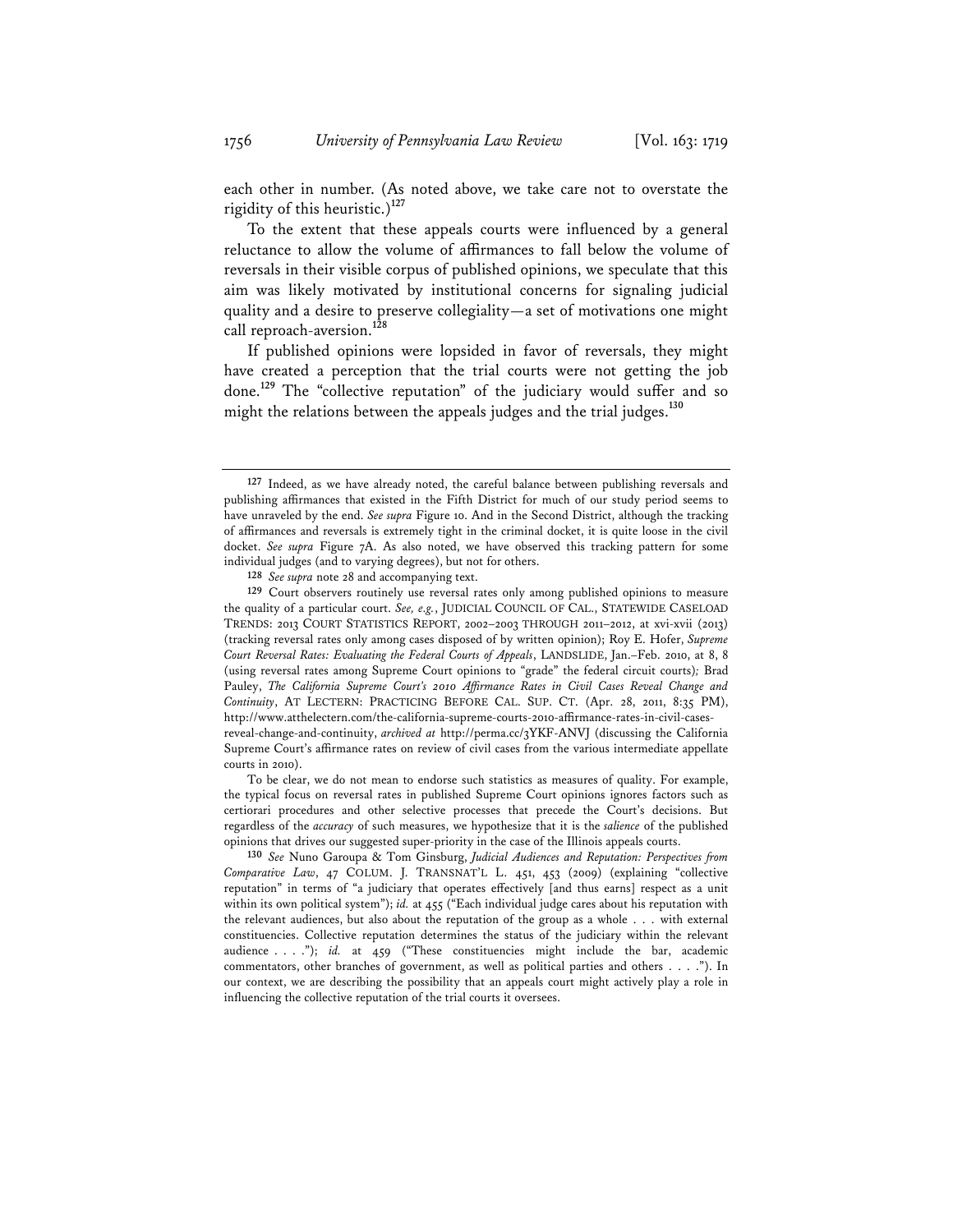each other in number. (As noted above, we take care not to overstate the rigidity of this heuristic.)**<sup>127</sup>**

To the extent that these appeals courts were influenced by a general reluctance to allow the volume of affirmances to fall below the volume of reversals in their visible corpus of published opinions, we speculate that this aim was likely motivated by institutional concerns for signaling judicial quality and a desire to preserve collegiality—a set of motivations one might call reproach-aversion.**<sup>128</sup>**

If published opinions were lopsided in favor of reversals, they might have created a perception that the trial courts were not getting the job done.**<sup>129</sup>** The "collective reputation" of the judiciary would suffer and so might the relations between the appeals judges and the trial judges.**<sup>130</sup>**

To be clear, we do not mean to endorse such statistics as measures of quality. For example, the typical focus on reversal rates in published Supreme Court opinions ignores factors such as certiorari procedures and other selective processes that precede the Court's decisions. But regardless of the *accuracy* of such measures, we hypothesize that it is the *salience* of the published opinions that drives our suggested super-priority in the case of the Illinois appeals courts.

**130** *See* Nuno Garoupa & Tom Ginsburg, *Judicial Audiences and Reputation: Perspectives from Comparative Law*, 47 COLUM. J. TRANSNAT'L L. 451, 453 (2009) (explaining "collective reputation" in terms of "a judiciary that operates effectively [and thus earns] respect as a unit within its own political system"); *id.* at 455 ("Each individual judge cares about his reputation with the relevant audiences, but also about the reputation of the group as a whole . . . with external constituencies. Collective reputation determines the status of the judiciary within the relevant audience . . . ."); *id.* at 459 ("These constituencies might include the bar, academic commentators, other branches of government, as well as political parties and others . . . ."). In our context, we are describing the possibility that an appeals court might actively play a role in influencing the collective reputation of the trial courts it oversees.

**<sup>127</sup>** Indeed, as we have already noted, the careful balance between publishing reversals and publishing affirmances that existed in the Fifth District for much of our study period seems to have unraveled by the end. *See supra* Figure 10. And in the Second District, although the tracking of affirmances and reversals is extremely tight in the criminal docket, it is quite loose in the civil docket. *See supra* Figure 7A. As also noted, we have observed this tracking pattern for some individual judges (and to varying degrees), but not for others.

**<sup>128</sup>** *See supra* note 28 and accompanying text.

**<sup>129</sup>** Court observers routinely use reversal rates only among published opinions to measure the quality of a particular court. *See, e.g.*, JUDICIAL COUNCIL OF CAL., STATEWIDE CASELOAD TRENDS: 2013 COURT STATISTICS REPORT, 2002–2003 THROUGH 2011–2012, at xvi-xvii (2013) (tracking reversal rates only among cases disposed of by written opinion); Roy E. Hofer, *Supreme Court Reversal Rates: Evaluating the Federal Courts of Appeals*, LANDSLIDE, Jan.–Feb. 2010, at 8, 8 (using reversal rates among Supreme Court opinions to "grade" the federal circuit courts)*;* Brad Pauley, *The California Supreme Court's 2010 Affirmance Rates in Civil Cases Reveal Change and Continuity*, AT LECTERN: PRACTICING BEFORE CAL. SUP. CT. (Apr. 28, 2011, 8:35 PM), http://www.atthelectern.com/the-california-supreme-courts-2010-affirmance-rates-in-civil-casesreveal-change-and-continuity, *archived at* http://perma.cc/3YKF-ANVJ (discussing the California Supreme Court's affirmance rates on review of civil cases from the various intermediate appellate courts in 2010).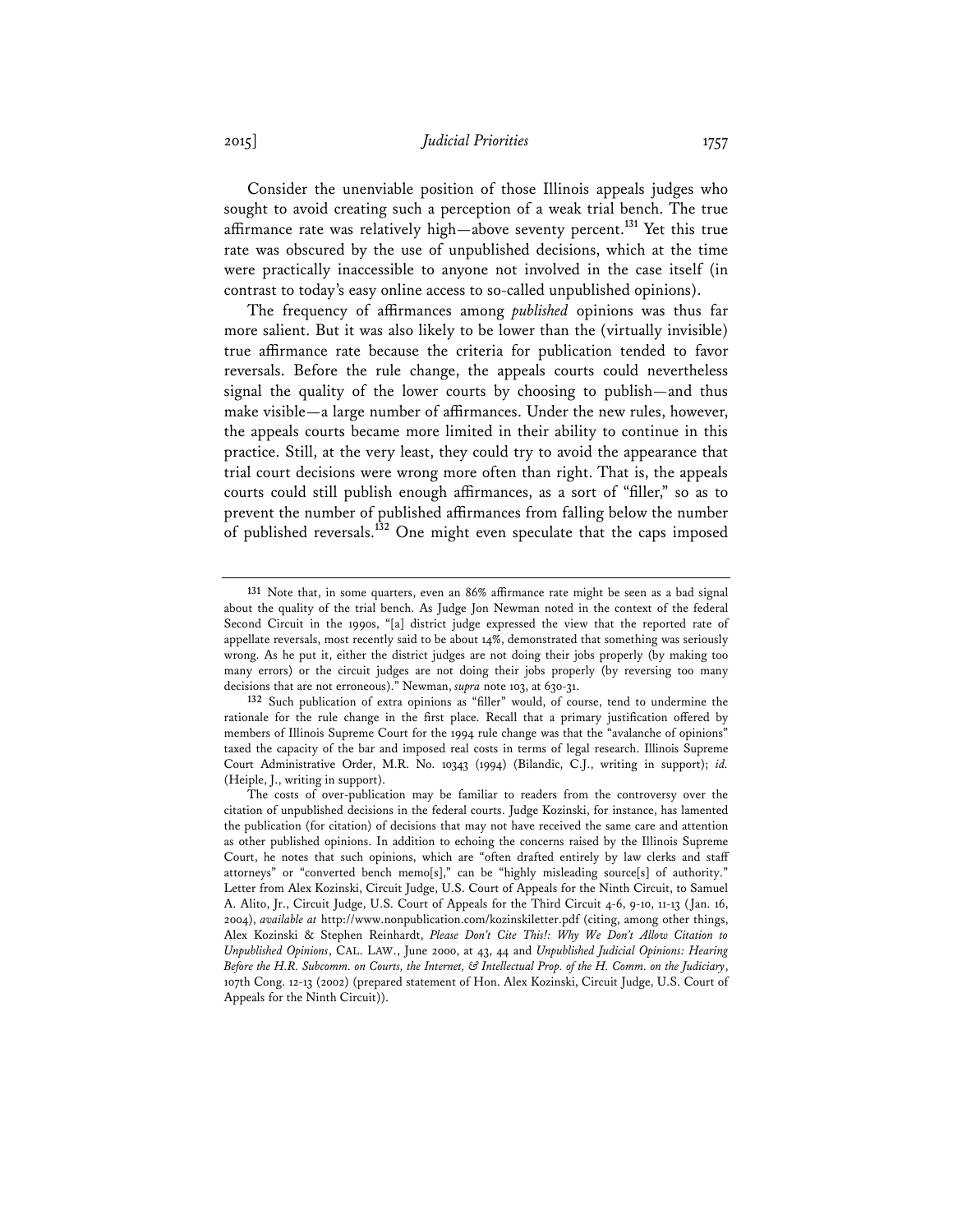2015] *Judicial Priorities* 1757

Consider the unenviable position of those Illinois appeals judges who sought to avoid creating such a perception of a weak trial bench. The true affirmance rate was relatively high—above seventy percent.**<sup>131</sup>** Yet this true rate was obscured by the use of unpublished decisions, which at the time were practically inaccessible to anyone not involved in the case itself (in contrast to today's easy online access to so-called unpublished opinions).

The frequency of affirmances among *published* opinions was thus far more salient. But it was also likely to be lower than the (virtually invisible) true affirmance rate because the criteria for publication tended to favor reversals. Before the rule change, the appeals courts could nevertheless signal the quality of the lower courts by choosing to publish—and thus make visible—a large number of affirmances. Under the new rules, however, the appeals courts became more limited in their ability to continue in this practice. Still, at the very least, they could try to avoid the appearance that trial court decisions were wrong more often than right. That is, the appeals courts could still publish enough affirmances, as a sort of "filler," so as to prevent the number of published affirmances from falling below the number of published reversals.**<sup>132</sup>** One might even speculate that the caps imposed

**<sup>131</sup>** Note that, in some quarters, even an 86% affirmance rate might be seen as a bad signal about the quality of the trial bench. As Judge Jon Newman noted in the context of the federal Second Circuit in the 1990s, "[a] district judge expressed the view that the reported rate of appellate reversals, most recently said to be about 14%, demonstrated that something was seriously wrong. As he put it, either the district judges are not doing their jobs properly (by making too many errors) or the circuit judges are not doing their jobs properly (by reversing too many decisions that are not erroneous)." Newman, *supra* note 103, at 630-31.

**<sup>132</sup>** Such publication of extra opinions as "filler" would, of course, tend to undermine the rationale for the rule change in the first place. Recall that a primary justification offered by members of Illinois Supreme Court for the 1994 rule change was that the "avalanche of opinions" taxed the capacity of the bar and imposed real costs in terms of legal research. Illinois Supreme Court Administrative Order, M.R. No. 10343 (1994) (Bilandic, C.J., writing in support); *id.* (Heiple, J., writing in support).

The costs of over-publication may be familiar to readers from the controversy over the citation of unpublished decisions in the federal courts. Judge Kozinski, for instance, has lamented the publication (for citation) of decisions that may not have received the same care and attention as other published opinions. In addition to echoing the concerns raised by the Illinois Supreme Court, he notes that such opinions, which are "often drafted entirely by law clerks and staff attorneys" or "converted bench memo[s]," can be "highly misleading source[s] of authority." Letter from Alex Kozinski, Circuit Judge, U.S. Court of Appeals for the Ninth Circuit, to Samuel A. Alito, Jr., Circuit Judge, U.S. Court of Appeals for the Third Circuit 4-6, 9-10, 11-13 (Jan. 16, 2004), *available at* http://www.nonpublication.com/kozinskiletter.pdf (citing, among other things, Alex Kozinski & Stephen Reinhardt, *Please Don't Cite This!: Why We Don't Allow Citation to Unpublished Opinions*, CAL. LAW., June 2000, at 43, 44 and *Unpublished Judicial Opinions: Hearing Before the H.R. Subcomm. on Courts, the Internet, & Intellectual Prop. of the H. Comm. on the Judiciary*, 107th Cong. 12-13 (2002) (prepared statement of Hon. Alex Kozinski, Circuit Judge, U.S. Court of Appeals for the Ninth Circuit)).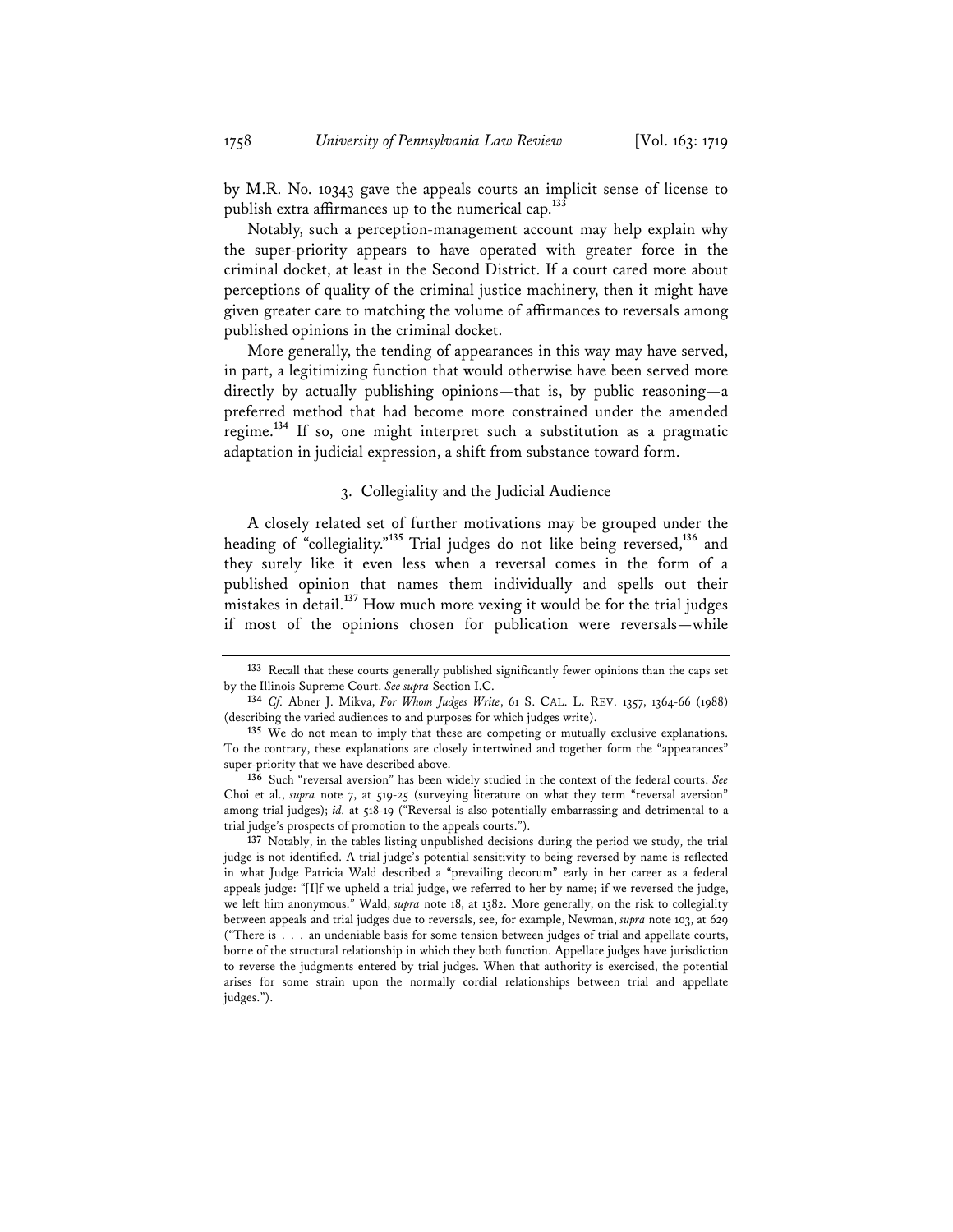by M.R. No. 10343 gave the appeals courts an implicit sense of license to publish extra affirmances up to the numerical cap.**<sup>133</sup>**

Notably, such a perception-management account may help explain why the super-priority appears to have operated with greater force in the criminal docket, at least in the Second District. If a court cared more about perceptions of quality of the criminal justice machinery, then it might have given greater care to matching the volume of affirmances to reversals among published opinions in the criminal docket.

More generally, the tending of appearances in this way may have served, in part, a legitimizing function that would otherwise have been served more directly by actually publishing opinions—that is, by public reasoning—a preferred method that had become more constrained under the amended regime.**<sup>134</sup>** If so, one might interpret such a substitution as a pragmatic adaptation in judicial expression, a shift from substance toward form.

## 3. Collegiality and the Judicial Audience

A closely related set of further motivations may be grouped under the heading of "collegiality."**<sup>135</sup>** Trial judges do not like being reversed,**<sup>136</sup>** and they surely like it even less when a reversal comes in the form of a published opinion that names them individually and spells out their mistakes in detail.**<sup>137</sup>** How much more vexing it would be for the trial judges if most of the opinions chosen for publication were reversals—while

**<sup>133</sup>** Recall that these courts generally published significantly fewer opinions than the caps set by the Illinois Supreme Court. *See supra* Section I.C.

**<sup>134</sup>** *Cf.* Abner J. Mikva, *For Whom Judges Write*, 61 S. CAL. L. REV. 1357, 1364-66 (1988) (describing the varied audiences to and purposes for which judges write).

**<sup>135</sup>** We do not mean to imply that these are competing or mutually exclusive explanations. To the contrary, these explanations are closely intertwined and together form the "appearances" super-priority that we have described above.

**<sup>136</sup>** Such "reversal aversion" has been widely studied in the context of the federal courts. *See* Choi et al., *supra* note 7, at 519-25 (surveying literature on what they term "reversal aversion" among trial judges); *id.* at 518-19 ("Reversal is also potentially embarrassing and detrimental to a trial judge's prospects of promotion to the appeals courts.").

**<sup>137</sup>** Notably, in the tables listing unpublished decisions during the period we study, the trial judge is not identified. A trial judge's potential sensitivity to being reversed by name is reflected in what Judge Patricia Wald described a "prevailing decorum" early in her career as a federal appeals judge: "[I]f we upheld a trial judge, we referred to her by name; if we reversed the judge, we left him anonymous." Wald, *supra* note 18, at 1382. More generally, on the risk to collegiality between appeals and trial judges due to reversals, see, for example, Newman, *supra* note 103, at 629 ("There is . . . an undeniable basis for some tension between judges of trial and appellate courts, borne of the structural relationship in which they both function. Appellate judges have jurisdiction to reverse the judgments entered by trial judges. When that authority is exercised, the potential arises for some strain upon the normally cordial relationships between trial and appellate judges.").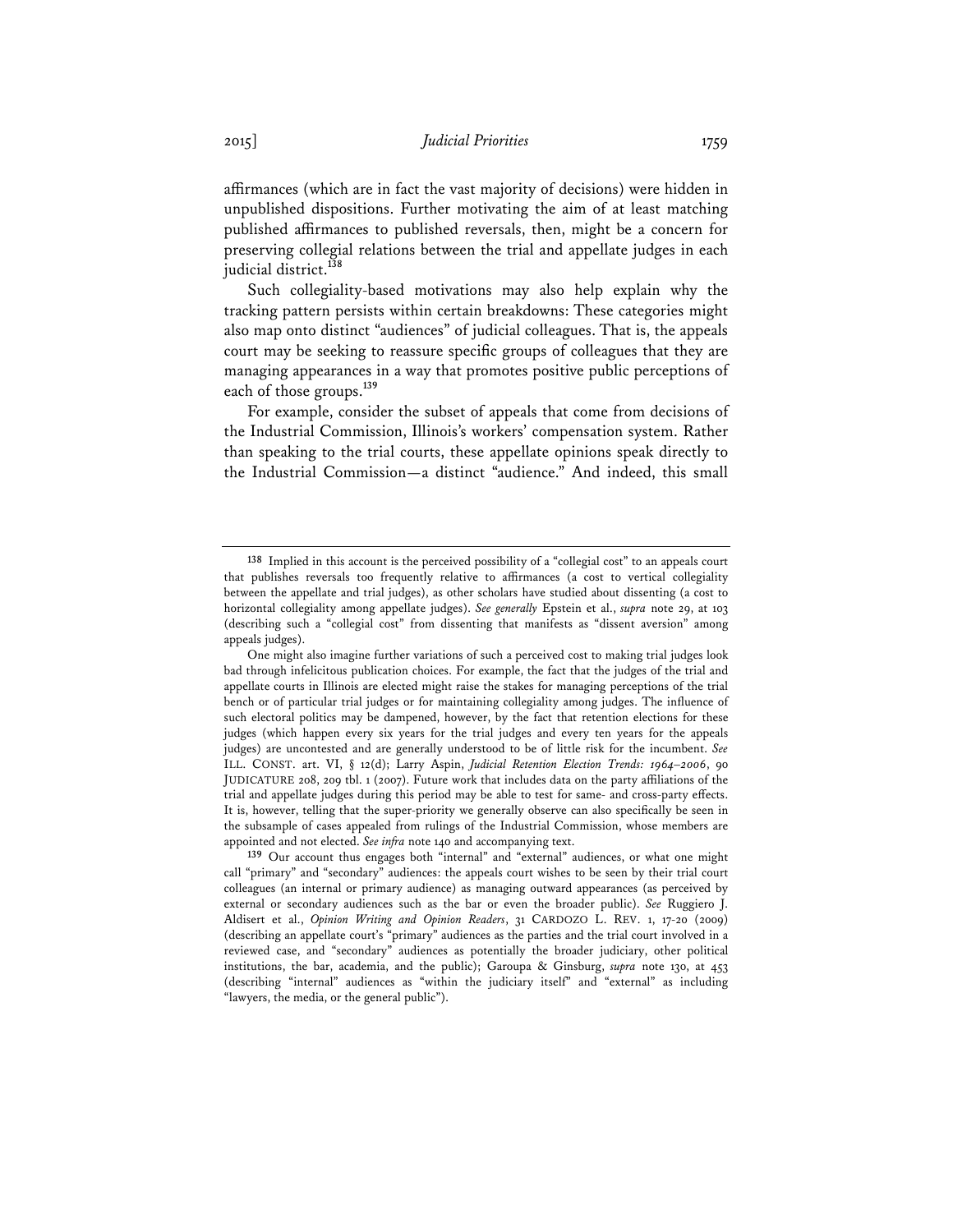affirmances (which are in fact the vast majority of decisions) were hidden in unpublished dispositions. Further motivating the aim of at least matching published affirmances to published reversals, then, might be a concern for preserving collegial relations between the trial and appellate judges in each judicial district.**<sup>138</sup>**

Such collegiality-based motivations may also help explain why the tracking pattern persists within certain breakdowns: These categories might also map onto distinct "audiences" of judicial colleagues. That is, the appeals court may be seeking to reassure specific groups of colleagues that they are managing appearances in a way that promotes positive public perceptions of each of those groups.**<sup>139</sup>**

For example, consider the subset of appeals that come from decisions of the Industrial Commission, Illinois's workers' compensation system. Rather than speaking to the trial courts, these appellate opinions speak directly to the Industrial Commission—a distinct "audience." And indeed, this small

**<sup>138</sup>** Implied in this account is the perceived possibility of a "collegial cost" to an appeals court that publishes reversals too frequently relative to affirmances (a cost to vertical collegiality between the appellate and trial judges), as other scholars have studied about dissenting (a cost to horizontal collegiality among appellate judges). *See generally* Epstein et al., *supra* note 29, at 103 (describing such a "collegial cost" from dissenting that manifests as "dissent aversion" among appeals judges).

One might also imagine further variations of such a perceived cost to making trial judges look bad through infelicitous publication choices. For example, the fact that the judges of the trial and appellate courts in Illinois are elected might raise the stakes for managing perceptions of the trial bench or of particular trial judges or for maintaining collegiality among judges. The influence of such electoral politics may be dampened, however, by the fact that retention elections for these judges (which happen every six years for the trial judges and every ten years for the appeals judges) are uncontested and are generally understood to be of little risk for the incumbent. *See* ILL. CONST. art. VI, § 12(d); Larry Aspin, *Judicial Retention Election Trends: 1964–2006*, 90 JUDICATURE 208, 209 tbl. 1 (2007). Future work that includes data on the party affiliations of the trial and appellate judges during this period may be able to test for same- and cross-party effects. It is, however, telling that the super-priority we generally observe can also specifically be seen in the subsample of cases appealed from rulings of the Industrial Commission, whose members are appointed and not elected. *See infra* note 140 and accompanying text.

**<sup>139</sup>** Our account thus engages both "internal" and "external" audiences, or what one might call "primary" and "secondary" audiences: the appeals court wishes to be seen by their trial court colleagues (an internal or primary audience) as managing outward appearances (as perceived by external or secondary audiences such as the bar or even the broader public). *See* Ruggiero J. Aldisert et al., *Opinion Writing and Opinion Readers*, 31 CARDOZO L. REV. 1, 17-20 (2009) (describing an appellate court's "primary" audiences as the parties and the trial court involved in a reviewed case, and "secondary" audiences as potentially the broader judiciary, other political institutions, the bar, academia, and the public); Garoupa & Ginsburg, *supra* note 130, at 453 (describing "internal" audiences as "within the judiciary itself" and "external" as including "lawyers, the media, or the general public").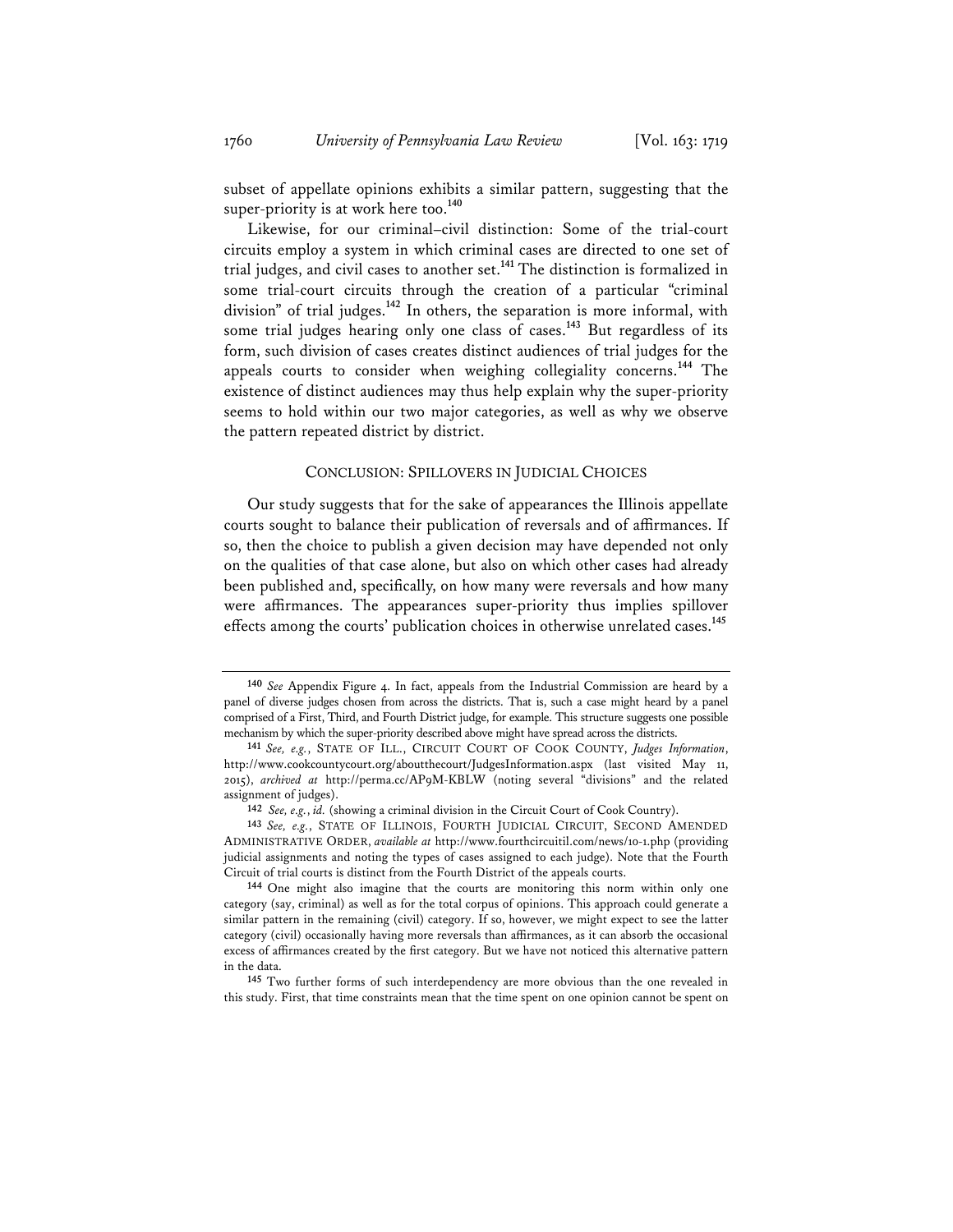subset of appellate opinions exhibits a similar pattern, suggesting that the super-priority is at work here too.<sup>140</sup>

Likewise, for our criminal–civil distinction: Some of the trial-court circuits employ a system in which criminal cases are directed to one set of trial judges, and civil cases to another set.**<sup>141</sup>** The distinction is formalized in some trial-court circuits through the creation of a particular "criminal division" of trial judges.**<sup>142</sup>** In others, the separation is more informal, with some trial judges hearing only one class of cases.<sup>143</sup> But regardless of its form, such division of cases creates distinct audiences of trial judges for the appeals courts to consider when weighing collegiality concerns.**<sup>144</sup>** The existence of distinct audiences may thus help explain why the super-priority seems to hold within our two major categories, as well as why we observe the pattern repeated district by district.

### CONCLUSION: SPILLOVERS IN JUDICIAL CHOICES

Our study suggests that for the sake of appearances the Illinois appellate courts sought to balance their publication of reversals and of affirmances. If so, then the choice to publish a given decision may have depended not only on the qualities of that case alone, but also on which other cases had already been published and, specifically, on how many were reversals and how many were affirmances. The appearances super-priority thus implies spillover effects among the courts' publication choices in otherwise unrelated cases.**<sup>145</sup>**

**145** Two further forms of such interdependency are more obvious than the one revealed in this study. First, that time constraints mean that the time spent on one opinion cannot be spent on

**<sup>140</sup>** *See* Appendix Figure 4. In fact, appeals from the Industrial Commission are heard by a panel of diverse judges chosen from across the districts. That is, such a case might heard by a panel comprised of a First, Third, and Fourth District judge, for example. This structure suggests one possible mechanism by which the super-priority described above might have spread across the districts.

**<sup>141</sup>** *See, e.g.*, STATE OF ILL., CIRCUIT COURT OF COOK COUNTY, *Judges Information*, http://www.cookcountycourt.org/aboutthecourt/JudgesInformation.aspx (last visited May 11, 2015), *archived at* http://perma.cc/AP9M-KBLW (noting several "divisions" and the related assignment of judges).

**<sup>142</sup>** *See, e.g.*, *id.* (showing a criminal division in the Circuit Court of Cook Country).

**<sup>143</sup>** *See, e.g.*, STATE OF ILLINOIS, FOURTH JUDICIAL CIRCUIT, SECOND AMENDED ADMINISTRATIVE ORDER, *available at* http://www.fourthcircuitil.com/news/10-1.php (providing judicial assignments and noting the types of cases assigned to each judge). Note that the Fourth Circuit of trial courts is distinct from the Fourth District of the appeals courts.

**<sup>144</sup>** One might also imagine that the courts are monitoring this norm within only one category (say, criminal) as well as for the total corpus of opinions. This approach could generate a similar pattern in the remaining (civil) category. If so, however, we might expect to see the latter category (civil) occasionally having more reversals than affirmances, as it can absorb the occasional excess of affirmances created by the first category. But we have not noticed this alternative pattern in the data.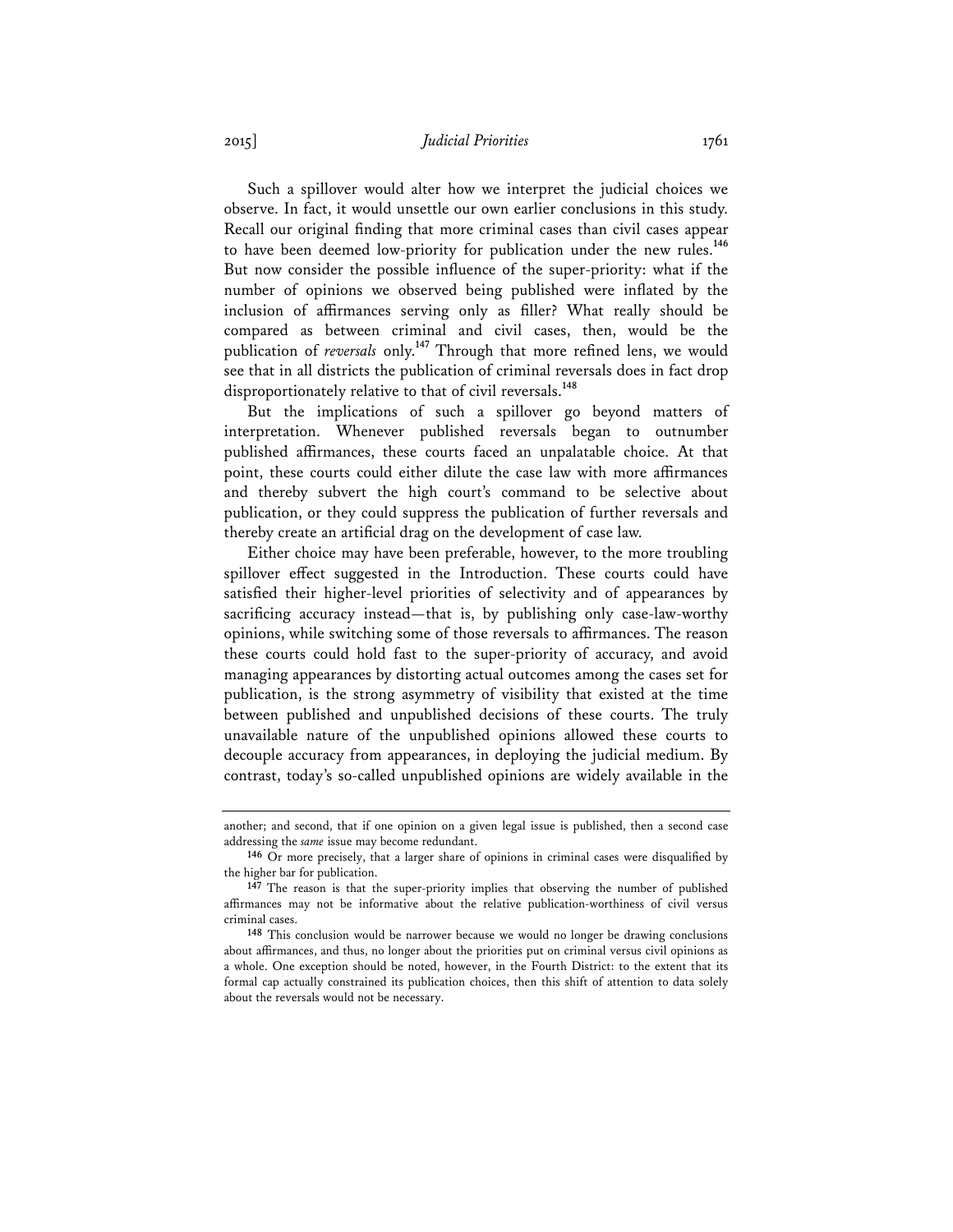## 2015] *Judicial Priorities* 1761

Such a spillover would alter how we interpret the judicial choices we observe. In fact, it would unsettle our own earlier conclusions in this study. Recall our original finding that more criminal cases than civil cases appear to have been deemed low-priority for publication under the new rules.**<sup>146</sup>** But now consider the possible influence of the super-priority: what if the number of opinions we observed being published were inflated by the inclusion of affirmances serving only as filler? What really should be compared as between criminal and civil cases, then, would be the publication of *reversals* only.**<sup>147</sup>** Through that more refined lens, we would see that in all districts the publication of criminal reversals does in fact drop disproportionately relative to that of civil reversals.**<sup>148</sup>**

But the implications of such a spillover go beyond matters of interpretation. Whenever published reversals began to outnumber published affirmances, these courts faced an unpalatable choice. At that point, these courts could either dilute the case law with more affirmances and thereby subvert the high court's command to be selective about publication, or they could suppress the publication of further reversals and thereby create an artificial drag on the development of case law.

Either choice may have been preferable, however, to the more troubling spillover effect suggested in the Introduction. These courts could have satisfied their higher-level priorities of selectivity and of appearances by sacrificing accuracy instead—that is, by publishing only case-law-worthy opinions, while switching some of those reversals to affirmances. The reason these courts could hold fast to the super-priority of accuracy, and avoid managing appearances by distorting actual outcomes among the cases set for publication, is the strong asymmetry of visibility that existed at the time between published and unpublished decisions of these courts. The truly unavailable nature of the unpublished opinions allowed these courts to decouple accuracy from appearances, in deploying the judicial medium. By contrast, today's so-called unpublished opinions are widely available in the

another; and second, that if one opinion on a given legal issue is published, then a second case addressing the *same* issue may become redundant.

**<sup>146</sup>** Or more precisely, that a larger share of opinions in criminal cases were disqualified by the higher bar for publication.

**<sup>147</sup>** The reason is that the super-priority implies that observing the number of published affirmances may not be informative about the relative publication-worthiness of civil versus criminal cases.

**<sup>148</sup>** This conclusion would be narrower because we would no longer be drawing conclusions about affirmances, and thus, no longer about the priorities put on criminal versus civil opinions as a whole. One exception should be noted, however, in the Fourth District: to the extent that its formal cap actually constrained its publication choices, then this shift of attention to data solely about the reversals would not be necessary.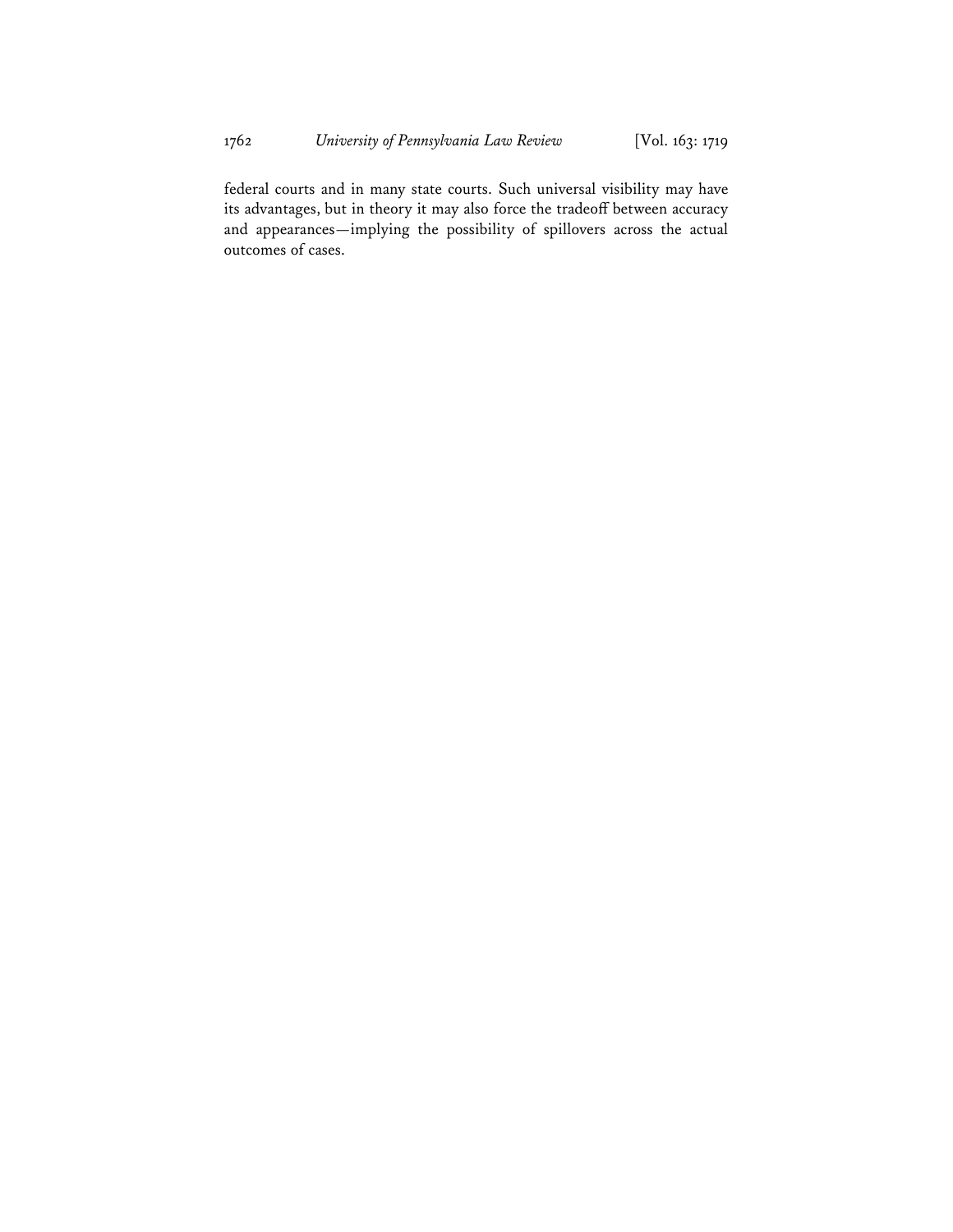federal courts and in many state courts. Such universal visibility may have its advantages, but in theory it may also force the tradeoff between accuracy and appearances—implying the possibility of spillovers across the actual outcomes of cases.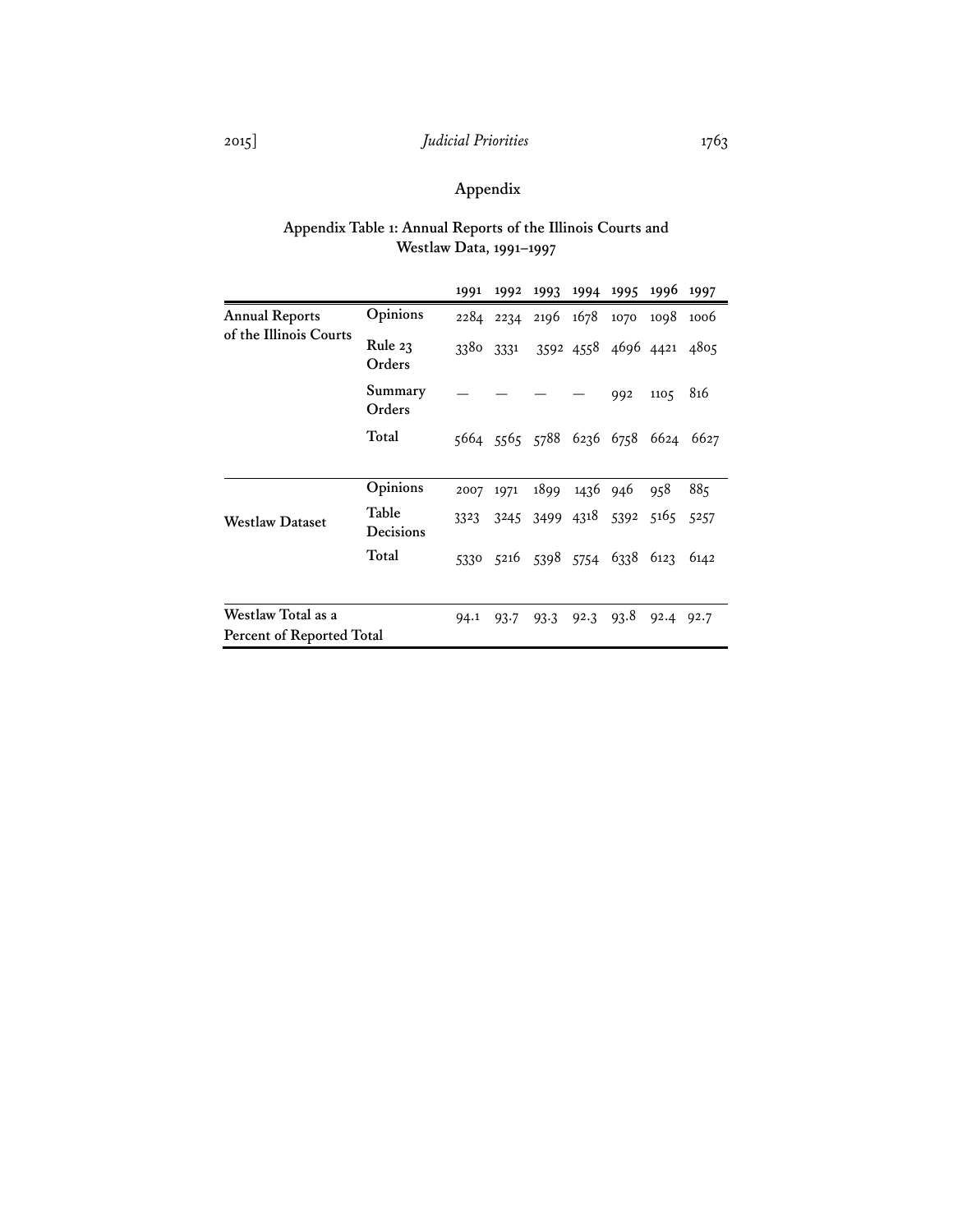# 2015] *Judicial Priorities* 1763

# **Appendix**

## **Appendix Table 1: Annual Reports of the Illinois Courts and Westlaw Data, 1991–1997**

|                           |                           | 1991 | 1992      | 1993                          | 1994          | 1995                     | 1996      | 1997 |
|---------------------------|---------------------------|------|-----------|-------------------------------|---------------|--------------------------|-----------|------|
| <b>Annual Reports</b>     | Opinions                  |      | 2284 2234 | 2196 1678                     |               | 1070                     | 1098      | 1006 |
| of the Illinois Courts    | Rule 23<br>Orders         | 3380 | 3331      |                               |               | 3592 4558 4696 4421 4805 |           |      |
|                           | Summary<br>Orders         |      |           |                               |               | 992                      | 1105      | 816  |
|                           | Total                     |      |           | 5664 5565 5788 6236 6758      |               |                          | 6624      | 6627 |
|                           | Opinions                  | 2007 | 1971      |                               | 1899 1436 946 |                          | 958       | 885  |
| <b>Westlaw Dataset</b>    | Table<br><b>Decisions</b> | 3323 |           | 3245 3499 4318 5392           |               |                          | 5165 5257 |      |
|                           | Total                     |      |           | 5330 5216 5398 5754 6338 6123 |               |                          |           | 6142 |
| Westlaw Total as a        |                           | 94.1 | 93.7      | 93.3                          | 92.3          | 93.8                     | 92.4      | 92.7 |
| Percent of Reported Total |                           |      |           |                               |               |                          |           |      |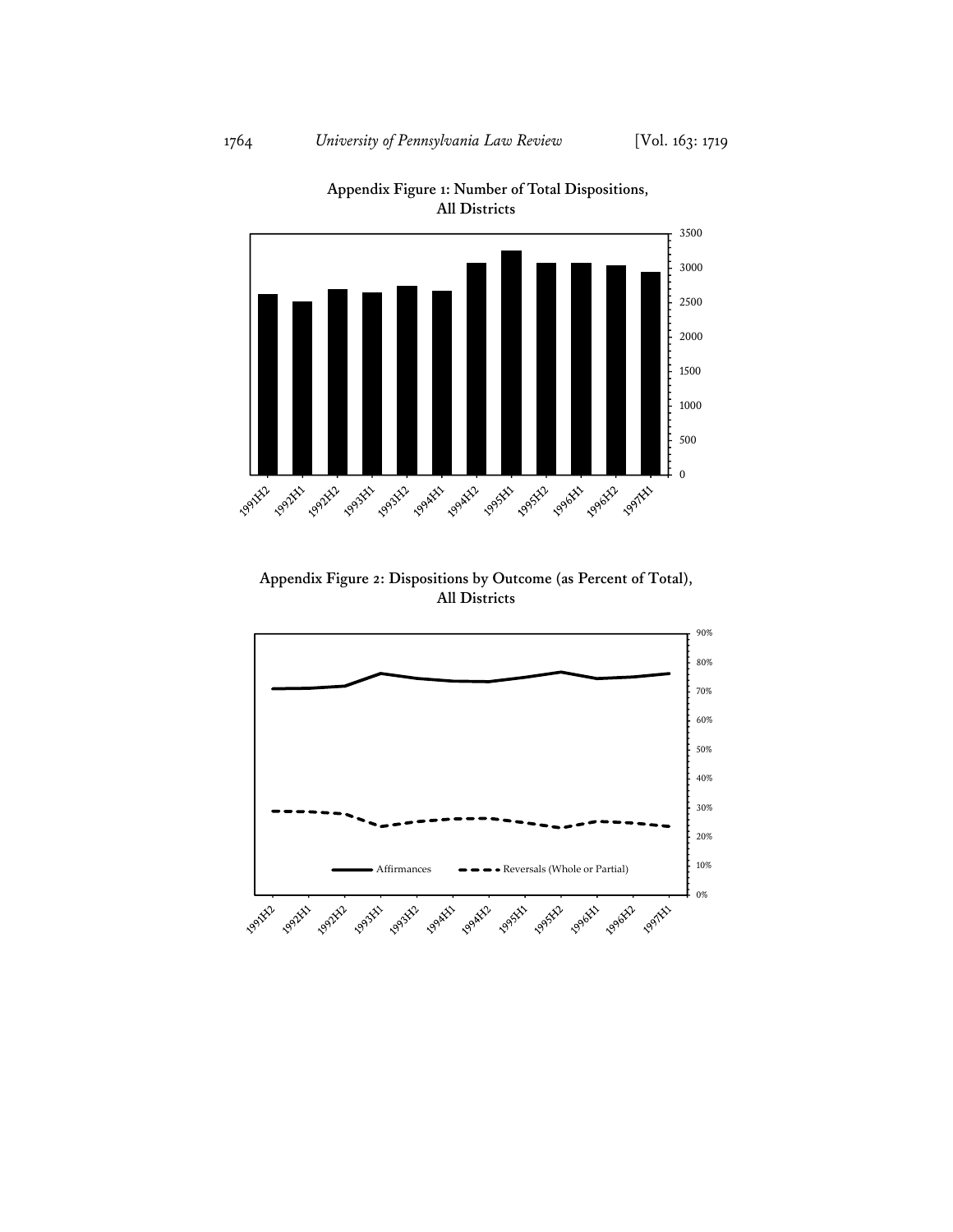

**Appendix Figure 1: Number of Total Dispositions, All Districts** 

**Appendix Figure 2: Dispositions by Outcome (as Percent of Total), All Districts** 

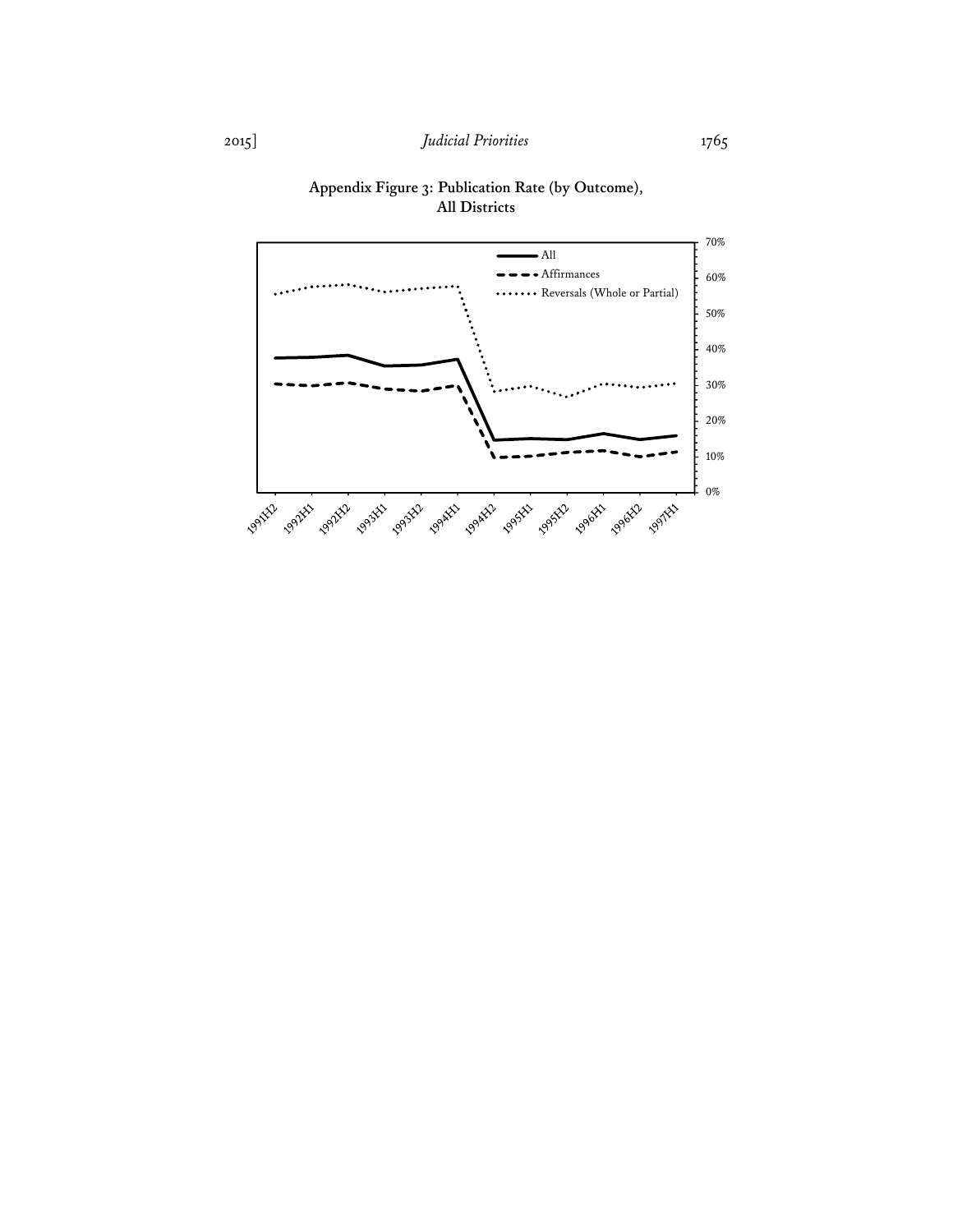

## **Appendix Figure 3: Publication Rate (by Outcome), All Districts**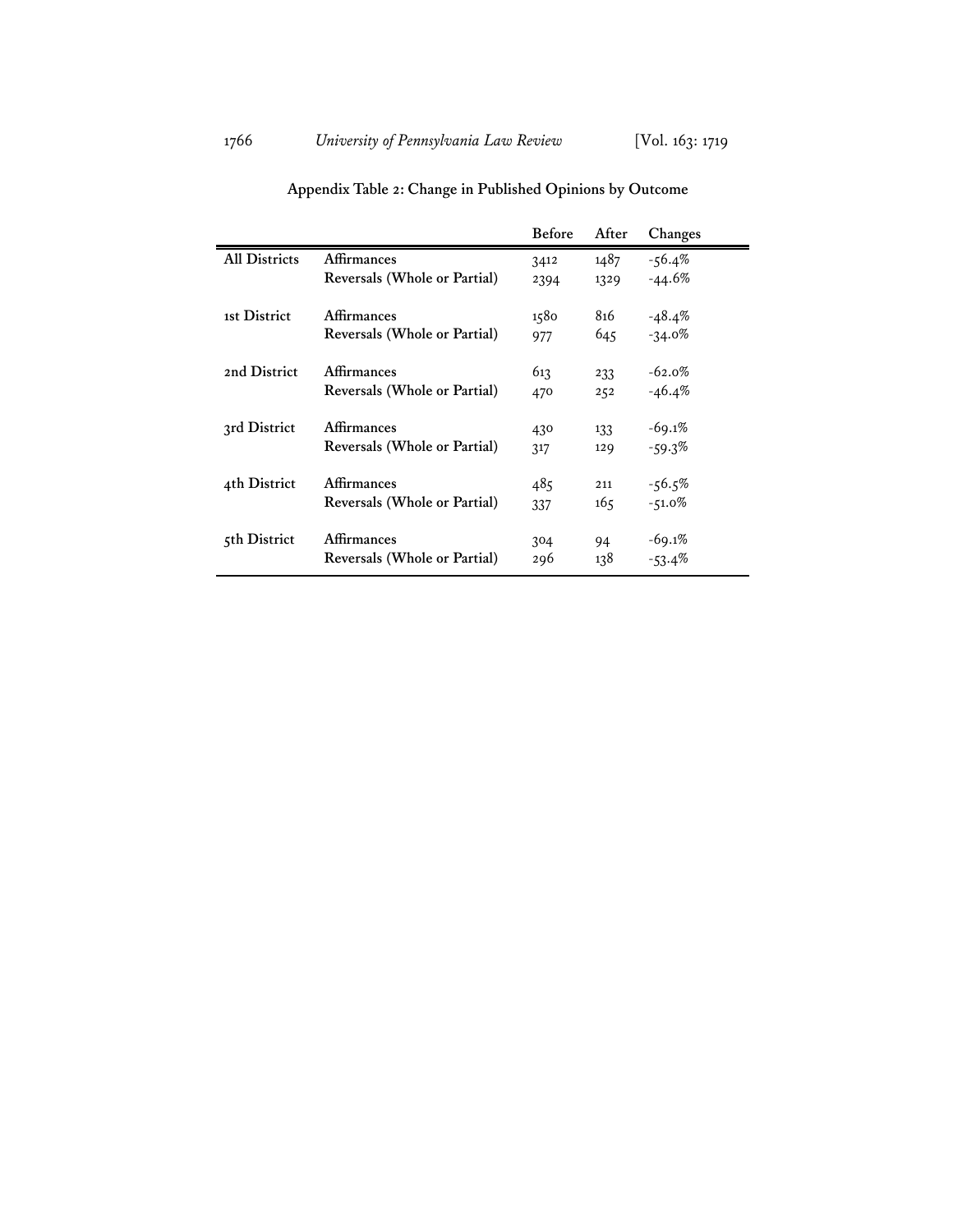|                      |                              | <b>Before</b> | After | Changes   |
|----------------------|------------------------------|---------------|-------|-----------|
| <b>All Districts</b> | Affirmances                  | 3412          | 1487  | $-56.4\%$ |
|                      | Reversals (Whole or Partial) | 2394          | 1329  | $-44.6%$  |
| 1st District         | Affirmances                  | 1580          | 816   | $-48.4\%$ |
|                      | Reversals (Whole or Partial) | 977           | 645   | $-34.0%$  |
|                      |                              |               |       |           |
| 2nd District         | <b>Affirmances</b>           | 613           | 233   | $-62.0%$  |
|                      | Reversals (Whole or Partial) | 470           | 252   | $-46.4%$  |
|                      |                              |               |       |           |
| 3rd District         | Affirmances                  | 430           | 133   | $-69.1%$  |
|                      | Reversals (Whole or Partial) | 317           | 129   | $-59.3%$  |
| 4th District         | Affirmances                  | 485           | 211   | $-56.5%$  |
|                      |                              |               |       |           |
|                      | Reversals (Whole or Partial) | 337           | 165   | $-51.0%$  |
| 5th District         | Affirmances                  | 304           | 94    | $-69.1%$  |
|                      | Reversals (Whole or Partial) | 296           | 138   | $-53.4\%$ |
|                      |                              |               |       |           |

# **Appendix Table 2: Change in Published Opinions by Outcome**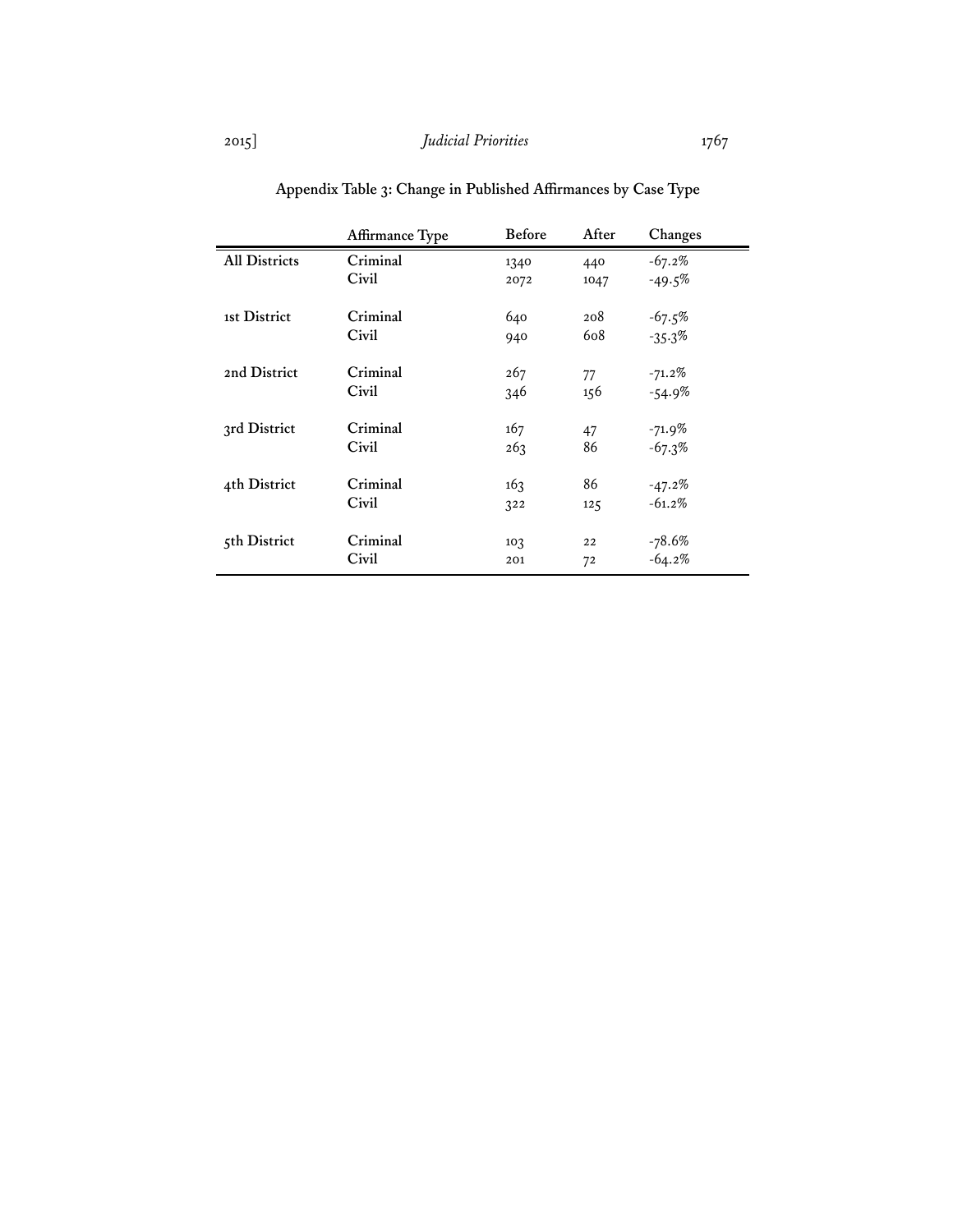|                      | Affirmance Type | <b>Before</b>   | After | Changes   |
|----------------------|-----------------|-----------------|-------|-----------|
| <b>All Districts</b> | Criminal        | 1340            | 440   | $-67.2%$  |
|                      | Civil           | 2072            | 1047  | $-49.5%$  |
|                      |                 |                 |       |           |
| 1st District         | Criminal        | 640             | 208   | $-67.5%$  |
|                      | Civil           | 940             | 608   | $-35.3%$  |
|                      |                 |                 |       |           |
| 2nd District         | Criminal        | 267             | 77    | $-71.2\%$ |
|                      | Civil           | 346             | 156   | $-54.9%$  |
|                      |                 |                 |       |           |
| 3rd District         | Criminal        | 167             | 47    | $-71.9\%$ |
|                      | Civil           | 263             | 86    | $-67.3%$  |
|                      |                 |                 |       |           |
| 4th District         | Criminal        | 163             | 86    | $-47.2%$  |
|                      | Civil           | 322             | 125   | $-61.2%$  |
|                      |                 |                 |       |           |
| 5th District         | Criminal        | 10 <sub>3</sub> | 22    | $-78.6%$  |
|                      | Civil           | 201             | 72    | $-64.2%$  |
|                      |                 |                 |       |           |

**Appendix Table 3: Change in Published Affirmances by Case Type**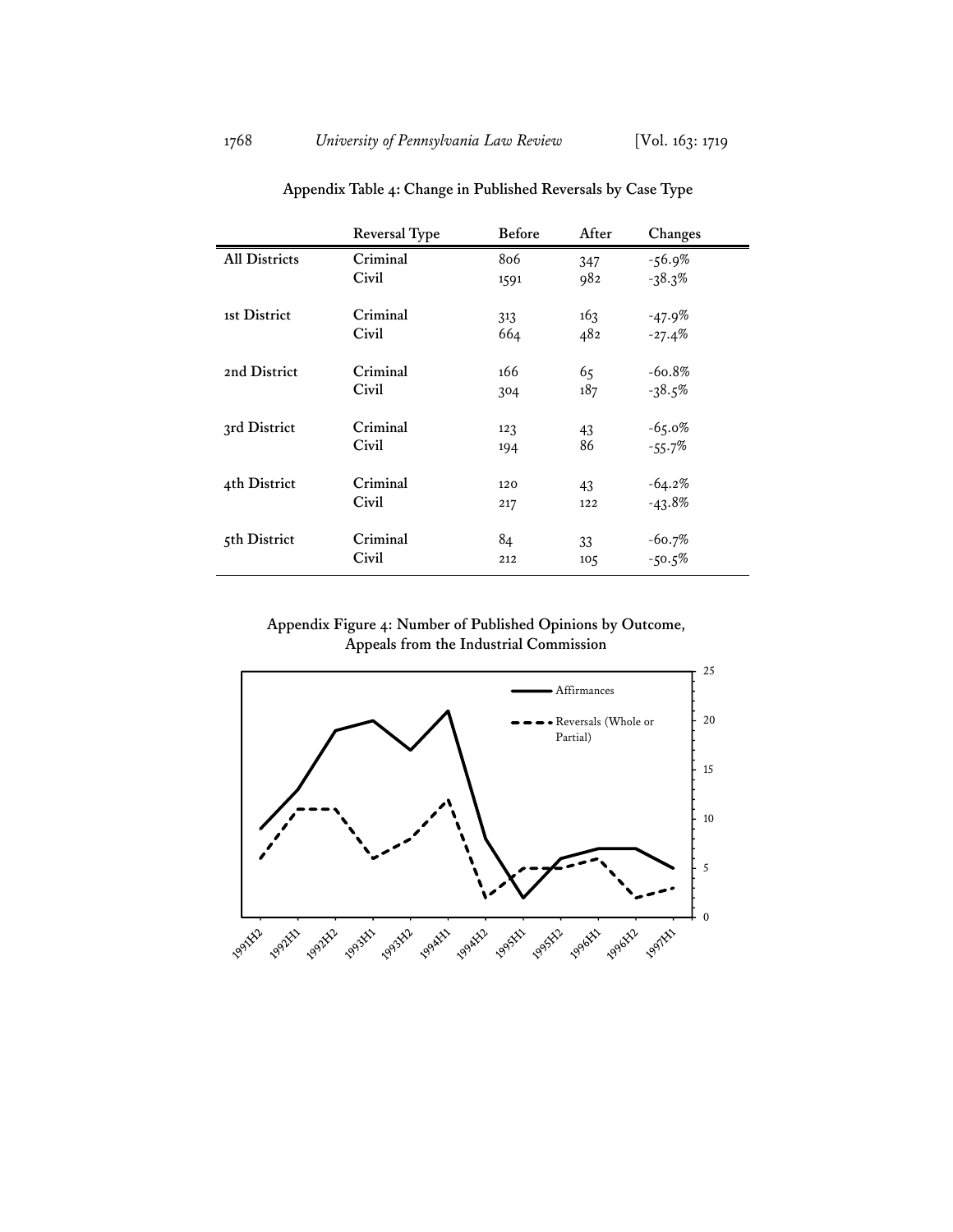|                      | Reversal Type | <b>Before</b> | After           | Changes   |
|----------------------|---------------|---------------|-----------------|-----------|
| <b>All Districts</b> | Criminal      | 806           | 347             | $-56.9\%$ |
|                      | Civil         | 1591          | 982             | $-38.3%$  |
| 1st District         | Criminal      | 313           | 163             | $-47.9%$  |
|                      | Civil         | 664           | 482             | $-27.4%$  |
| 2nd District         | Criminal      | 166           | 65              | $-60.8%$  |
|                      | Civil         | 304           | 187             | $-38.5%$  |
| 3rd District         | Criminal      | 123           | 43              | $-65.0%$  |
|                      | Civil         | 194           | 86              | $-55.7%$  |
| 4th District         | Criminal      | 120           | 43              | $-64.2%$  |
|                      | Civil         | 217           | 122             | $-43.8%$  |
| 5th District         | Criminal      | 84            | 33              | $-60.7%$  |
|                      | Civil         | 212           | 10 <sub>5</sub> | $-50.5%$  |

**Appendix Table 4: Change in Published Reversals by Case Type** 

**Appendix Figure 4: Number of Published Opinions by Outcome, Appeals from the Industrial Commission** 

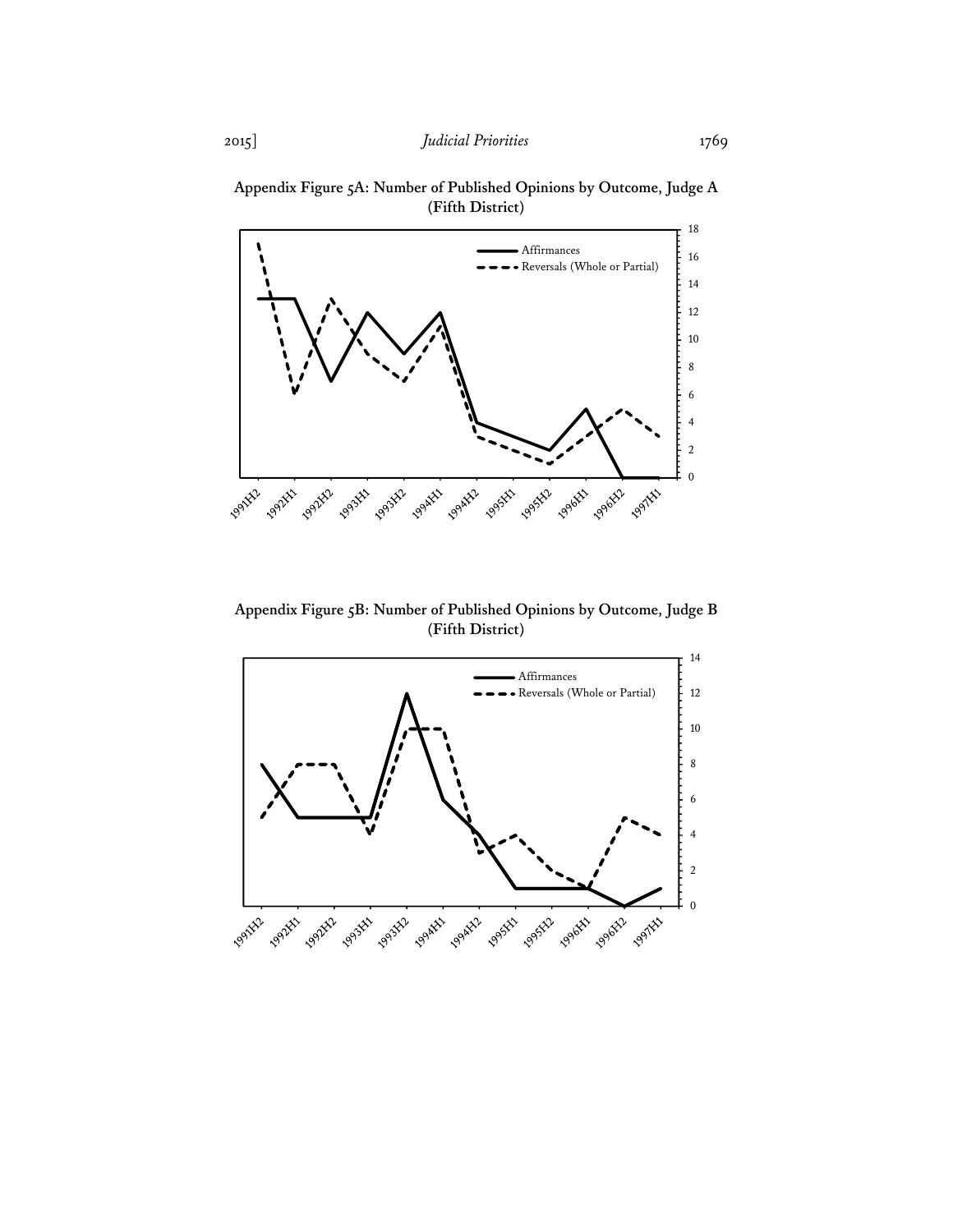

**Appendix Figure 5A: Number of Published Opinions by Outcome, Judge A (Fifth District)** 

**Appendix Figure 5B: Number of Published Opinions by Outcome, Judge B (Fifth District)**